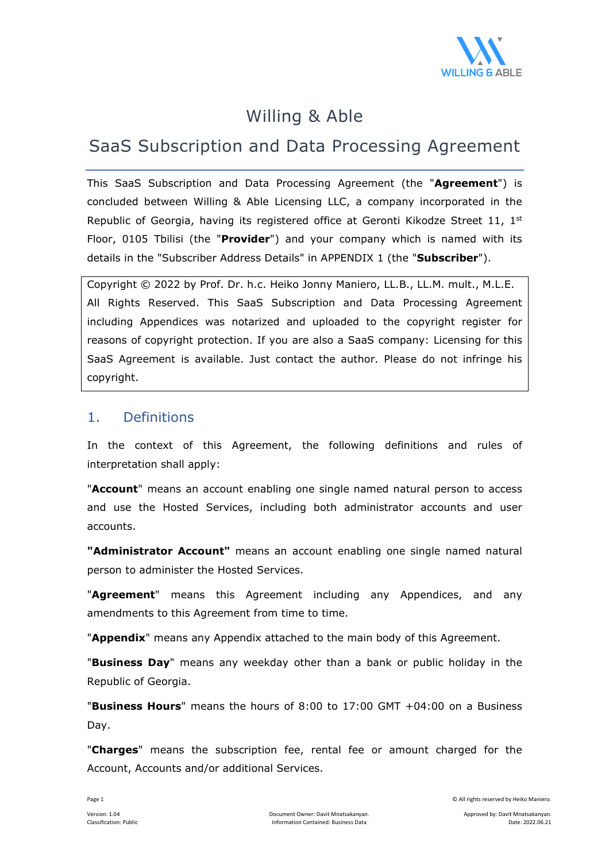

## Willing & Able

## SaaS Subscription and Data Processing Agreement

This SaaS Subscription and Data Processing Agreement (the "**Agreement**") is concluded between Willing & Able Licensing LLC, a company incorporated in the Republic of Georgia, having its registered office at Geronti Kikodze Street 11,  $1<sup>st</sup>$ Floor, 0105 Tbilisi (the "**Provider**") and your company which is named with its details in the "Subscriber Address Details" in APPENDIX 1 (the "**Subscriber**").

Copyright © 2022 by Prof. Dr. h.c. Heiko Jonny Maniero, LL.B., LL.M. mult., M.L.E. All Rights Reserved. This SaaS Subscription and Data Processing Agreement including Appendices was notarized and uploaded to the copyright register for reasons of copyright protection. If you are also a SaaS company: Licensing for this SaaS Agreement is available. Just contact the author. Please do not infringe his copyright.

#### 1. Definitions

In the context of this Agreement, the following definitions and rules of interpretation shall apply:

"**Account**" means an account enabling one single named natural person to access and use the Hosted Services, including both administrator accounts and user accounts.

**"Administrator Account"** means an account enabling one single named natural person to administer the Hosted Services.

"**Agreement**" means this Agreement including any Appendices, and any amendments to this Agreement from time to time.

"**Appendix**" means any Appendix attached to the main body of this Agreement.

"**Business Day**" means any weekday other than a bank or public holiday in the Republic of Georgia.

"**Business Hours**" means the hours of 8:00 to 17:00 GMT +04:00 on a Business Day.

"**Charges**" means the subscription fee, rental fee or amount charged for the Account, Accounts and/or additional Services.

Page 1 © All rights reserved by Heiko Maniero.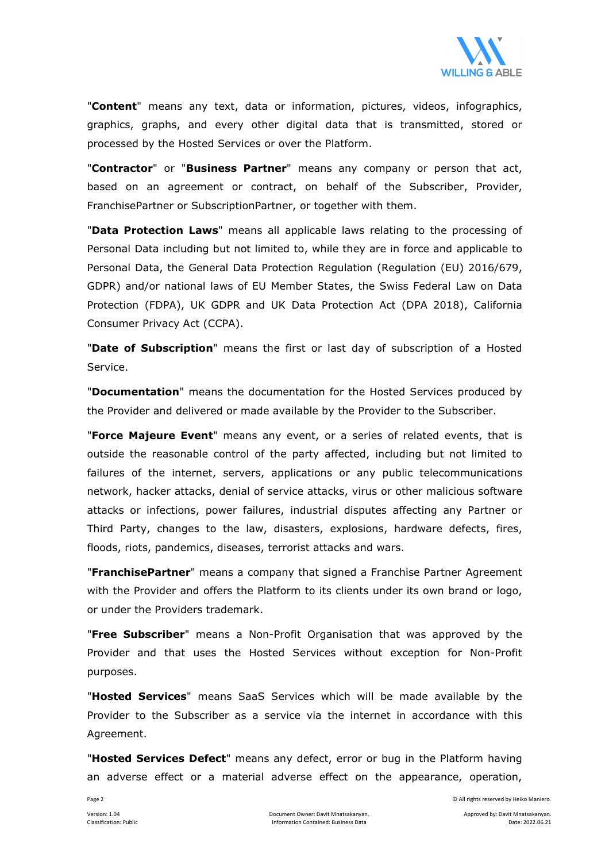

"**Content**" means any text, data or information, pictures, videos, infographics, graphics, graphs, and every other digital data that is transmitted, stored or processed by the Hosted Services or over the Platform.

"**Contractor**" or "**Business Partner**" means any company or person that act, based on an agreement or contract, on behalf of the Subscriber, Provider, FranchisePartner or SubscriptionPartner, or together with them.

"**Data Protection Laws**" means all applicable laws relating to the processing of Personal Data including but not limited to, while they are in force and applicable to Personal Data, the General Data Protection Regulation (Regulation (EU) 2016/679, GDPR) and/or national laws of EU Member States, the Swiss Federal Law on Data Protection (FDPA), UK GDPR and UK Data Protection Act (DPA 2018), California Consumer Privacy Act (CCPA).

"**Date of Subscription**" means the first or last day of subscription of a Hosted Service.

"**Documentation**" means the documentation for the Hosted Services produced by the Provider and delivered or made available by the Provider to the Subscriber.

"**Force Majeure Event**" means any event, or a series of related events, that is outside the reasonable control of the party affected, including but not limited to failures of the internet, servers, applications or any public telecommunications network, hacker attacks, denial of service attacks, virus or other malicious software attacks or infections, power failures, industrial disputes affecting any Partner or Third Party, changes to the law, disasters, explosions, hardware defects, fires, floods, riots, pandemics, diseases, terrorist attacks and wars.

"**FranchisePartner**" means a company that signed a Franchise Partner Agreement with the Provider and offers the Platform to its clients under its own brand or logo, or under the Providers trademark.

"**Free Subscriber**" means a Non-Profit Organisation that was approved by the Provider and that uses the Hosted Services without exception for Non-Profit purposes.

"**Hosted Services**" means SaaS Services which will be made available by the Provider to the Subscriber as a service via the internet in accordance with this Agreement.

"**Hosted Services Defect**" means any defect, error or bug in the Platform having an adverse effect or a material adverse effect on the appearance, operation,

Page 2 © All rights reserved by Heiko Maniero.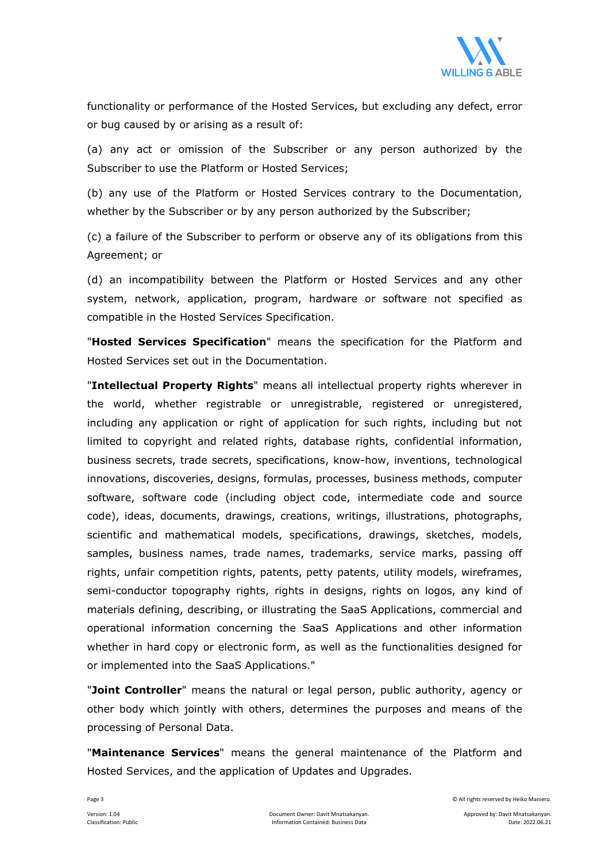

functionality or performance of the Hosted Services, but excluding any defect, error or bug caused by or arising as a result of:

(a) any act or omission of the Subscriber or any person authorized by the Subscriber to use the Platform or Hosted Services;

(b) any use of the Platform or Hosted Services contrary to the Documentation, whether by the Subscriber or by any person authorized by the Subscriber;

(c) a failure of the Subscriber to perform or observe any of its obligations from this Agreement; or

(d) an incompatibility between the Platform or Hosted Services and any other system, network, application, program, hardware or software not specified as compatible in the Hosted Services Specification.

"**Hosted Services Specification**" means the specification for the Platform and Hosted Services set out in the Documentation.

"**Intellectual Property Rights**" means all intellectual property rights wherever in the world, whether registrable or unregistrable, registered or unregistered, including any application or right of application for such rights, including but not limited to copyright and related rights, database rights, confidential information, business secrets, trade secrets, specifications, know-how, inventions, technological innovations, discoveries, designs, formulas, processes, business methods, computer software, software code (including object code, intermediate code and source code), ideas, documents, drawings, creations, writings, illustrations, photographs, scientific and mathematical models, specifications, drawings, sketches, models, samples, business names, trade names, trademarks, service marks, passing off rights, unfair competition rights, patents, petty patents, utility models, wireframes, semi-conductor topography rights, rights in designs, rights on logos, any kind of materials defining, describing, or illustrating the SaaS Applications, commercial and operational information concerning the SaaS Applications and other information whether in hard copy or electronic form, as well as the functionalities designed for or implemented into the SaaS Applications."

"**Joint Controller**" means the natural or legal person, public authority, agency or other body which jointly with others, determines the purposes and means of the processing of Personal Data.

"**Maintenance Services**" means the general maintenance of the Platform and Hosted Services, and the application of Updates and Upgrades.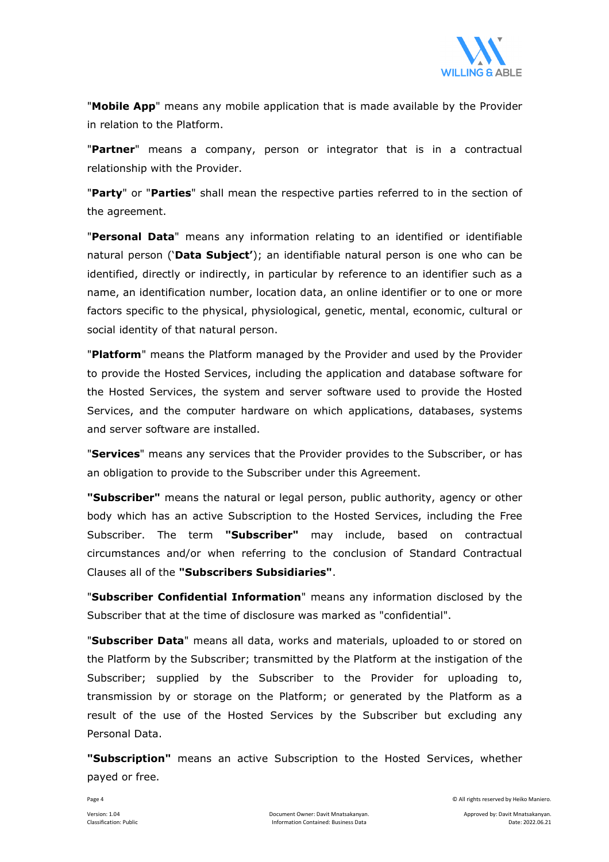

"**Mobile App**" means any mobile application that is made available by the Provider in relation to the Platform.

"**Partner**" means a company, person or integrator that is in a contractual relationship with the Provider.

"**Party**" or "**Parties**" shall mean the respective parties referred to in the section of the agreement.

"**Personal Data**" means any information relating to an identified or identifiable natural person ('**Data Subject'**); an identifiable natural person is one who can be identified, directly or indirectly, in particular by reference to an identifier such as a name, an identification number, location data, an online identifier or to one or more factors specific to the physical, physiological, genetic, mental, economic, cultural or social identity of that natural person.

"**Platform**" means the Platform managed by the Provider and used by the Provider to provide the Hosted Services, including the application and database software for the Hosted Services, the system and server software used to provide the Hosted Services, and the computer hardware on which applications, databases, systems and server software are installed.

"**Services**" means any services that the Provider provides to the Subscriber, or has an obligation to provide to the Subscriber under this Agreement.

**"Subscriber"** means the natural or legal person, public authority, agency or other body which has an active Subscription to the Hosted Services, including the Free Subscriber. The term **"Subscriber"** may include, based on contractual circumstances and/or when referring to the conclusion of Standard Contractual Clauses all of the **"Subscribers Subsidiaries"**.

"**Subscriber Confidential Information**" means any information disclosed by the Subscriber that at the time of disclosure was marked as "confidential".

"**Subscriber Data**" means all data, works and materials, uploaded to or stored on the Platform by the Subscriber; transmitted by the Platform at the instigation of the Subscriber; supplied by the Subscriber to the Provider for uploading to, transmission by or storage on the Platform; or generated by the Platform as a result of the use of the Hosted Services by the Subscriber but excluding any Personal Data.

**"Subscription"** means an active Subscription to the Hosted Services, whether payed or free.

Page 4 © All rights reserved by Heiko Maniero.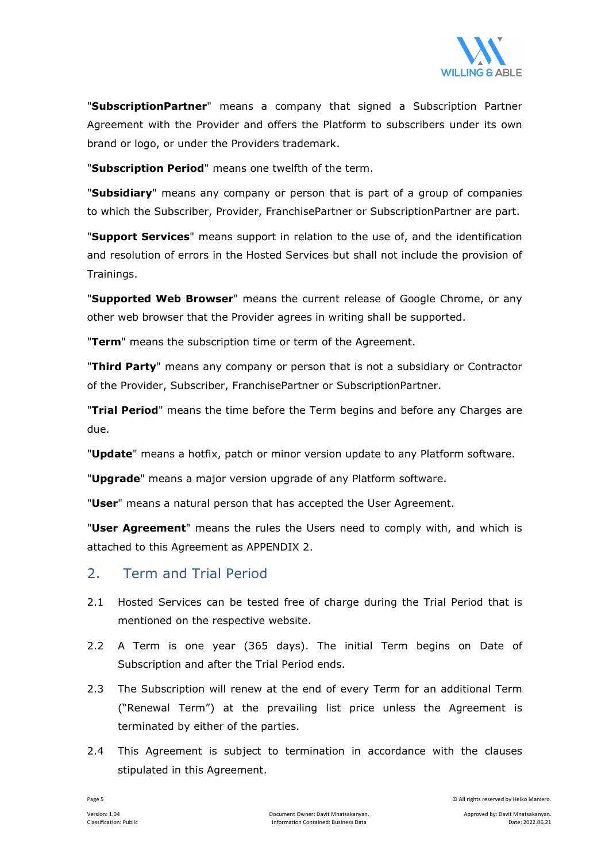

"**SubscriptionPartner**" means a company that signed a Subscription Partner Agreement with the Provider and offers the Platform to subscribers under its own brand or logo, or under the Providers trademark.

"**Subscription Period**" means one twelfth of the term.

"**Subsidiary**" means any company or person that is part of a group of companies to which the Subscriber, Provider, FranchisePartner or SubscriptionPartner are part.

"**Support Services**" means support in relation to the use of, and the identification and resolution of errors in the Hosted Services but shall not include the provision of Trainings.

"**Supported Web Browser**" means the current release of Google Chrome, or any other web browser that the Provider agrees in writing shall be supported.

"**Term**" means the subscription time or term of the Agreement.

"**Third Party**" means any company or person that is not a subsidiary or Contractor of the Provider, Subscriber, FranchisePartner or SubscriptionPartner.

"**Trial Period**" means the time before the Term begins and before any Charges are due.

"**Update**" means a hotfix, patch or minor version update to any Platform software.

"**Upgrade**" means a major version upgrade of any Platform software.

"**User**" means a natural person that has accepted the User Agreement.

"**User Agreement**" means the rules the Users need to comply with, and which is attached to this Agreement as APPENDIX 2.

#### 2. Term and Trial Period

- 2.1 Hosted Services can be tested free of charge during the Trial Period that is mentioned on the respective website.
- 2.2 A Term is one year (365 days). The initial Term begins on Date of Subscription and after the Trial Period ends.
- 2.3 The Subscription will renew at the end of every Term for an additional Term ("Renewal Term") at the prevailing list price unless the Agreement is terminated by either of the parties.
- 2.4 This Agreement is subject to termination in accordance with the clauses stipulated in this Agreement.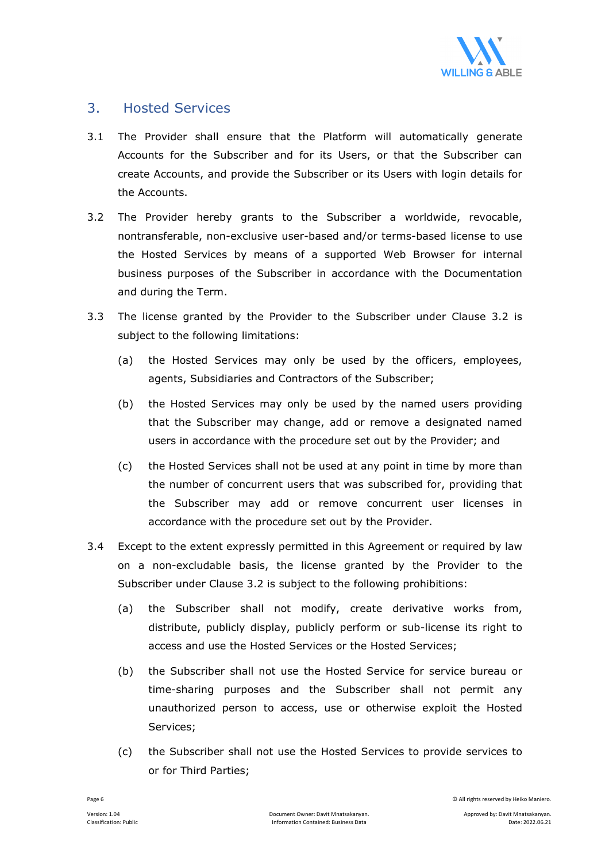

## 3. Hosted Services

- 3.1 The Provider shall ensure that the Platform will automatically generate Accounts for the Subscriber and for its Users, or that the Subscriber can create Accounts, and provide the Subscriber or its Users with login details for the Accounts.
- 3.2 The Provider hereby grants to the Subscriber a worldwide, revocable, nontransferable, non-exclusive user-based and/or terms-based license to use the Hosted Services by means of a supported Web Browser for internal business purposes of the Subscriber in accordance with the Documentation and during the Term.
- 3.3 The license granted by the Provider to the Subscriber under Clause 3.2 is subject to the following limitations:
	- (a) the Hosted Services may only be used by the officers, employees, agents, Subsidiaries and Contractors of the Subscriber;
	- (b) the Hosted Services may only be used by the named users providing that the Subscriber may change, add or remove a designated named users in accordance with the procedure set out by the Provider; and
	- (c) the Hosted Services shall not be used at any point in time by more than the number of concurrent users that was subscribed for, providing that the Subscriber may add or remove concurrent user licenses in accordance with the procedure set out by the Provider.
- 3.4 Except to the extent expressly permitted in this Agreement or required by law on a non-excludable basis, the license granted by the Provider to the Subscriber under Clause 3.2 is subject to the following prohibitions:
	- (a) the Subscriber shall not modify, create derivative works from, distribute, publicly display, publicly perform or sub-license its right to access and use the Hosted Services or the Hosted Services;
	- (b) the Subscriber shall not use the Hosted Service for service bureau or time-sharing purposes and the Subscriber shall not permit any unauthorized person to access, use or otherwise exploit the Hosted Services;
	- (c) the Subscriber shall not use the Hosted Services to provide services to or for Third Parties;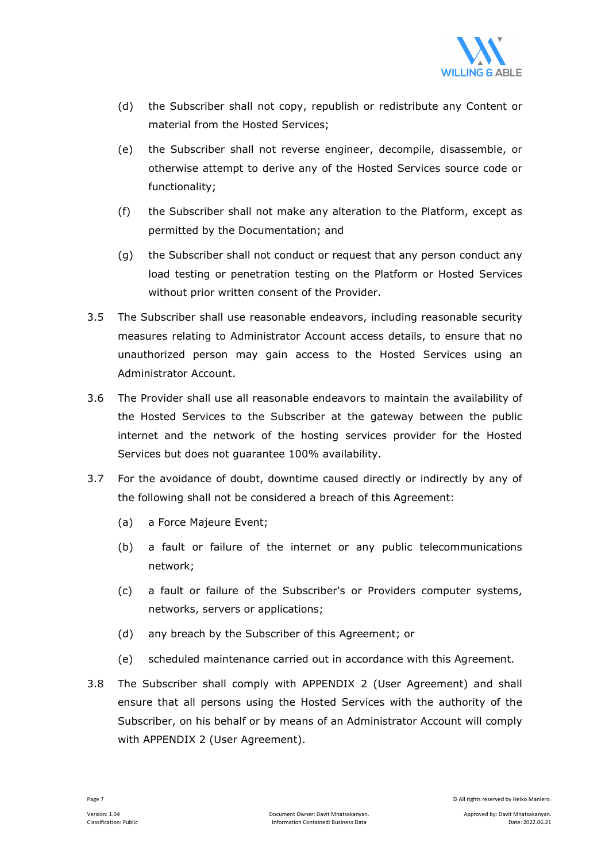

- (d) the Subscriber shall not copy, republish or redistribute any Content or material from the Hosted Services;
- (e) the Subscriber shall not reverse engineer, decompile, disassemble, or otherwise attempt to derive any of the Hosted Services source code or functionality;
- (f) the Subscriber shall not make any alteration to the Platform, except as permitted by the Documentation; and
- (g) the Subscriber shall not conduct or request that any person conduct any load testing or penetration testing on the Platform or Hosted Services without prior written consent of the Provider.
- 3.5 The Subscriber shall use reasonable endeavors, including reasonable security measures relating to Administrator Account access details, to ensure that no unauthorized person may gain access to the Hosted Services using an Administrator Account.
- 3.6 The Provider shall use all reasonable endeavors to maintain the availability of the Hosted Services to the Subscriber at the gateway between the public internet and the network of the hosting services provider for the Hosted Services but does not guarantee 100% availability.
- 3.7 For the avoidance of doubt, downtime caused directly or indirectly by any of the following shall not be considered a breach of this Agreement:
	- (a) a Force Majeure Event;
	- (b) a fault or failure of the internet or any public telecommunications network;
	- (c) a fault or failure of the Subscriber's or Providers computer systems, networks, servers or applications;
	- (d) any breach by the Subscriber of this Agreement; or
	- (e) scheduled maintenance carried out in accordance with this Agreement.
- 3.8 The Subscriber shall comply with APPENDIX 2 (User Agreement) and shall ensure that all persons using the Hosted Services with the authority of the Subscriber, on his behalf or by means of an Administrator Account will comply with APPENDIX 2 (User Agreement).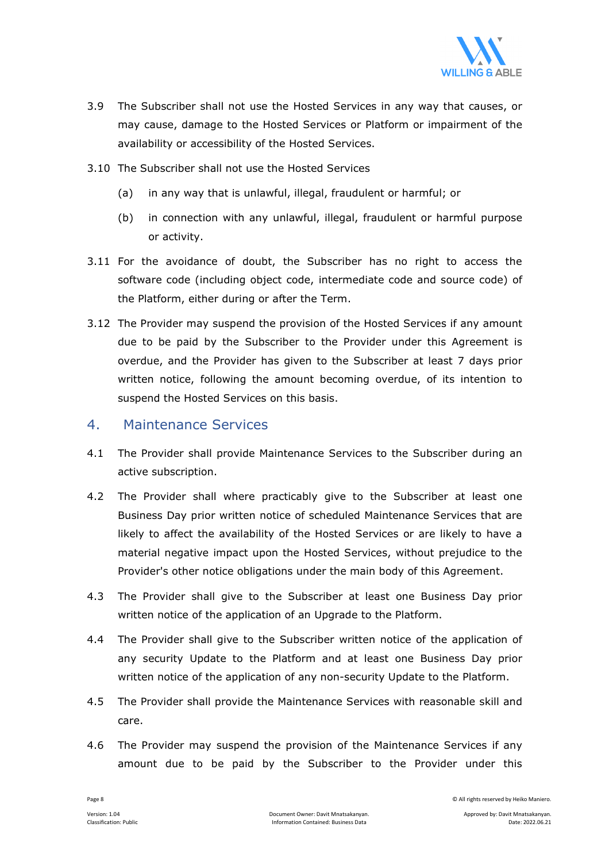

- 3.9 The Subscriber shall not use the Hosted Services in any way that causes, or may cause, damage to the Hosted Services or Platform or impairment of the availability or accessibility of the Hosted Services.
- 3.10 The Subscriber shall not use the Hosted Services
	- (a) in any way that is unlawful, illegal, fraudulent or harmful; or
	- (b) in connection with any unlawful, illegal, fraudulent or harmful purpose or activity.
- 3.11 For the avoidance of doubt, the Subscriber has no right to access the software code (including object code, intermediate code and source code) of the Platform, either during or after the Term.
- 3.12 The Provider may suspend the provision of the Hosted Services if any amount due to be paid by the Subscriber to the Provider under this Agreement is overdue, and the Provider has given to the Subscriber at least 7 days prior written notice, following the amount becoming overdue, of its intention to suspend the Hosted Services on this basis.

#### 4. Maintenance Services

- 4.1 The Provider shall provide Maintenance Services to the Subscriber during an active subscription.
- 4.2 The Provider shall where practicably give to the Subscriber at least one Business Day prior written notice of scheduled Maintenance Services that are likely to affect the availability of the Hosted Services or are likely to have a material negative impact upon the Hosted Services, without prejudice to the Provider's other notice obligations under the main body of this Agreement.
- 4.3 The Provider shall give to the Subscriber at least one Business Day prior written notice of the application of an Upgrade to the Platform.
- 4.4 The Provider shall give to the Subscriber written notice of the application of any security Update to the Platform and at least one Business Day prior written notice of the application of any non-security Update to the Platform.
- 4.5 The Provider shall provide the Maintenance Services with reasonable skill and care.
- 4.6 The Provider may suspend the provision of the Maintenance Services if any amount due to be paid by the Subscriber to the Provider under this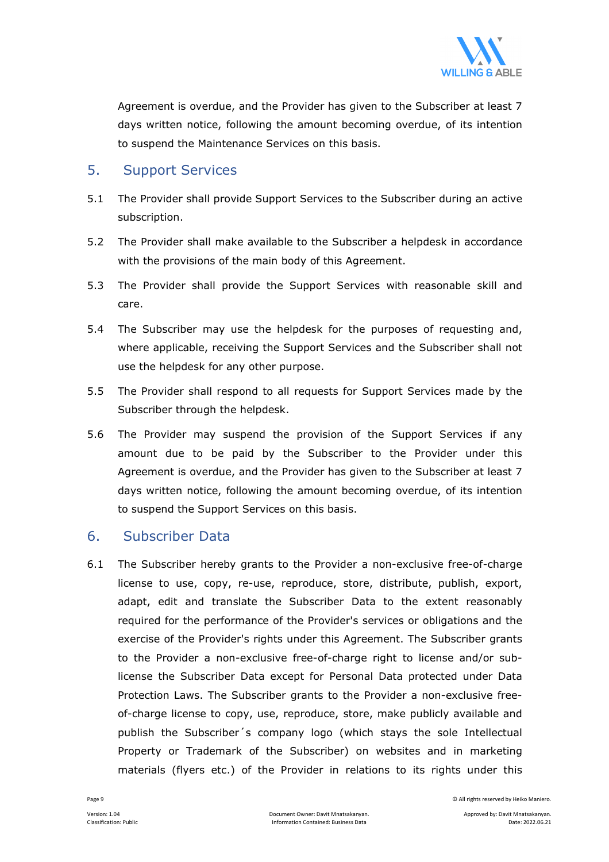

Agreement is overdue, and the Provider has given to the Subscriber at least 7 days written notice, following the amount becoming overdue, of its intention to suspend the Maintenance Services on this basis.

#### 5. Support Services

- 5.1 The Provider shall provide Support Services to the Subscriber during an active subscription.
- 5.2 The Provider shall make available to the Subscriber a helpdesk in accordance with the provisions of the main body of this Agreement.
- 5.3 The Provider shall provide the Support Services with reasonable skill and care.
- 5.4 The Subscriber may use the helpdesk for the purposes of requesting and, where applicable, receiving the Support Services and the Subscriber shall not use the helpdesk for any other purpose.
- 5.5 The Provider shall respond to all requests for Support Services made by the Subscriber through the helpdesk.
- 5.6 The Provider may suspend the provision of the Support Services if any amount due to be paid by the Subscriber to the Provider under this Agreement is overdue, and the Provider has given to the Subscriber at least 7 days written notice, following the amount becoming overdue, of its intention to suspend the Support Services on this basis.

#### 6. Subscriber Data

6.1 The Subscriber hereby grants to the Provider a non-exclusive free-of-charge license to use, copy, re-use, reproduce, store, distribute, publish, export, adapt, edit and translate the Subscriber Data to the extent reasonably required for the performance of the Provider's services or obligations and the exercise of the Provider's rights under this Agreement. The Subscriber grants to the Provider a non-exclusive free-of-charge right to license and/or sublicense the Subscriber Data except for Personal Data protected under Data Protection Laws. The Subscriber grants to the Provider a non-exclusive freeof-charge license to copy, use, reproduce, store, make publicly available and publish the Subscriber´s company logo (which stays the sole Intellectual Property or Trademark of the Subscriber) on websites and in marketing materials (flyers etc.) of the Provider in relations to its rights under this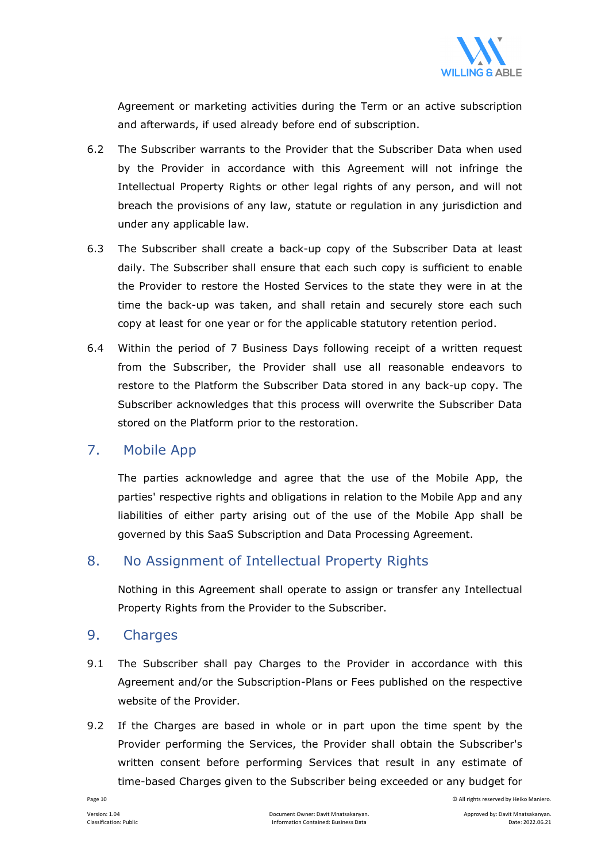

Agreement or marketing activities during the Term or an active subscription and afterwards, if used already before end of subscription.

- 6.2 The Subscriber warrants to the Provider that the Subscriber Data when used by the Provider in accordance with this Agreement will not infringe the Intellectual Property Rights or other legal rights of any person, and will not breach the provisions of any law, statute or regulation in any jurisdiction and under any applicable law.
- 6.3 The Subscriber shall create a back-up copy of the Subscriber Data at least daily. The Subscriber shall ensure that each such copy is sufficient to enable the Provider to restore the Hosted Services to the state they were in at the time the back-up was taken, and shall retain and securely store each such copy at least for one year or for the applicable statutory retention period.
- 6.4 Within the period of 7 Business Days following receipt of a written request from the Subscriber, the Provider shall use all reasonable endeavors to restore to the Platform the Subscriber Data stored in any back-up copy. The Subscriber acknowledges that this process will overwrite the Subscriber Data stored on the Platform prior to the restoration.

## 7. Mobile App

 The parties acknowledge and agree that the use of the Mobile App, the parties' respective rights and obligations in relation to the Mobile App and any liabilities of either party arising out of the use of the Mobile App shall be governed by this SaaS Subscription and Data Processing Agreement.

## 8. No Assignment of Intellectual Property Rights

 Nothing in this Agreement shall operate to assign or transfer any Intellectual Property Rights from the Provider to the Subscriber.

#### 9. Charges

- 9.1 The Subscriber shall pay Charges to the Provider in accordance with this Agreement and/or the Subscription-Plans or Fees published on the respective website of the Provider.
- 9.2 If the Charges are based in whole or in part upon the time spent by the Provider performing the Services, the Provider shall obtain the Subscriber's written consent before performing Services that result in any estimate of time-based Charges given to the Subscriber being exceeded or any budget for

Page 10 © All rights reserved by Heiko Maniero.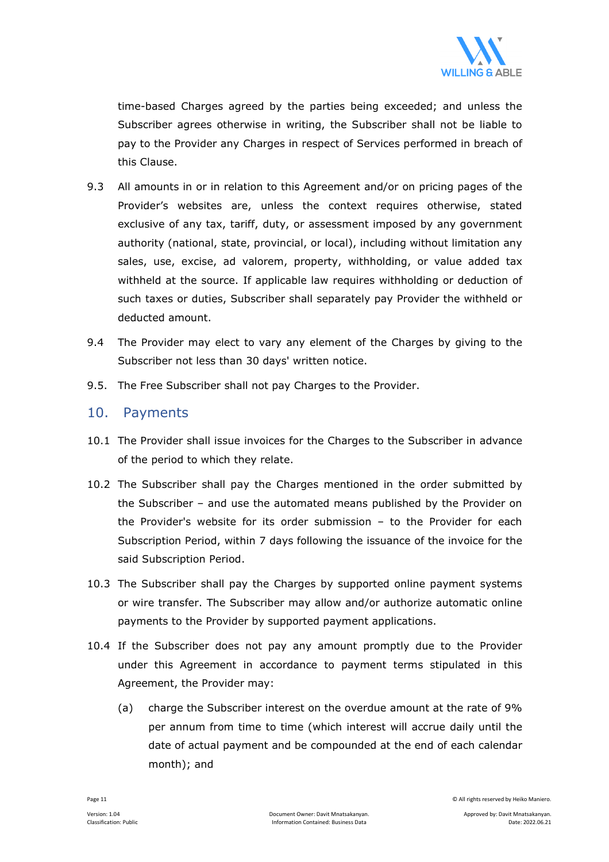

time-based Charges agreed by the parties being exceeded; and unless the Subscriber agrees otherwise in writing, the Subscriber shall not be liable to pay to the Provider any Charges in respect of Services performed in breach of this Clause.

- 9.3 All amounts in or in relation to this Agreement and/or on pricing pages of the Provider's websites are, unless the context requires otherwise, stated exclusive of any tax, tariff, duty, or assessment imposed by any government authority (national, state, provincial, or local), including without limitation any sales, use, excise, ad valorem, property, withholding, or value added tax withheld at the source. If applicable law requires withholding or deduction of such taxes or duties, Subscriber shall separately pay Provider the withheld or deducted amount.
- 9.4 The Provider may elect to vary any element of the Charges by giving to the Subscriber not less than 30 days' written notice.
- 9.5. The Free Subscriber shall not pay Charges to the Provider.

#### 10. Payments

- 10.1 The Provider shall issue invoices for the Charges to the Subscriber in advance of the period to which they relate.
- 10.2 The Subscriber shall pay the Charges mentioned in the order submitted by the Subscriber – and use the automated means published by the Provider on the Provider's website for its order submission – to the Provider for each Subscription Period, within 7 days following the issuance of the invoice for the said Subscription Period.
- 10.3 The Subscriber shall pay the Charges by supported online payment systems or wire transfer. The Subscriber may allow and/or authorize automatic online payments to the Provider by supported payment applications.
- 10.4 If the Subscriber does not pay any amount promptly due to the Provider under this Agreement in accordance to payment terms stipulated in this Agreement, the Provider may:
	- (a) charge the Subscriber interest on the overdue amount at the rate of 9% per annum from time to time (which interest will accrue daily until the date of actual payment and be compounded at the end of each calendar month); and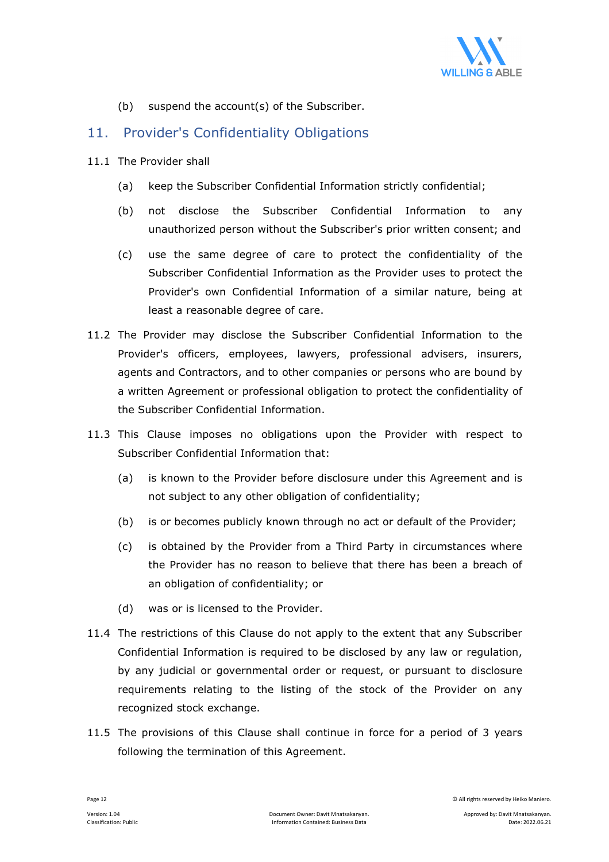

(b) suspend the account(s) of the Subscriber.

#### 11. Provider's Confidentiality Obligations

- 11.1 The Provider shall
	- (a) keep the Subscriber Confidential Information strictly confidential;
	- (b) not disclose the Subscriber Confidential Information to any unauthorized person without the Subscriber's prior written consent; and
	- (c) use the same degree of care to protect the confidentiality of the Subscriber Confidential Information as the Provider uses to protect the Provider's own Confidential Information of a similar nature, being at least a reasonable degree of care.
- 11.2 The Provider may disclose the Subscriber Confidential Information to the Provider's officers, employees, lawyers, professional advisers, insurers, agents and Contractors, and to other companies or persons who are bound by a written Agreement or professional obligation to protect the confidentiality of the Subscriber Confidential Information.
- 11.3 This Clause imposes no obligations upon the Provider with respect to Subscriber Confidential Information that:
	- (a) is known to the Provider before disclosure under this Agreement and is not subject to any other obligation of confidentiality;
	- (b) is or becomes publicly known through no act or default of the Provider;
	- (c) is obtained by the Provider from a Third Party in circumstances where the Provider has no reason to believe that there has been a breach of an obligation of confidentiality; or
	- (d) was or is licensed to the Provider.
- 11.4 The restrictions of this Clause do not apply to the extent that any Subscriber Confidential Information is required to be disclosed by any law or regulation, by any judicial or governmental order or request, or pursuant to disclosure requirements relating to the listing of the stock of the Provider on any recognized stock exchange.
- 11.5 The provisions of this Clause shall continue in force for a period of 3 years following the termination of this Agreement.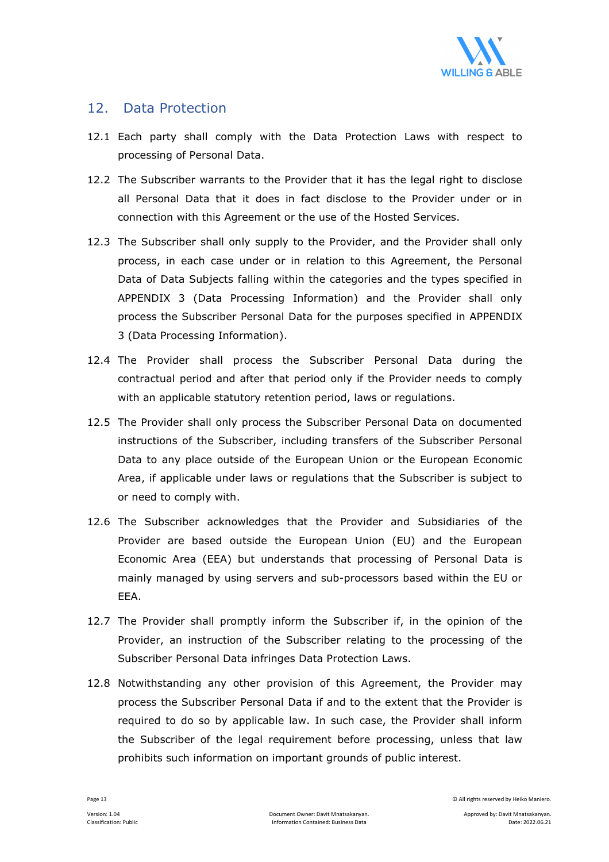

#### 12. Data Protection

- 12.1 Each party shall comply with the Data Protection Laws with respect to processing of Personal Data.
- 12.2 The Subscriber warrants to the Provider that it has the legal right to disclose all Personal Data that it does in fact disclose to the Provider under or in connection with this Agreement or the use of the Hosted Services.
- 12.3 The Subscriber shall only supply to the Provider, and the Provider shall only process, in each case under or in relation to this Agreement, the Personal Data of Data Subjects falling within the categories and the types specified in APPENDIX 3 (Data Processing Information) and the Provider shall only process the Subscriber Personal Data for the purposes specified in APPENDIX 3 (Data Processing Information).
- 12.4 The Provider shall process the Subscriber Personal Data during the contractual period and after that period only if the Provider needs to comply with an applicable statutory retention period, laws or regulations.
- 12.5 The Provider shall only process the Subscriber Personal Data on documented instructions of the Subscriber, including transfers of the Subscriber Personal Data to any place outside of the European Union or the European Economic Area, if applicable under laws or regulations that the Subscriber is subject to or need to comply with.
- 12.6 The Subscriber acknowledges that the Provider and Subsidiaries of the Provider are based outside the European Union (EU) and the European Economic Area (EEA) but understands that processing of Personal Data is mainly managed by using servers and sub-processors based within the EU or EEA.
- 12.7 The Provider shall promptly inform the Subscriber if, in the opinion of the Provider, an instruction of the Subscriber relating to the processing of the Subscriber Personal Data infringes Data Protection Laws.
- 12.8 Notwithstanding any other provision of this Agreement, the Provider may process the Subscriber Personal Data if and to the extent that the Provider is required to do so by applicable law. In such case, the Provider shall inform the Subscriber of the legal requirement before processing, unless that law prohibits such information on important grounds of public interest.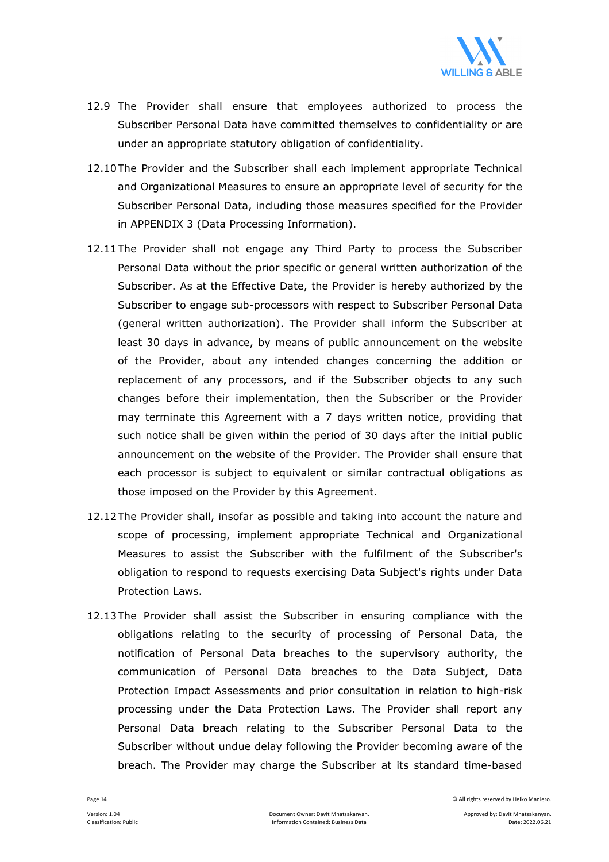

- 12.9 The Provider shall ensure that employees authorized to process the Subscriber Personal Data have committed themselves to confidentiality or are under an appropriate statutory obligation of confidentiality.
- 12.10 The Provider and the Subscriber shall each implement appropriate Technical and Organizational Measures to ensure an appropriate level of security for the Subscriber Personal Data, including those measures specified for the Provider in APPENDIX 3 (Data Processing Information).
- 12.11 The Provider shall not engage any Third Party to process the Subscriber Personal Data without the prior specific or general written authorization of the Subscriber. As at the Effective Date, the Provider is hereby authorized by the Subscriber to engage sub-processors with respect to Subscriber Personal Data (general written authorization). The Provider shall inform the Subscriber at least 30 days in advance, by means of public announcement on the website of the Provider, about any intended changes concerning the addition or replacement of any processors, and if the Subscriber objects to any such changes before their implementation, then the Subscriber or the Provider may terminate this Agreement with a 7 days written notice, providing that such notice shall be given within the period of 30 days after the initial public announcement on the website of the Provider. The Provider shall ensure that each processor is subject to equivalent or similar contractual obligations as those imposed on the Provider by this Agreement.
- 12.12 The Provider shall, insofar as possible and taking into account the nature and scope of processing, implement appropriate Technical and Organizational Measures to assist the Subscriber with the fulfilment of the Subscriber's obligation to respond to requests exercising Data Subject's rights under Data Protection Laws.
- 12.13 The Provider shall assist the Subscriber in ensuring compliance with the obligations relating to the security of processing of Personal Data, the notification of Personal Data breaches to the supervisory authority, the communication of Personal Data breaches to the Data Subject, Data Protection Impact Assessments and prior consultation in relation to high-risk processing under the Data Protection Laws. The Provider shall report any Personal Data breach relating to the Subscriber Personal Data to the Subscriber without undue delay following the Provider becoming aware of the breach. The Provider may charge the Subscriber at its standard time-based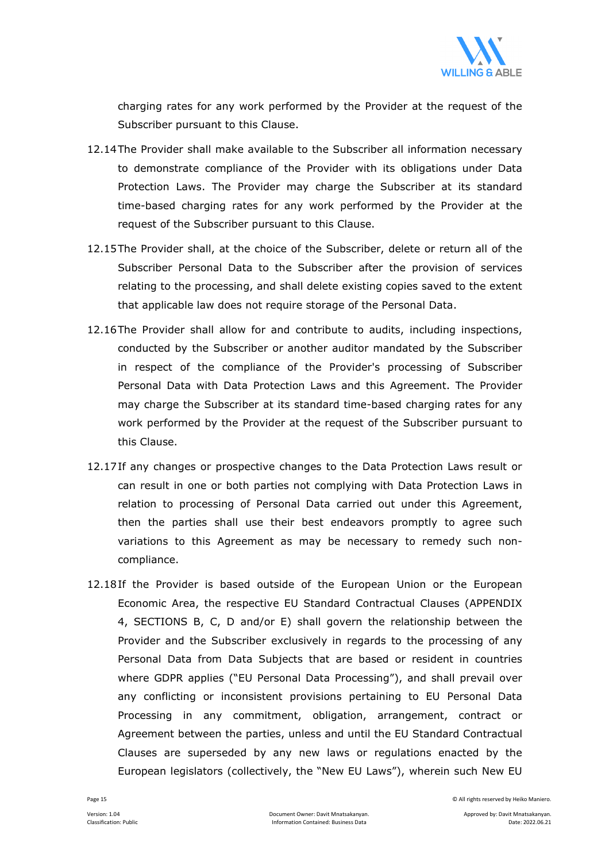

charging rates for any work performed by the Provider at the request of the Subscriber pursuant to this Clause.

- 12.14 The Provider shall make available to the Subscriber all information necessary to demonstrate compliance of the Provider with its obligations under Data Protection Laws. The Provider may charge the Subscriber at its standard time-based charging rates for any work performed by the Provider at the request of the Subscriber pursuant to this Clause.
- 12.15 The Provider shall, at the choice of the Subscriber, delete or return all of the Subscriber Personal Data to the Subscriber after the provision of services relating to the processing, and shall delete existing copies saved to the extent that applicable law does not require storage of the Personal Data.
- 12.16 The Provider shall allow for and contribute to audits, including inspections, conducted by the Subscriber or another auditor mandated by the Subscriber in respect of the compliance of the Provider's processing of Subscriber Personal Data with Data Protection Laws and this Agreement. The Provider may charge the Subscriber at its standard time-based charging rates for any work performed by the Provider at the request of the Subscriber pursuant to this Clause.
- 12.17 If any changes or prospective changes to the Data Protection Laws result or can result in one or both parties not complying with Data Protection Laws in relation to processing of Personal Data carried out under this Agreement, then the parties shall use their best endeavors promptly to agree such variations to this Agreement as may be necessary to remedy such noncompliance.
- 12.18If the Provider is based outside of the European Union or the European Economic Area, the respective EU Standard Contractual Clauses (APPENDIX 4, SECTIONS B, C, D and/or E) shall govern the relationship between the Provider and the Subscriber exclusively in regards to the processing of any Personal Data from Data Subjects that are based or resident in countries where GDPR applies ("EU Personal Data Processing"), and shall prevail over any conflicting or inconsistent provisions pertaining to EU Personal Data Processing in any commitment, obligation, arrangement, contract or Agreement between the parties, unless and until the EU Standard Contractual Clauses are superseded by any new laws or regulations enacted by the European legislators (collectively, the "New EU Laws"), wherein such New EU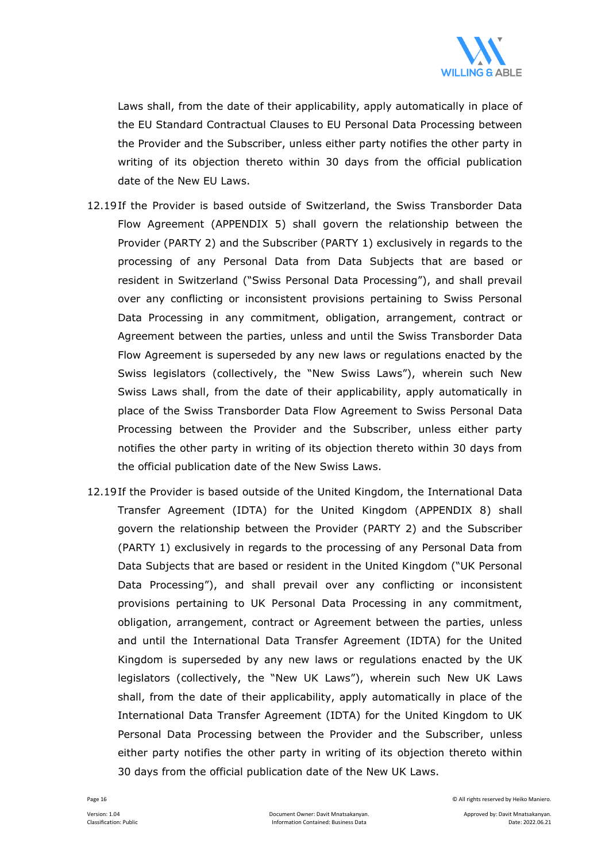

Laws shall, from the date of their applicability, apply automatically in place of the EU Standard Contractual Clauses to EU Personal Data Processing between the Provider and the Subscriber, unless either party notifies the other party in writing of its objection thereto within 30 days from the official publication date of the New EU Laws.

- 12.19 If the Provider is based outside of Switzerland, the Swiss Transborder Data Flow Agreement (APPENDIX 5) shall govern the relationship between the Provider (PARTY 2) and the Subscriber (PARTY 1) exclusively in regards to the processing of any Personal Data from Data Subjects that are based or resident in Switzerland ("Swiss Personal Data Processing"), and shall prevail over any conflicting or inconsistent provisions pertaining to Swiss Personal Data Processing in any commitment, obligation, arrangement, contract or Agreement between the parties, unless and until the Swiss Transborder Data Flow Agreement is superseded by any new laws or regulations enacted by the Swiss legislators (collectively, the "New Swiss Laws"), wherein such New Swiss Laws shall, from the date of their applicability, apply automatically in place of the Swiss Transborder Data Flow Agreement to Swiss Personal Data Processing between the Provider and the Subscriber, unless either party notifies the other party in writing of its objection thereto within 30 days from the official publication date of the New Swiss Laws.
- 12.19 If the Provider is based outside of the United Kingdom, the International Data Transfer Agreement (IDTA) for the United Kingdom (APPENDIX 8) shall govern the relationship between the Provider (PARTY 2) and the Subscriber (PARTY 1) exclusively in regards to the processing of any Personal Data from Data Subjects that are based or resident in the United Kingdom ("UK Personal Data Processing"), and shall prevail over any conflicting or inconsistent provisions pertaining to UK Personal Data Processing in any commitment, obligation, arrangement, contract or Agreement between the parties, unless and until the International Data Transfer Agreement (IDTA) for the United Kingdom is superseded by any new laws or regulations enacted by the UK legislators (collectively, the "New UK Laws"), wherein such New UK Laws shall, from the date of their applicability, apply automatically in place of the International Data Transfer Agreement (IDTA) for the United Kingdom to UK Personal Data Processing between the Provider and the Subscriber, unless either party notifies the other party in writing of its objection thereto within 30 days from the official publication date of the New UK Laws.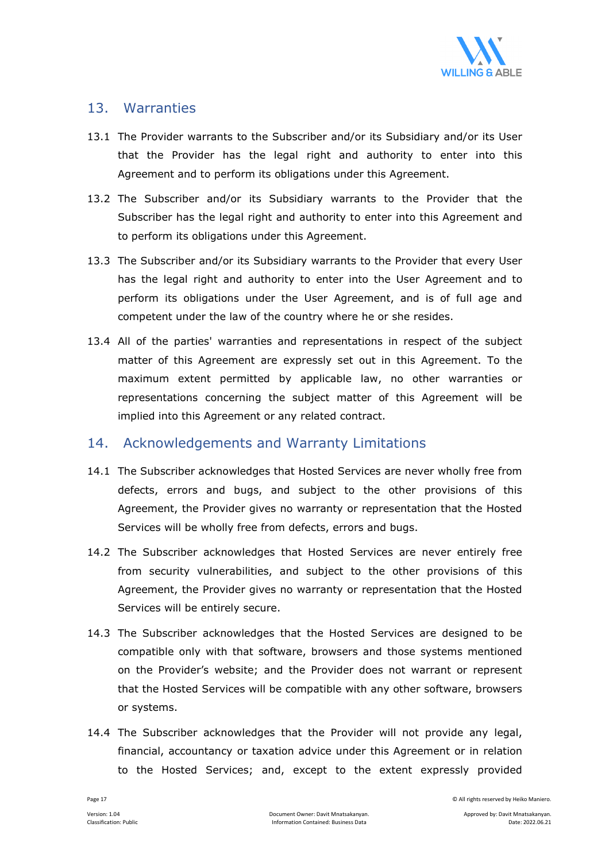

#### 13. Warranties

- 13.1 The Provider warrants to the Subscriber and/or its Subsidiary and/or its User that the Provider has the legal right and authority to enter into this Agreement and to perform its obligations under this Agreement.
- 13.2 The Subscriber and/or its Subsidiary warrants to the Provider that the Subscriber has the legal right and authority to enter into this Agreement and to perform its obligations under this Agreement.
- 13.3 The Subscriber and/or its Subsidiary warrants to the Provider that every User has the legal right and authority to enter into the User Agreement and to perform its obligations under the User Agreement, and is of full age and competent under the law of the country where he or she resides.
- 13.4 All of the parties' warranties and representations in respect of the subject matter of this Agreement are expressly set out in this Agreement. To the maximum extent permitted by applicable law, no other warranties or representations concerning the subject matter of this Agreement will be implied into this Agreement or any related contract.

## 14. Acknowledgements and Warranty Limitations

- 14.1 The Subscriber acknowledges that Hosted Services are never wholly free from defects, errors and bugs, and subject to the other provisions of this Agreement, the Provider gives no warranty or representation that the Hosted Services will be wholly free from defects, errors and bugs.
- 14.2 The Subscriber acknowledges that Hosted Services are never entirely free from security vulnerabilities, and subject to the other provisions of this Agreement, the Provider gives no warranty or representation that the Hosted Services will be entirely secure.
- 14.3 The Subscriber acknowledges that the Hosted Services are designed to be compatible only with that software, browsers and those systems mentioned on the Provider's website; and the Provider does not warrant or represent that the Hosted Services will be compatible with any other software, browsers or systems.
- 14.4 The Subscriber acknowledges that the Provider will not provide any legal, financial, accountancy or taxation advice under this Agreement or in relation to the Hosted Services; and, except to the extent expressly provided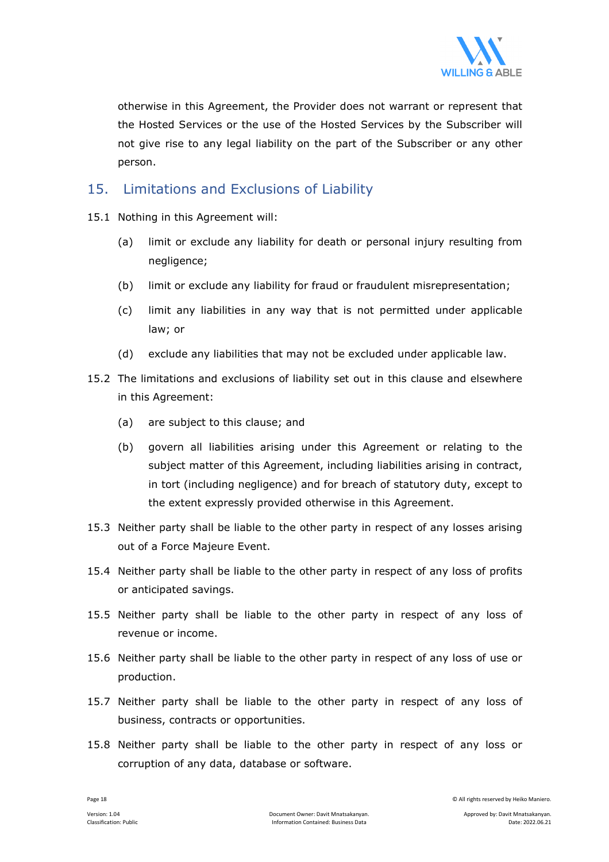

otherwise in this Agreement, the Provider does not warrant or represent that the Hosted Services or the use of the Hosted Services by the Subscriber will not give rise to any legal liability on the part of the Subscriber or any other person.

## 15. Limitations and Exclusions of Liability

- 15.1 Nothing in this Agreement will:
	- (a) limit or exclude any liability for death or personal injury resulting from negligence;
	- (b) limit or exclude any liability for fraud or fraudulent misrepresentation;
	- (c) limit any liabilities in any way that is not permitted under applicable law; or
	- (d) exclude any liabilities that may not be excluded under applicable law.
- 15.2 The limitations and exclusions of liability set out in this clause and elsewhere in this Agreement:
	- (a) are subject to this clause; and
	- (b) govern all liabilities arising under this Agreement or relating to the subject matter of this Agreement, including liabilities arising in contract, in tort (including negligence) and for breach of statutory duty, except to the extent expressly provided otherwise in this Agreement.
- 15.3 Neither party shall be liable to the other party in respect of any losses arising out of a Force Majeure Event.
- 15.4 Neither party shall be liable to the other party in respect of any loss of profits or anticipated savings.
- 15.5 Neither party shall be liable to the other party in respect of any loss of revenue or income.
- 15.6 Neither party shall be liable to the other party in respect of any loss of use or production.
- 15.7 Neither party shall be liable to the other party in respect of any loss of business, contracts or opportunities.
- 15.8 Neither party shall be liable to the other party in respect of any loss or corruption of any data, database or software.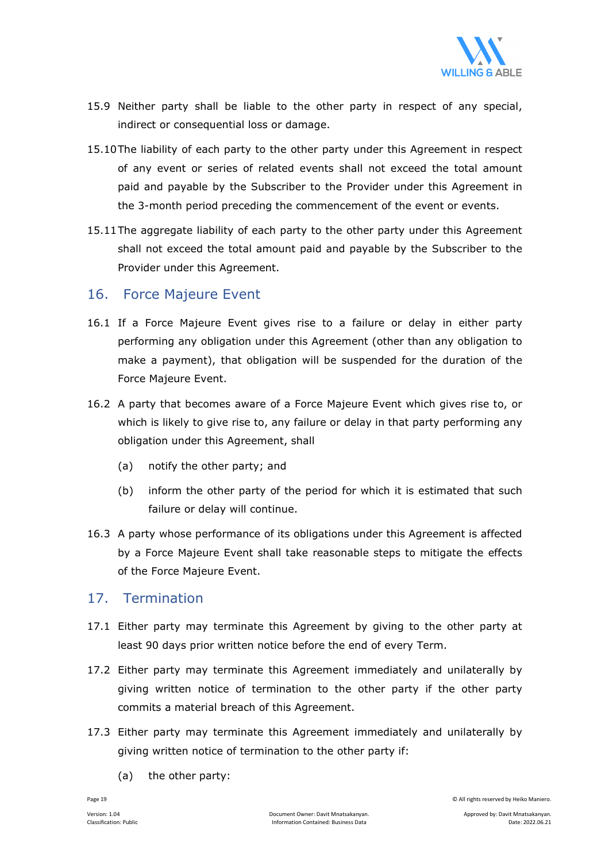

- 15.9 Neither party shall be liable to the other party in respect of any special, indirect or consequential loss or damage.
- 15.10 The liability of each party to the other party under this Agreement in respect of any event or series of related events shall not exceed the total amount paid and payable by the Subscriber to the Provider under this Agreement in the 3-month period preceding the commencement of the event or events.
- 15.11 The aggregate liability of each party to the other party under this Agreement shall not exceed the total amount paid and payable by the Subscriber to the Provider under this Agreement.

#### 16. Force Majeure Event

- 16.1 If a Force Majeure Event gives rise to a failure or delay in either party performing any obligation under this Agreement (other than any obligation to make a payment), that obligation will be suspended for the duration of the Force Majeure Event.
- 16.2 A party that becomes aware of a Force Majeure Event which gives rise to, or which is likely to give rise to, any failure or delay in that party performing any obligation under this Agreement, shall
	- (a) notify the other party; and
	- (b) inform the other party of the period for which it is estimated that such failure or delay will continue.
- 16.3 A party whose performance of its obligations under this Agreement is affected by a Force Majeure Event shall take reasonable steps to mitigate the effects of the Force Majeure Event.

#### 17. Termination

- 17.1 Either party may terminate this Agreement by giving to the other party at least 90 days prior written notice before the end of every Term.
- 17.2 Either party may terminate this Agreement immediately and unilaterally by giving written notice of termination to the other party if the other party commits a material breach of this Agreement.
- 17.3 Either party may terminate this Agreement immediately and unilaterally by giving written notice of termination to the other party if:
	- (a) the other party: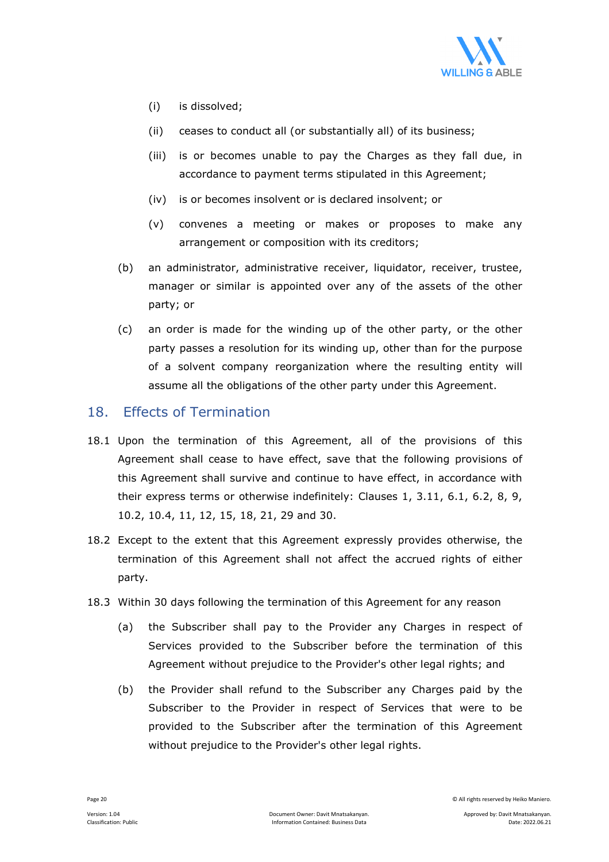

- (i) is dissolved;
- (ii) ceases to conduct all (or substantially all) of its business;
- (iii) is or becomes unable to pay the Charges as they fall due, in accordance to payment terms stipulated in this Agreement;
- (iv) is or becomes insolvent or is declared insolvent; or
- (v) convenes a meeting or makes or proposes to make any arrangement or composition with its creditors;
- (b) an administrator, administrative receiver, liquidator, receiver, trustee, manager or similar is appointed over any of the assets of the other party; or
- (c) an order is made for the winding up of the other party, or the other party passes a resolution for its winding up, other than for the purpose of a solvent company reorganization where the resulting entity will assume all the obligations of the other party under this Agreement.

#### 18. Effects of Termination

- 18.1 Upon the termination of this Agreement, all of the provisions of this Agreement shall cease to have effect, save that the following provisions of this Agreement shall survive and continue to have effect, in accordance with their express terms or otherwise indefinitely: Clauses 1, 3.11, 6.1, 6.2, 8, 9, 10.2, 10.4, 11, 12, 15, 18, 21, 29 and 30.
- 18.2 Except to the extent that this Agreement expressly provides otherwise, the termination of this Agreement shall not affect the accrued rights of either party.
- 18.3 Within 30 days following the termination of this Agreement for any reason
	- (a) the Subscriber shall pay to the Provider any Charges in respect of Services provided to the Subscriber before the termination of this Agreement without prejudice to the Provider's other legal rights; and
	- (b) the Provider shall refund to the Subscriber any Charges paid by the Subscriber to the Provider in respect of Services that were to be provided to the Subscriber after the termination of this Agreement without prejudice to the Provider's other legal rights.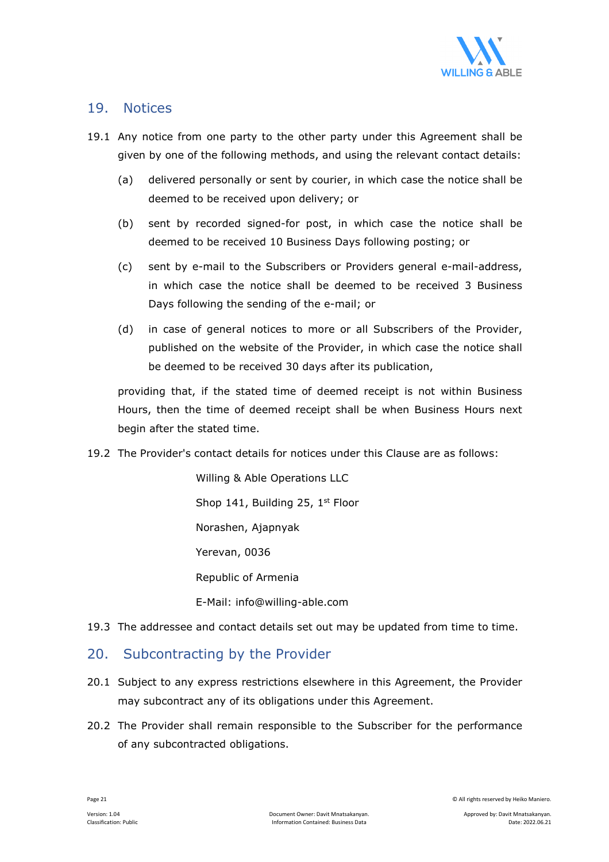

#### 19. Notices

- 19.1 Any notice from one party to the other party under this Agreement shall be given by one of the following methods, and using the relevant contact details:
	- (a) delivered personally or sent by courier, in which case the notice shall be deemed to be received upon delivery; or
	- (b) sent by recorded signed-for post, in which case the notice shall be deemed to be received 10 Business Days following posting; or
	- (c) sent by e-mail to the Subscribers or Providers general e-mail-address, in which case the notice shall be deemed to be received 3 Business Days following the sending of the e-mail; or
	- (d) in case of general notices to more or all Subscribers of the Provider, published on the website of the Provider, in which case the notice shall be deemed to be received 30 days after its publication,

providing that, if the stated time of deemed receipt is not within Business Hours, then the time of deemed receipt shall be when Business Hours next begin after the stated time.

19.2 The Provider's contact details for notices under this Clause are as follows:

 Willing & Able Operations LLC Shop 141, Building 25, 1<sup>st</sup> Floor Norashen, Ajapnyak Yerevan, 0036 Republic of Armenia E-Mail: info@willing-able.com

19.3 The addressee and contact details set out may be updated from time to time.

## 20. Subcontracting by the Provider

- 20.1 Subject to any express restrictions elsewhere in this Agreement, the Provider may subcontract any of its obligations under this Agreement.
- 20.2 The Provider shall remain responsible to the Subscriber for the performance of any subcontracted obligations.

Page 21 © All rights reserved by Heiko Maniero.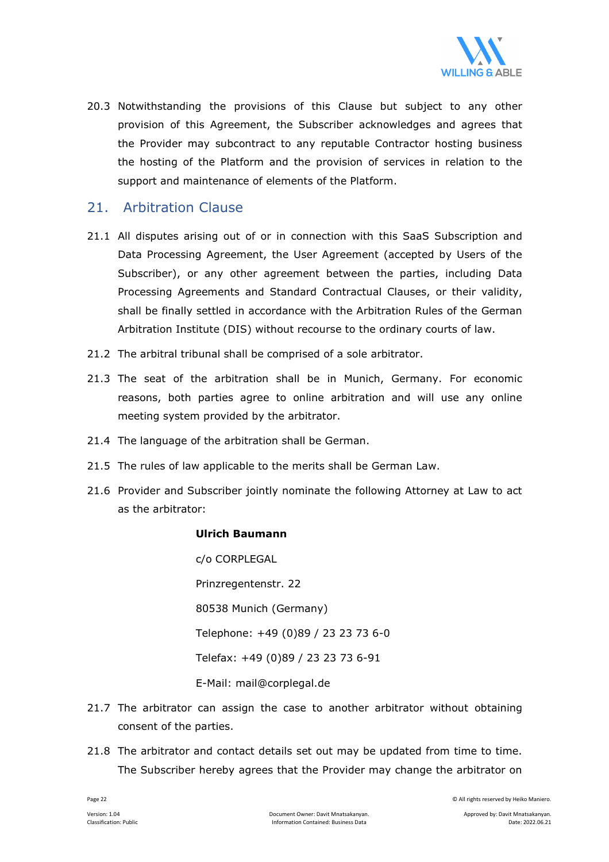

20.3 Notwithstanding the provisions of this Clause but subject to any other provision of this Agreement, the Subscriber acknowledges and agrees that the Provider may subcontract to any reputable Contractor hosting business the hosting of the Platform and the provision of services in relation to the support and maintenance of elements of the Platform.

#### 21. Arbitration Clause

- 21.1 All disputes arising out of or in connection with this SaaS Subscription and Data Processing Agreement, the User Agreement (accepted by Users of the Subscriber), or any other agreement between the parties, including Data Processing Agreements and Standard Contractual Clauses, or their validity, shall be finally settled in accordance with the Arbitration Rules of the German Arbitration Institute (DIS) without recourse to the ordinary courts of law.
- 21.2 The arbitral tribunal shall be comprised of a sole arbitrator.
- 21.3 The seat of the arbitration shall be in Munich, Germany. For economic reasons, both parties agree to online arbitration and will use any online meeting system provided by the arbitrator.
- 21.4 The language of the arbitration shall be German.
- 21.5 The rules of law applicable to the merits shall be German Law.
- 21.6 Provider and Subscriber jointly nominate the following Attorney at Law to act as the arbitrator:

#### **Ulrich Baumann**

 c/o CORPLEGAL Prinzregentenstr. 22 80538 Munich (Germany) Telephone: +49 (0)89 / 23 23 73 6-0 Telefax: +49 (0)89 / 23 23 73 6-91 E-Mail: mail@corplegal.de

- 21.7 The arbitrator can assign the case to another arbitrator without obtaining consent of the parties.
- 21.8 The arbitrator and contact details set out may be updated from time to time. The Subscriber hereby agrees that the Provider may change the arbitrator on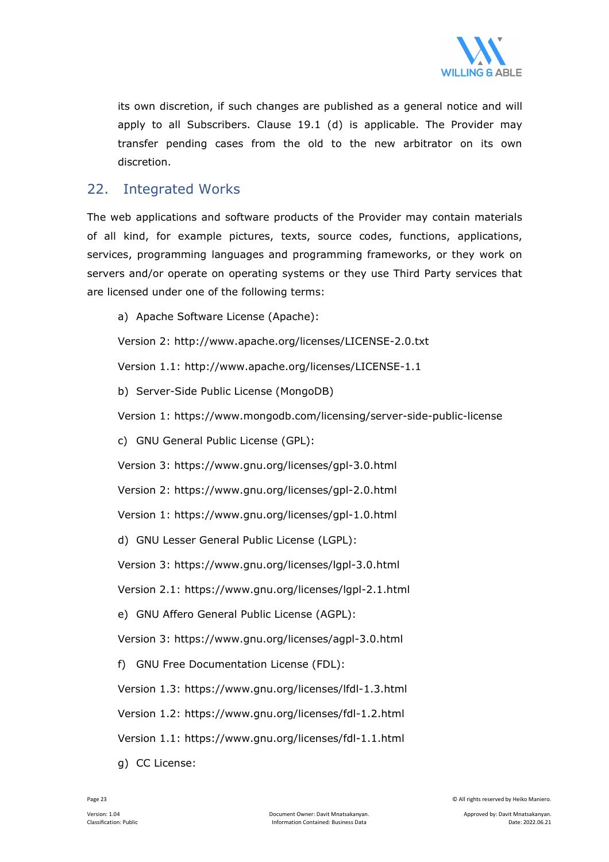

its own discretion, if such changes are published as a general notice and will apply to all Subscribers. Clause 19.1 (d) is applicable. The Provider may transfer pending cases from the old to the new arbitrator on its own discretion.

## 22. Integrated Works

The web applications and software products of the Provider may contain materials of all kind, for example pictures, texts, source codes, functions, applications, services, programming languages and programming frameworks, or they work on servers and/or operate on operating systems or they use Third Party services that are licensed under one of the following terms:

a) Apache Software License (Apache):

Version 2: http://www.apache.org/licenses/LICENSE-2.0.txt

Version 1.1: http://www.apache.org/licenses/LICENSE-1.1

b) Server-Side Public License (MongoDB)

Version 1: https://www.mongodb.com/licensing/server-side-public-license

c) GNU General Public License (GPL):

Version 3: https://www.gnu.org/licenses/gpl-3.0.html

Version 2: https://www.gnu.org/licenses/gpl-2.0.html

Version 1: https://www.gnu.org/licenses/gpl-1.0.html

d) GNU Lesser General Public License (LGPL):

Version 3: https://www.gnu.org/licenses/lgpl-3.0.html

Version 2.1: https://www.gnu.org/licenses/lgpl-2.1.html

e) GNU Affero General Public License (AGPL):

Version 3: https://www.gnu.org/licenses/agpl-3.0.html

f) GNU Free Documentation License (FDL):

Version 1.3: https://www.gnu.org/licenses/lfdl-1.3.html

Version 1.2: https://www.gnu.org/licenses/fdl-1.2.html

Version 1.1: https://www.gnu.org/licenses/fdl-1.1.html

g) CC License: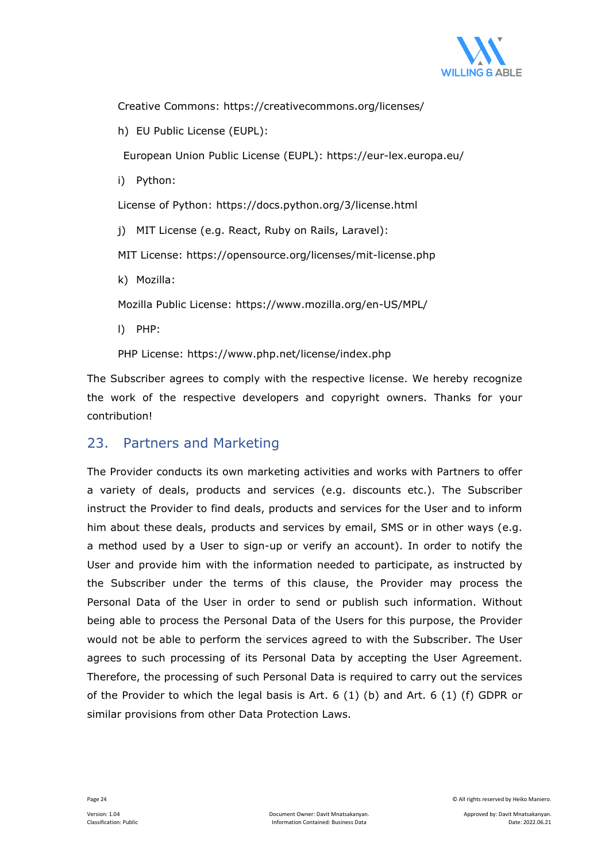

Creative Commons: https://creativecommons.org/licenses/

h) EU Public License (EUPL):

European Union Public License (EUPL): https://eur-lex.europa.eu/

i) Python:

License of Python: https://docs.python.org/3/license.html

j) MIT License (e.g. React, Ruby on Rails, Laravel):

MIT License: https://opensource.org/licenses/mit-license.php

k) Mozilla:

Mozilla Public License: https://www.mozilla.org/en-US/MPL/

l) PHP:

PHP License: https://www.php.net/license/index.php

The Subscriber agrees to comply with the respective license. We hereby recognize the work of the respective developers and copyright owners. Thanks for your contribution!

## 23. Partners and Marketing

The Provider conducts its own marketing activities and works with Partners to offer a variety of deals, products and services (e.g. discounts etc.). The Subscriber instruct the Provider to find deals, products and services for the User and to inform him about these deals, products and services by email, SMS or in other ways (e.g. a method used by a User to sign-up or verify an account). In order to notify the User and provide him with the information needed to participate, as instructed by the Subscriber under the terms of this clause, the Provider may process the Personal Data of the User in order to send or publish such information. Without being able to process the Personal Data of the Users for this purpose, the Provider would not be able to perform the services agreed to with the Subscriber. The User agrees to such processing of its Personal Data by accepting the User Agreement. Therefore, the processing of such Personal Data is required to carry out the services of the Provider to which the legal basis is Art. 6 (1) (b) and Art. 6 (1) (f) GDPR or similar provisions from other Data Protection Laws.

Page 24 © All rights reserved by Heiko Maniero.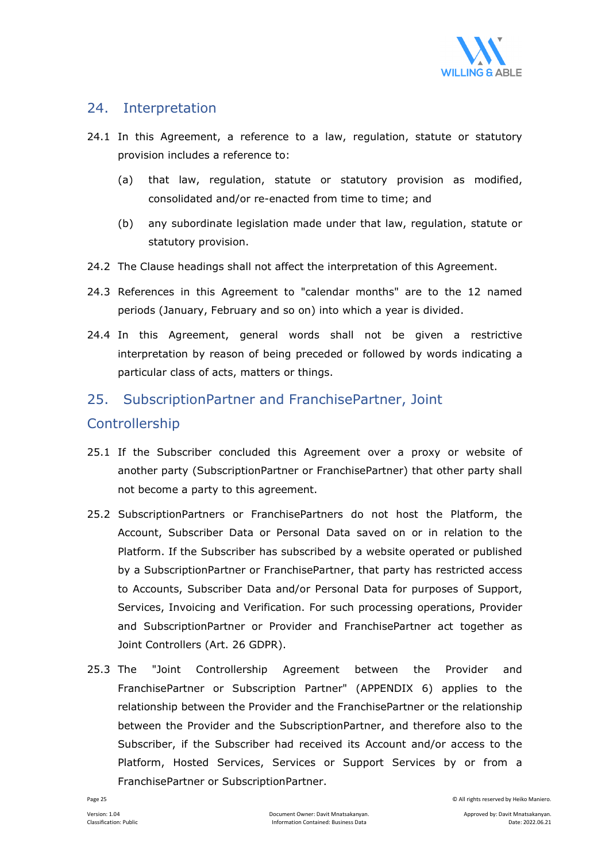

## 24. Interpretation

- 24.1 In this Agreement, a reference to a law, regulation, statute or statutory provision includes a reference to:
	- (a) that law, regulation, statute or statutory provision as modified, consolidated and/or re-enacted from time to time; and
	- (b) any subordinate legislation made under that law, regulation, statute or statutory provision.
- 24.2 The Clause headings shall not affect the interpretation of this Agreement.
- 24.3 References in this Agreement to "calendar months" are to the 12 named periods (January, February and so on) into which a year is divided.
- 24.4 In this Agreement, general words shall not be given a restrictive interpretation by reason of being preceded or followed by words indicating a particular class of acts, matters or things.

## 25. SubscriptionPartner and FranchisePartner, Joint

## Controllership

- 25.1 If the Subscriber concluded this Agreement over a proxy or website of another party (SubscriptionPartner or FranchisePartner) that other party shall not become a party to this agreement.
- 25.2 SubscriptionPartners or FranchisePartners do not host the Platform, the Account, Subscriber Data or Personal Data saved on or in relation to the Platform. If the Subscriber has subscribed by a website operated or published by a SubscriptionPartner or FranchisePartner, that party has restricted access to Accounts, Subscriber Data and/or Personal Data for purposes of Support, Services, Invoicing and Verification. For such processing operations, Provider and SubscriptionPartner or Provider and FranchisePartner act together as Joint Controllers (Art. 26 GDPR).
- 25.3 The "Joint Controllership Agreement between the Provider and FranchisePartner or Subscription Partner" (APPENDIX 6) applies to the relationship between the Provider and the FranchisePartner or the relationship between the Provider and the SubscriptionPartner, and therefore also to the Subscriber, if the Subscriber had received its Account and/or access to the Platform, Hosted Services, Services or Support Services by or from a FranchisePartner or SubscriptionPartner.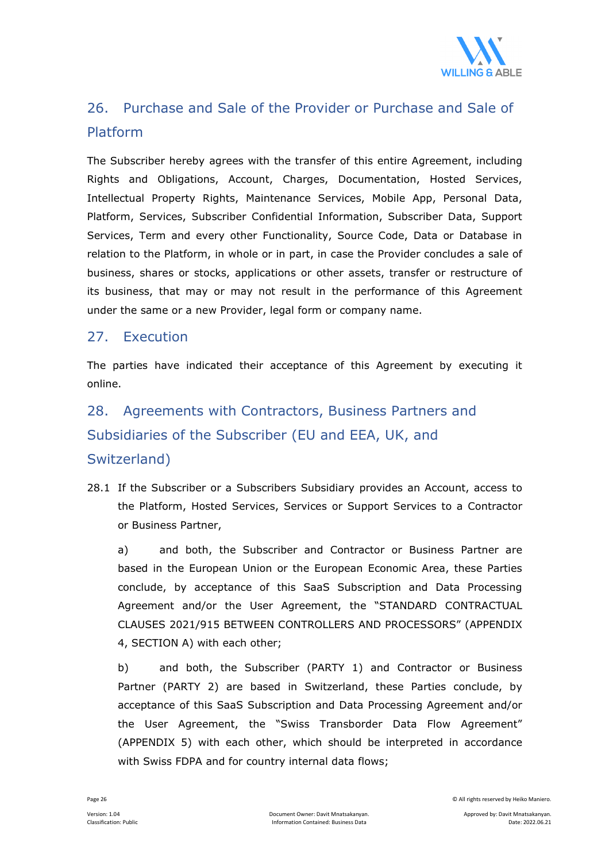

## 26. Purchase and Sale of the Provider or Purchase and Sale of Platform

The Subscriber hereby agrees with the transfer of this entire Agreement, including Rights and Obligations, Account, Charges, Documentation, Hosted Services, Intellectual Property Rights, Maintenance Services, Mobile App, Personal Data, Platform, Services, Subscriber Confidential Information, Subscriber Data, Support Services, Term and every other Functionality, Source Code, Data or Database in relation to the Platform, in whole or in part, in case the Provider concludes a sale of business, shares or stocks, applications or other assets, transfer or restructure of its business, that may or may not result in the performance of this Agreement under the same or a new Provider, legal form or company name.

## 27. Execution

The parties have indicated their acceptance of this Agreement by executing it online.

# 28. Agreements with Contractors, Business Partners and Subsidiaries of the Subscriber (EU and EEA, UK, and Switzerland)

28.1 If the Subscriber or a Subscribers Subsidiary provides an Account, access to the Platform, Hosted Services, Services or Support Services to a Contractor or Business Partner,

 a) and both, the Subscriber and Contractor or Business Partner are based in the European Union or the European Economic Area, these Parties conclude, by acceptance of this SaaS Subscription and Data Processing Agreement and/or the User Agreement, the "STANDARD CONTRACTUAL CLAUSES 2021/915 BETWEEN CONTROLLERS AND PROCESSORS" (APPENDIX 4, SECTION A) with each other;

 b) and both, the Subscriber (PARTY 1) and Contractor or Business Partner (PARTY 2) are based in Switzerland, these Parties conclude, by acceptance of this SaaS Subscription and Data Processing Agreement and/or the User Agreement, the "Swiss Transborder Data Flow Agreement" (APPENDIX 5) with each other, which should be interpreted in accordance with Swiss FDPA and for country internal data flows;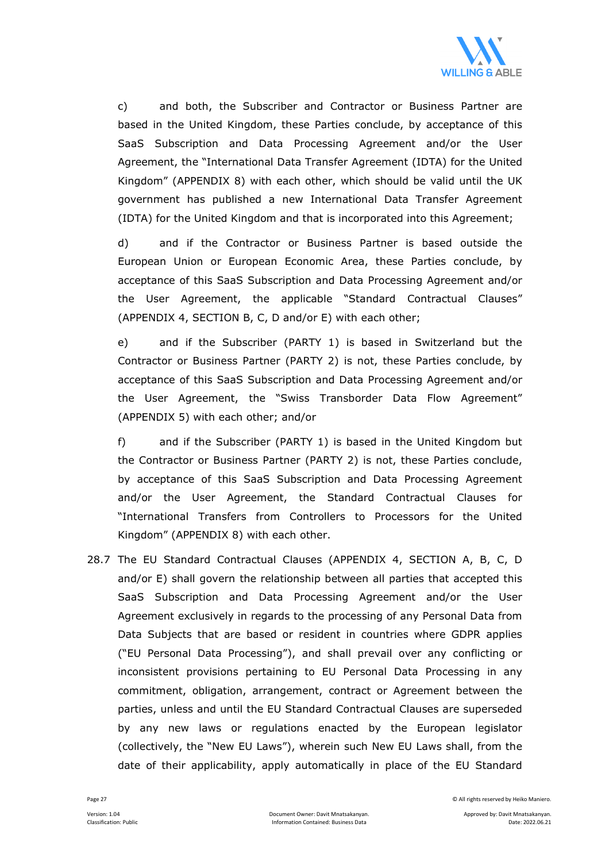

 c) and both, the Subscriber and Contractor or Business Partner are based in the United Kingdom, these Parties conclude, by acceptance of this SaaS Subscription and Data Processing Agreement and/or the User Agreement, the "International Data Transfer Agreement (IDTA) for the United Kingdom" (APPENDIX 8) with each other, which should be valid until the UK government has published a new International Data Transfer Agreement (IDTA) for the United Kingdom and that is incorporated into this Agreement;

 d) and if the Contractor or Business Partner is based outside the European Union or European Economic Area, these Parties conclude, by acceptance of this SaaS Subscription and Data Processing Agreement and/or the User Agreement, the applicable "Standard Contractual Clauses" (APPENDIX 4, SECTION B, C, D and/or E) with each other;

 e) and if the Subscriber (PARTY 1) is based in Switzerland but the Contractor or Business Partner (PARTY 2) is not, these Parties conclude, by acceptance of this SaaS Subscription and Data Processing Agreement and/or the User Agreement, the "Swiss Transborder Data Flow Agreement" (APPENDIX 5) with each other; and/or

 f) and if the Subscriber (PARTY 1) is based in the United Kingdom but the Contractor or Business Partner (PARTY 2) is not, these Parties conclude, by acceptance of this SaaS Subscription and Data Processing Agreement and/or the User Agreement, the Standard Contractual Clauses for "International Transfers from Controllers to Processors for the United Kingdom" (APPENDIX 8) with each other.

28.7 The EU Standard Contractual Clauses (APPENDIX 4, SECTION A, B, C, D and/or E) shall govern the relationship between all parties that accepted this SaaS Subscription and Data Processing Agreement and/or the User Agreement exclusively in regards to the processing of any Personal Data from Data Subjects that are based or resident in countries where GDPR applies ("EU Personal Data Processing"), and shall prevail over any conflicting or inconsistent provisions pertaining to EU Personal Data Processing in any commitment, obligation, arrangement, contract or Agreement between the parties, unless and until the EU Standard Contractual Clauses are superseded by any new laws or regulations enacted by the European legislator (collectively, the "New EU Laws"), wherein such New EU Laws shall, from the date of their applicability, apply automatically in place of the EU Standard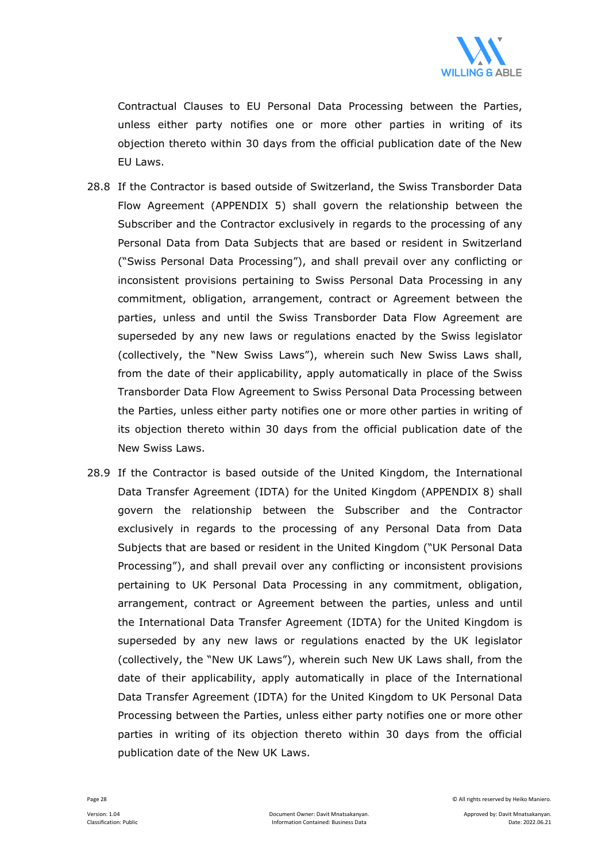

Contractual Clauses to EU Personal Data Processing between the Parties, unless either party notifies one or more other parties in writing of its objection thereto within 30 days from the official publication date of the New EU Laws.

- 28.8 If the Contractor is based outside of Switzerland, the Swiss Transborder Data Flow Agreement (APPENDIX 5) shall govern the relationship between the Subscriber and the Contractor exclusively in regards to the processing of any Personal Data from Data Subjects that are based or resident in Switzerland ("Swiss Personal Data Processing"), and shall prevail over any conflicting or inconsistent provisions pertaining to Swiss Personal Data Processing in any commitment, obligation, arrangement, contract or Agreement between the parties, unless and until the Swiss Transborder Data Flow Agreement are superseded by any new laws or regulations enacted by the Swiss legislator (collectively, the "New Swiss Laws"), wherein such New Swiss Laws shall, from the date of their applicability, apply automatically in place of the Swiss Transborder Data Flow Agreement to Swiss Personal Data Processing between the Parties, unless either party notifies one or more other parties in writing of its objection thereto within 30 days from the official publication date of the New Swiss Laws.
- 28.9 If the Contractor is based outside of the United Kingdom, the International Data Transfer Agreement (IDTA) for the United Kingdom (APPENDIX 8) shall govern the relationship between the Subscriber and the Contractor exclusively in regards to the processing of any Personal Data from Data Subjects that are based or resident in the United Kingdom ("UK Personal Data Processing"), and shall prevail over any conflicting or inconsistent provisions pertaining to UK Personal Data Processing in any commitment, obligation, arrangement, contract or Agreement between the parties, unless and until the International Data Transfer Agreement (IDTA) for the United Kingdom is superseded by any new laws or regulations enacted by the UK legislator (collectively, the "New UK Laws"), wherein such New UK Laws shall, from the date of their applicability, apply automatically in place of the International Data Transfer Agreement (IDTA) for the United Kingdom to UK Personal Data Processing between the Parties, unless either party notifies one or more other parties in writing of its objection thereto within 30 days from the official publication date of the New UK Laws.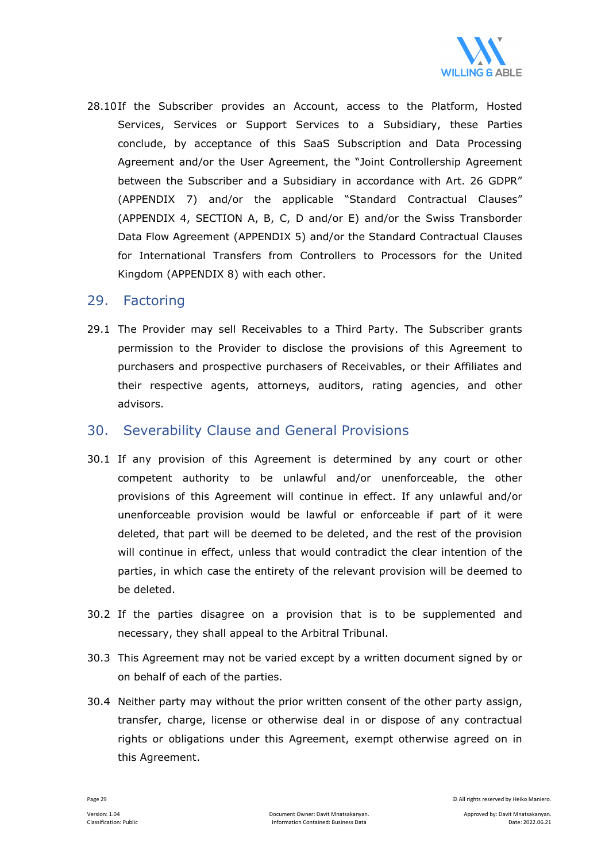

28.10If the Subscriber provides an Account, access to the Platform, Hosted Services, Services or Support Services to a Subsidiary, these Parties conclude, by acceptance of this SaaS Subscription and Data Processing Agreement and/or the User Agreement, the "Joint Controllership Agreement between the Subscriber and a Subsidiary in accordance with Art. 26 GDPR" (APPENDIX 7) and/or the applicable "Standard Contractual Clauses" (APPENDIX 4, SECTION A, B, C, D and/or E) and/or the Swiss Transborder Data Flow Agreement (APPENDIX 5) and/or the Standard Contractual Clauses for International Transfers from Controllers to Processors for the United Kingdom (APPENDIX 8) with each other.

#### 29. Factoring

29.1 The Provider may sell Receivables to a Third Party. The Subscriber grants permission to the Provider to disclose the provisions of this Agreement to purchasers and prospective purchasers of Receivables, or their Affiliates and their respective agents, attorneys, auditors, rating agencies, and other advisors.

#### 30. Severability Clause and General Provisions

- 30.1 If any provision of this Agreement is determined by any court or other competent authority to be unlawful and/or unenforceable, the other provisions of this Agreement will continue in effect. If any unlawful and/or unenforceable provision would be lawful or enforceable if part of it were deleted, that part will be deemed to be deleted, and the rest of the provision will continue in effect, unless that would contradict the clear intention of the parties, in which case the entirety of the relevant provision will be deemed to be deleted.
- 30.2 If the parties disagree on a provision that is to be supplemented and necessary, they shall appeal to the Arbitral Tribunal.
- 30.3 This Agreement may not be varied except by a written document signed by or on behalf of each of the parties.
- 30.4 Neither party may without the prior written consent of the other party assign, transfer, charge, license or otherwise deal in or dispose of any contractual rights or obligations under this Agreement, exempt otherwise agreed on in this Agreement.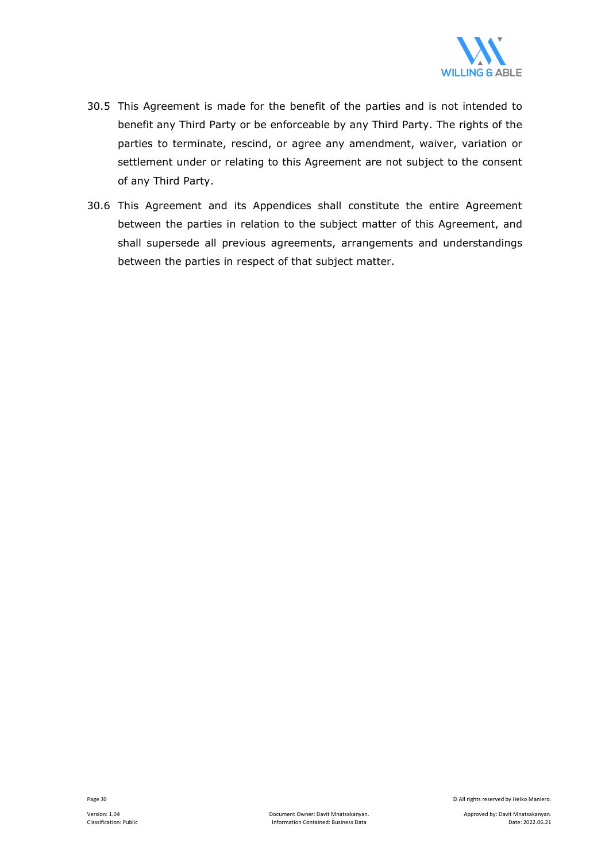

- 30.5 This Agreement is made for the benefit of the parties and is not intended to benefit any Third Party or be enforceable by any Third Party. The rights of the parties to terminate, rescind, or agree any amendment, waiver, variation or settlement under or relating to this Agreement are not subject to the consent of any Third Party.
- 30.6 This Agreement and its Appendices shall constitute the entire Agreement between the parties in relation to the subject matter of this Agreement, and shall supersede all previous agreements, arrangements and understandings between the parties in respect of that subject matter.

Page 30 © All rights reserved by Heiko Maniero.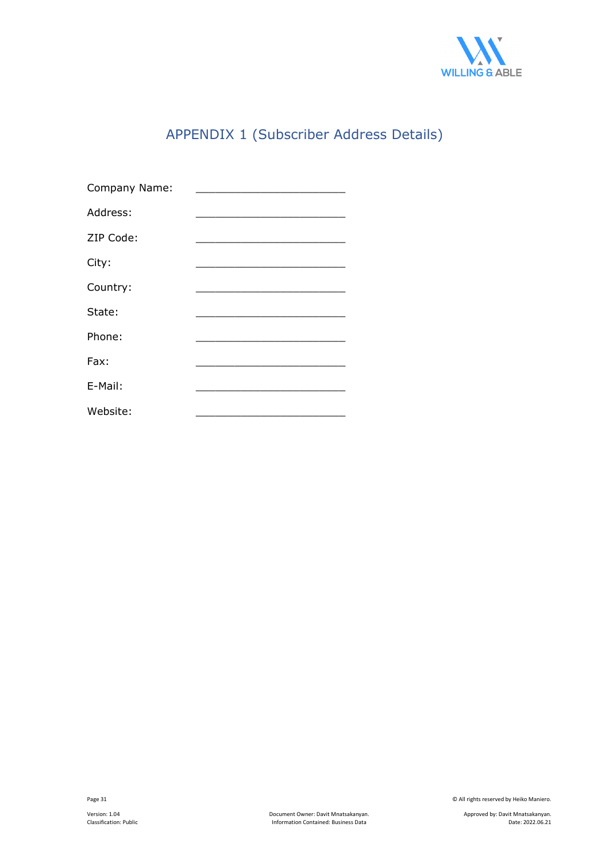

## APPENDIX 1 (Subscriber Address Details)

| Company Name: |                                                  |
|---------------|--------------------------------------------------|
| Address:      |                                                  |
| ZIP Code:     | the control of the control of the control of the |
| City:         |                                                  |
| Country:      |                                                  |
| State:        |                                                  |
| Phone:        |                                                  |
| Fax:          |                                                  |
| E-Mail:       |                                                  |
| Website:      |                                                  |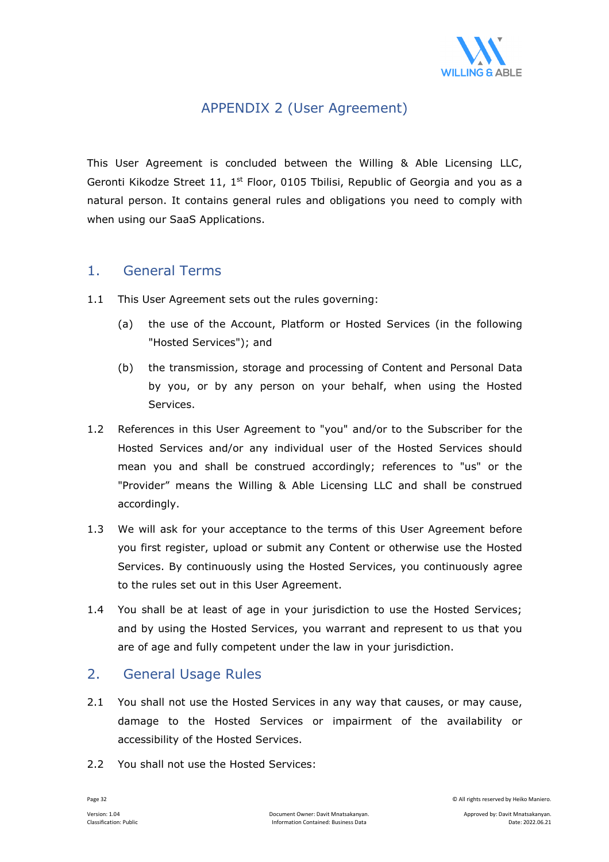

## APPENDIX 2 (User Agreement)

This User Agreement is concluded between the Willing & Able Licensing LLC, Geronti Kikodze Street 11, 1<sup>st</sup> Floor, 0105 Tbilisi, Republic of Georgia and you as a natural person. It contains general rules and obligations you need to comply with when using our SaaS Applications.

## 1. General Terms

- 1.1 This User Agreement sets out the rules governing:
	- (a) the use of the Account, Platform or Hosted Services (in the following "Hosted Services"); and
	- (b) the transmission, storage and processing of Content and Personal Data by you, or by any person on your behalf, when using the Hosted Services.
- 1.2 References in this User Agreement to "you" and/or to the Subscriber for the Hosted Services and/or any individual user of the Hosted Services should mean you and shall be construed accordingly; references to "us" or the "Provider" means the Willing & Able Licensing LLC and shall be construed accordingly.
- 1.3 We will ask for your acceptance to the terms of this User Agreement before you first register, upload or submit any Content or otherwise use the Hosted Services. By continuously using the Hosted Services, you continuously agree to the rules set out in this User Agreement.
- 1.4 You shall be at least of age in your jurisdiction to use the Hosted Services; and by using the Hosted Services, you warrant and represent to us that you are of age and fully competent under the law in your jurisdiction.

## 2. General Usage Rules

- 2.1 You shall not use the Hosted Services in any way that causes, or may cause, damage to the Hosted Services or impairment of the availability or accessibility of the Hosted Services.
- 2.2 You shall not use the Hosted Services: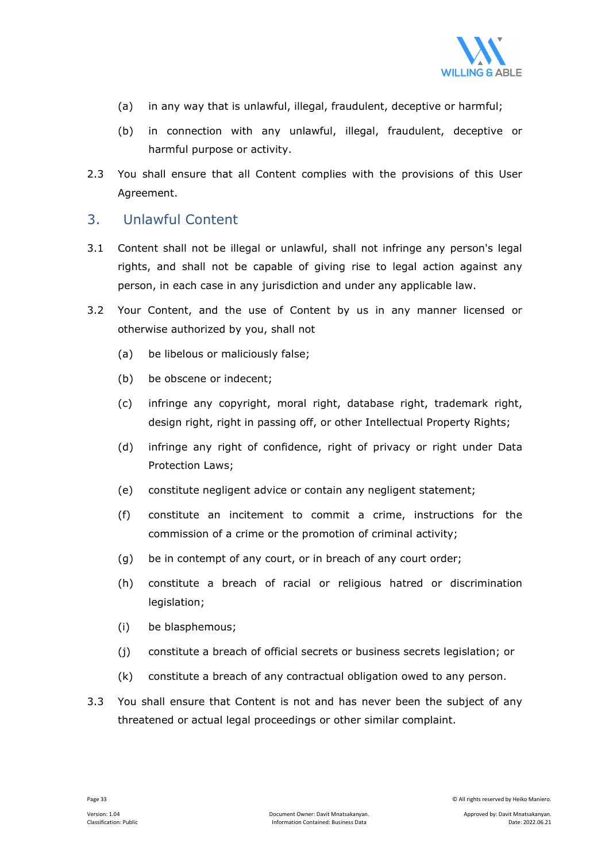

- (a) in any way that is unlawful, illegal, fraudulent, deceptive or harmful;
- (b) in connection with any unlawful, illegal, fraudulent, deceptive or harmful purpose or activity.
- 2.3 You shall ensure that all Content complies with the provisions of this User Agreement.

## 3. Unlawful Content

- 3.1 Content shall not be illegal or unlawful, shall not infringe any person's legal rights, and shall not be capable of giving rise to legal action against any person, in each case in any jurisdiction and under any applicable law.
- 3.2 Your Content, and the use of Content by us in any manner licensed or otherwise authorized by you, shall not
	- (a) be libelous or maliciously false;
	- (b) be obscene or indecent;
	- (c) infringe any copyright, moral right, database right, trademark right, design right, right in passing off, or other Intellectual Property Rights;
	- (d) infringe any right of confidence, right of privacy or right under Data Protection Laws;
	- (e) constitute negligent advice or contain any negligent statement;
	- (f) constitute an incitement to commit a crime, instructions for the commission of a crime or the promotion of criminal activity;
	- (g) be in contempt of any court, or in breach of any court order;
	- (h) constitute a breach of racial or religious hatred or discrimination legislation;
	- (i) be blasphemous;
	- (j) constitute a breach of official secrets or business secrets legislation; or
	- (k) constitute a breach of any contractual obligation owed to any person.
- 3.3 You shall ensure that Content is not and has never been the subject of any threatened or actual legal proceedings or other similar complaint.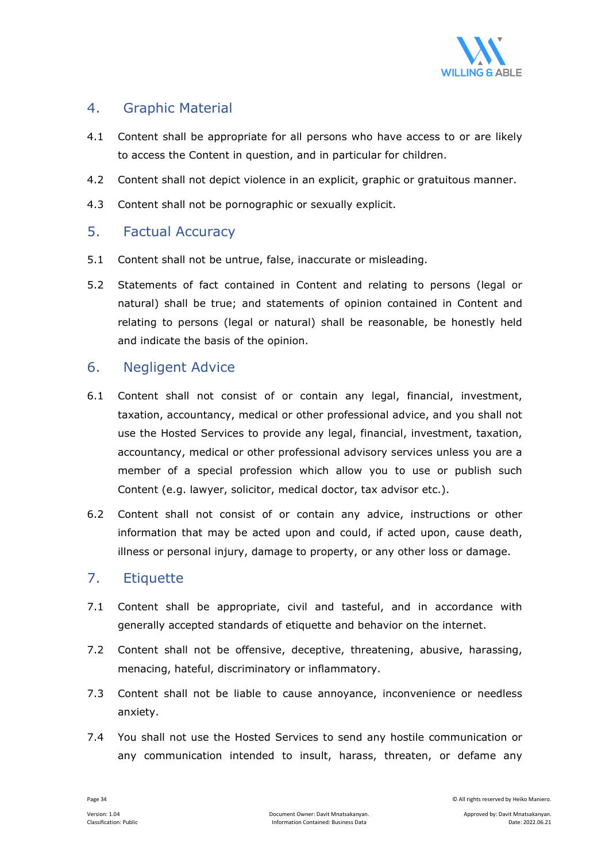

## 4. Graphic Material

- 4.1 Content shall be appropriate for all persons who have access to or are likely to access the Content in question, and in particular for children.
- 4.2 Content shall not depict violence in an explicit, graphic or gratuitous manner.
- 4.3 Content shall not be pornographic or sexually explicit.

## 5. Factual Accuracy

- 5.1 Content shall not be untrue, false, inaccurate or misleading.
- 5.2 Statements of fact contained in Content and relating to persons (legal or natural) shall be true; and statements of opinion contained in Content and relating to persons (legal or natural) shall be reasonable, be honestly held and indicate the basis of the opinion.

#### 6. Negligent Advice

- 6.1 Content shall not consist of or contain any legal, financial, investment, taxation, accountancy, medical or other professional advice, and you shall not use the Hosted Services to provide any legal, financial, investment, taxation, accountancy, medical or other professional advisory services unless you are a member of a special profession which allow you to use or publish such Content (e.g. lawyer, solicitor, medical doctor, tax advisor etc.).
- 6.2 Content shall not consist of or contain any advice, instructions or other information that may be acted upon and could, if acted upon, cause death, illness or personal injury, damage to property, or any other loss or damage.

## 7. Etiquette

- 7.1 Content shall be appropriate, civil and tasteful, and in accordance with generally accepted standards of etiquette and behavior on the internet.
- 7.2 Content shall not be offensive, deceptive, threatening, abusive, harassing, menacing, hateful, discriminatory or inflammatory.
- 7.3 Content shall not be liable to cause annoyance, inconvenience or needless anxiety.
- 7.4 You shall not use the Hosted Services to send any hostile communication or any communication intended to insult, harass, threaten, or defame any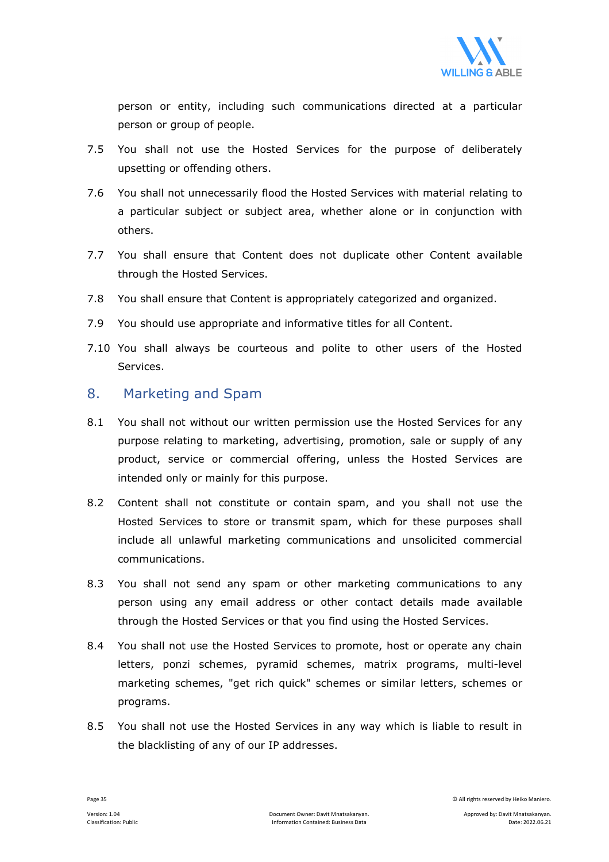

person or entity, including such communications directed at a particular person or group of people.

- 7.5 You shall not use the Hosted Services for the purpose of deliberately upsetting or offending others.
- 7.6 You shall not unnecessarily flood the Hosted Services with material relating to a particular subject or subject area, whether alone or in conjunction with others.
- 7.7 You shall ensure that Content does not duplicate other Content available through the Hosted Services.
- 7.8 You shall ensure that Content is appropriately categorized and organized.
- 7.9 You should use appropriate and informative titles for all Content.
- 7.10 You shall always be courteous and polite to other users of the Hosted Services.

#### 8. Marketing and Spam

- 8.1 You shall not without our written permission use the Hosted Services for any purpose relating to marketing, advertising, promotion, sale or supply of any product, service or commercial offering, unless the Hosted Services are intended only or mainly for this purpose.
- 8.2 Content shall not constitute or contain spam, and you shall not use the Hosted Services to store or transmit spam, which for these purposes shall include all unlawful marketing communications and unsolicited commercial communications.
- 8.3 You shall not send any spam or other marketing communications to any person using any email address or other contact details made available through the Hosted Services or that you find using the Hosted Services.
- 8.4 You shall not use the Hosted Services to promote, host or operate any chain letters, ponzi schemes, pyramid schemes, matrix programs, multi-level marketing schemes, "get rich quick" schemes or similar letters, schemes or programs.
- 8.5 You shall not use the Hosted Services in any way which is liable to result in the blacklisting of any of our IP addresses.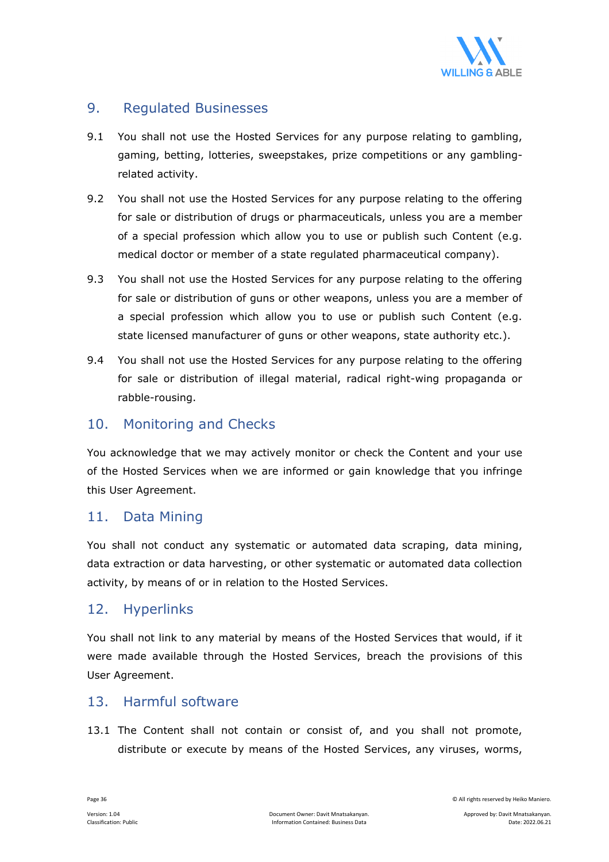

## 9. Regulated Businesses

- 9.1 You shall not use the Hosted Services for any purpose relating to gambling, gaming, betting, lotteries, sweepstakes, prize competitions or any gamblingrelated activity.
- 9.2 You shall not use the Hosted Services for any purpose relating to the offering for sale or distribution of drugs or pharmaceuticals, unless you are a member of a special profession which allow you to use or publish such Content (e.g. medical doctor or member of a state regulated pharmaceutical company).
- 9.3 You shall not use the Hosted Services for any purpose relating to the offering for sale or distribution of guns or other weapons, unless you are a member of a special profession which allow you to use or publish such Content (e.g. state licensed manufacturer of guns or other weapons, state authority etc.).
- 9.4 You shall not use the Hosted Services for any purpose relating to the offering for sale or distribution of illegal material, radical right-wing propaganda or rabble-rousing.

#### 10. Monitoring and Checks

You acknowledge that we may actively monitor or check the Content and your use of the Hosted Services when we are informed or gain knowledge that you infringe this User Agreement.

#### 11. Data Mining

You shall not conduct any systematic or automated data scraping, data mining, data extraction or data harvesting, or other systematic or automated data collection activity, by means of or in relation to the Hosted Services.

#### 12. Hyperlinks

You shall not link to any material by means of the Hosted Services that would, if it were made available through the Hosted Services, breach the provisions of this User Agreement.

## 13. Harmful software

13.1 The Content shall not contain or consist of, and you shall not promote, distribute or execute by means of the Hosted Services, any viruses, worms,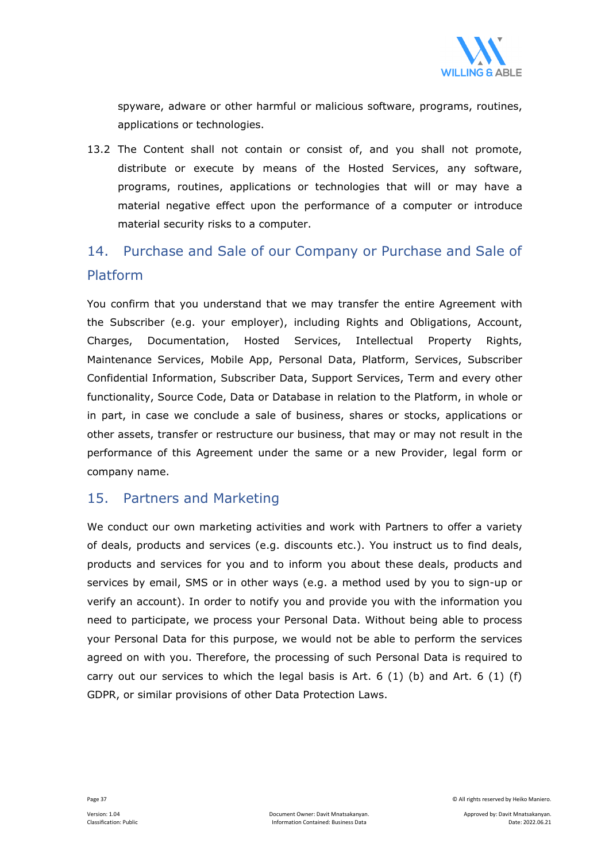

spyware, adware or other harmful or malicious software, programs, routines, applications or technologies.

13.2 The Content shall not contain or consist of, and you shall not promote, distribute or execute by means of the Hosted Services, any software, programs, routines, applications or technologies that will or may have a material negative effect upon the performance of a computer or introduce material security risks to a computer.

## 14. Purchase and Sale of our Company or Purchase and Sale of Platform

You confirm that you understand that we may transfer the entire Agreement with the Subscriber (e.g. your employer), including Rights and Obligations, Account, Charges, Documentation, Hosted Services, Intellectual Property Rights, Maintenance Services, Mobile App, Personal Data, Platform, Services, Subscriber Confidential Information, Subscriber Data, Support Services, Term and every other functionality, Source Code, Data or Database in relation to the Platform, in whole or in part, in case we conclude a sale of business, shares or stocks, applications or other assets, transfer or restructure our business, that may or may not result in the performance of this Agreement under the same or a new Provider, legal form or company name.

## 15. Partners and Marketing

We conduct our own marketing activities and work with Partners to offer a variety of deals, products and services (e.g. discounts etc.). You instruct us to find deals, products and services for you and to inform you about these deals, products and services by email, SMS or in other ways (e.g. a method used by you to sign-up or verify an account). In order to notify you and provide you with the information you need to participate, we process your Personal Data. Without being able to process your Personal Data for this purpose, we would not be able to perform the services agreed on with you. Therefore, the processing of such Personal Data is required to carry out our services to which the legal basis is Art. 6  $(1)$  (b) and Art. 6  $(1)$  (f) GDPR, or similar provisions of other Data Protection Laws.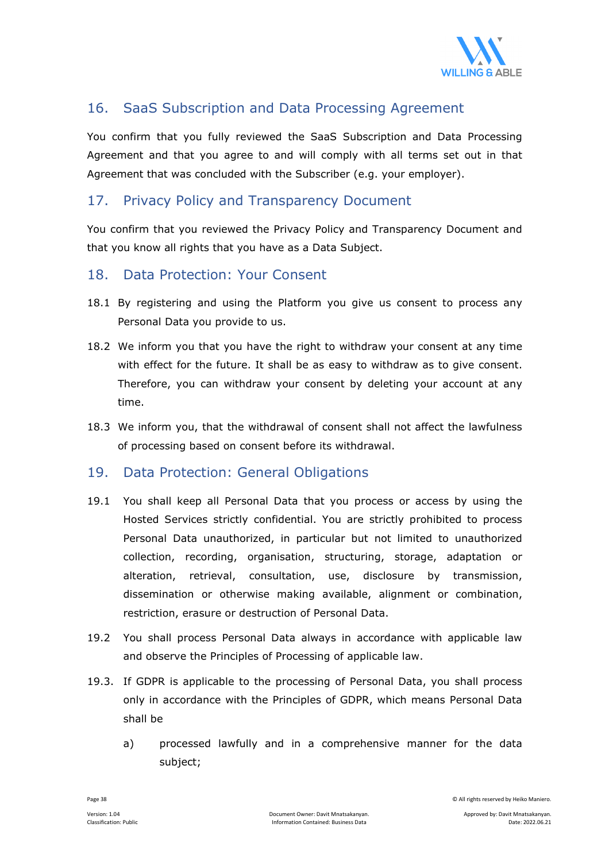

## 16. SaaS Subscription and Data Processing Agreement

You confirm that you fully reviewed the SaaS Subscription and Data Processing Agreement and that you agree to and will comply with all terms set out in that Agreement that was concluded with the Subscriber (e.g. your employer).

## 17. Privacy Policy and Transparency Document

You confirm that you reviewed the Privacy Policy and Transparency Document and that you know all rights that you have as a Data Subject.

## 18. Data Protection: Your Consent

- 18.1 By registering and using the Platform you give us consent to process any Personal Data you provide to us.
- 18.2 We inform you that you have the right to withdraw your consent at any time with effect for the future. It shall be as easy to withdraw as to give consent. Therefore, you can withdraw your consent by deleting your account at any time.
- 18.3 We inform you, that the withdrawal of consent shall not affect the lawfulness of processing based on consent before its withdrawal.

## 19. Data Protection: General Obligations

- 19.1 You shall keep all Personal Data that you process or access by using the Hosted Services strictly confidential. You are strictly prohibited to process Personal Data unauthorized, in particular but not limited to unauthorized collection, recording, organisation, structuring, storage, adaptation or alteration, retrieval, consultation, use, disclosure by transmission, dissemination or otherwise making available, alignment or combination, restriction, erasure or destruction of Personal Data.
- 19.2 You shall process Personal Data always in accordance with applicable law and observe the Principles of Processing of applicable law.
- 19.3. If GDPR is applicable to the processing of Personal Data, you shall process only in accordance with the Principles of GDPR, which means Personal Data shall be
	- a) processed lawfully and in a comprehensive manner for the data subject;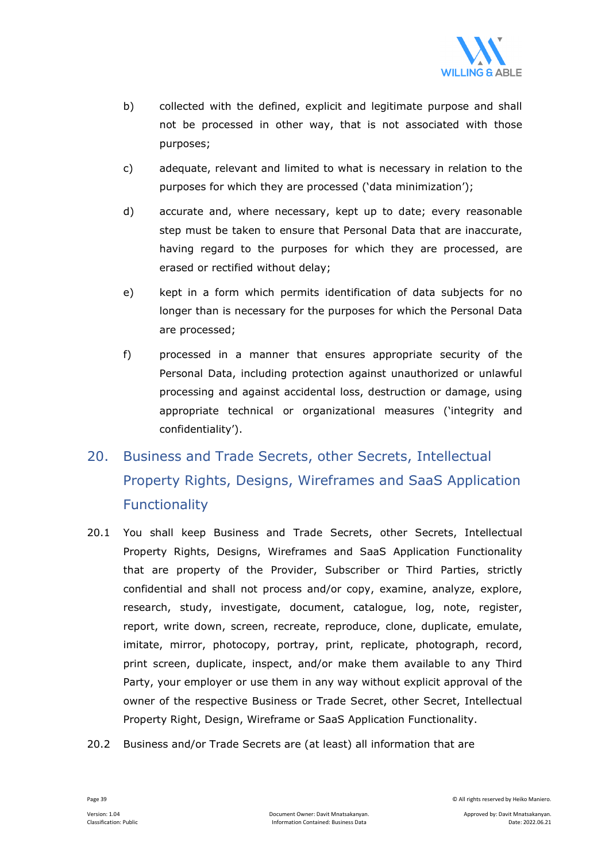

- b) collected with the defined, explicit and legitimate purpose and shall not be processed in other way, that is not associated with those purposes;
- c) adequate, relevant and limited to what is necessary in relation to the purposes for which they are processed ('data minimization');
- d) accurate and, where necessary, kept up to date; every reasonable step must be taken to ensure that Personal Data that are inaccurate, having regard to the purposes for which they are processed, are erased or rectified without delay;
- e) kept in a form which permits identification of data subjects for no longer than is necessary for the purposes for which the Personal Data are processed;
- f) processed in a manner that ensures appropriate security of the Personal Data, including protection against unauthorized or unlawful processing and against accidental loss, destruction or damage, using appropriate technical or organizational measures ('integrity and confidentiality').

# 20. Business and Trade Secrets, other Secrets, Intellectual Property Rights, Designs, Wireframes and SaaS Application Functionality

- 20.1 You shall keep Business and Trade Secrets, other Secrets, Intellectual Property Rights, Designs, Wireframes and SaaS Application Functionality that are property of the Provider, Subscriber or Third Parties, strictly confidential and shall not process and/or copy, examine, analyze, explore, research, study, investigate, document, catalogue, log, note, register, report, write down, screen, recreate, reproduce, clone, duplicate, emulate, imitate, mirror, photocopy, portray, print, replicate, photograph, record, print screen, duplicate, inspect, and/or make them available to any Third Party, your employer or use them in any way without explicit approval of the owner of the respective Business or Trade Secret, other Secret, Intellectual Property Right, Design, Wireframe or SaaS Application Functionality.
- 20.2 Business and/or Trade Secrets are (at least) all information that are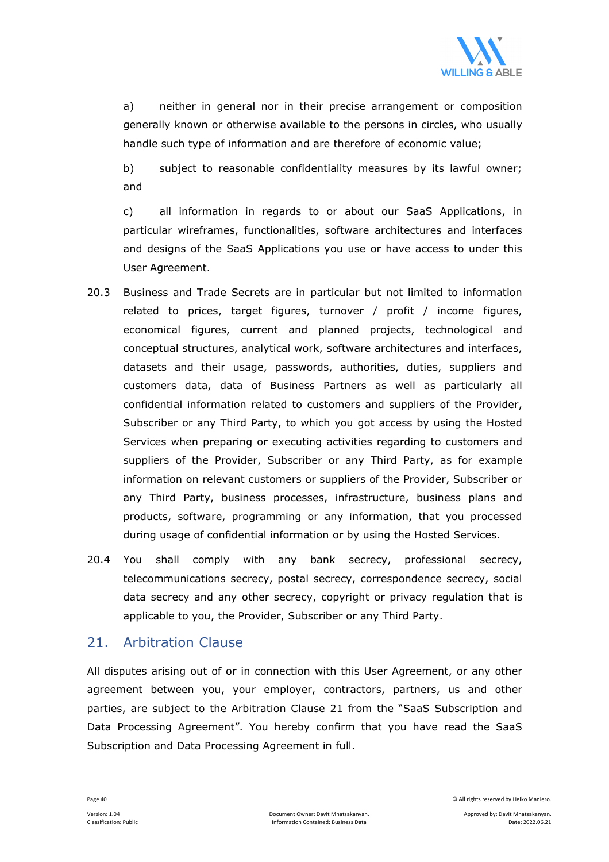

a) neither in general nor in their precise arrangement or composition generally known or otherwise available to the persons in circles, who usually handle such type of information and are therefore of economic value;

b) subject to reasonable confidentiality measures by its lawful owner; and

c) all information in regards to or about our SaaS Applications, in particular wireframes, functionalities, software architectures and interfaces and designs of the SaaS Applications you use or have access to under this User Agreement.

- 20.3 Business and Trade Secrets are in particular but not limited to information related to prices, target figures, turnover / profit / income figures, economical figures, current and planned projects, technological and conceptual structures, analytical work, software architectures and interfaces, datasets and their usage, passwords, authorities, duties, suppliers and customers data, data of Business Partners as well as particularly all confidential information related to customers and suppliers of the Provider, Subscriber or any Third Party, to which you got access by using the Hosted Services when preparing or executing activities regarding to customers and suppliers of the Provider, Subscriber or any Third Party, as for example information on relevant customers or suppliers of the Provider, Subscriber or any Third Party, business processes, infrastructure, business plans and products, software, programming or any information, that you processed during usage of confidential information or by using the Hosted Services.
- 20.4 You shall comply with any bank secrecy, professional secrecy, telecommunications secrecy, postal secrecy, correspondence secrecy, social data secrecy and any other secrecy, copyright or privacy regulation that is applicable to you, the Provider, Subscriber or any Third Party.

## 21. Arbitration Clause

All disputes arising out of or in connection with this User Agreement, or any other agreement between you, your employer, contractors, partners, us and other parties, are subject to the Arbitration Clause 21 from the "SaaS Subscription and Data Processing Agreement". You hereby confirm that you have read the SaaS Subscription and Data Processing Agreement in full.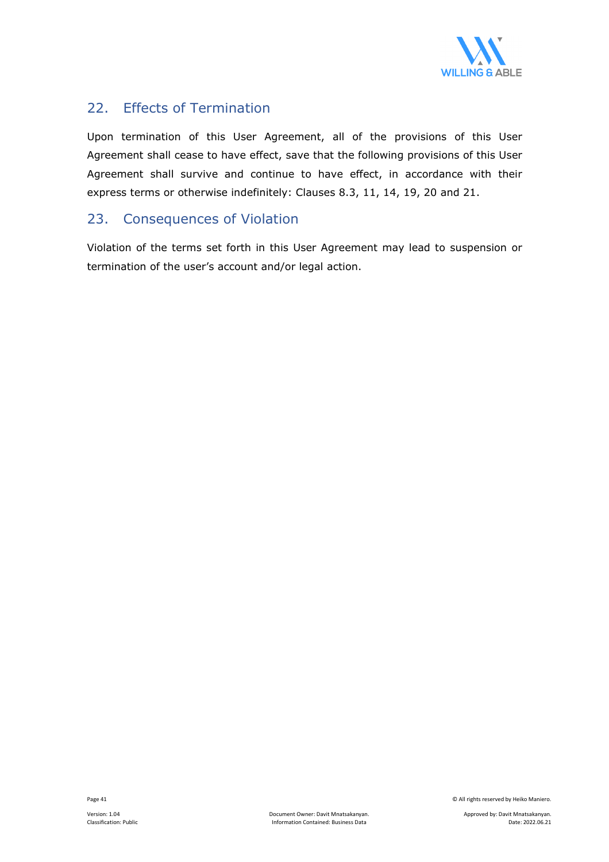

## 22. Effects of Termination

Upon termination of this User Agreement, all of the provisions of this User Agreement shall cease to have effect, save that the following provisions of this User Agreement shall survive and continue to have effect, in accordance with their express terms or otherwise indefinitely: Clauses 8.3, 11, 14, 19, 20 and 21.

## 23. Consequences of Violation

Violation of the terms set forth in this User Agreement may lead to suspension or termination of the user's account and/or legal action.

Page 41 © All rights reserved by Heiko Maniero.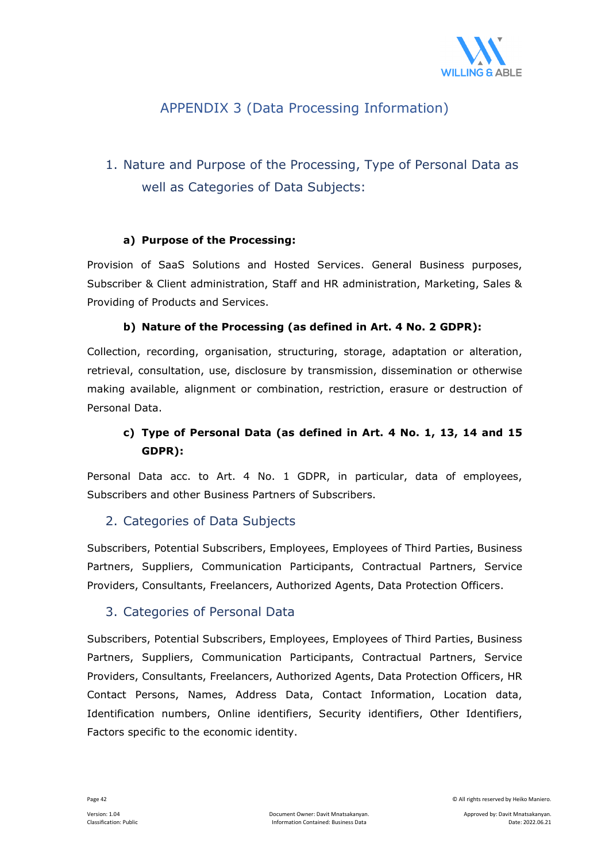

## APPENDIX 3 (Data Processing Information)

## 1. Nature and Purpose of the Processing, Type of Personal Data as well as Categories of Data Subjects:

## **a) Purpose of the Processing:**

Provision of SaaS Solutions and Hosted Services. General Business purposes, Subscriber & Client administration, Staff and HR administration, Marketing, Sales & Providing of Products and Services.

## **b) Nature of the Processing (as defined in Art. 4 No. 2 GDPR):**

Collection, recording, organisation, structuring, storage, adaptation or alteration, retrieval, consultation, use, disclosure by transmission, dissemination or otherwise making available, alignment or combination, restriction, erasure or destruction of Personal Data.

## **c) Type of Personal Data (as defined in Art. 4 No. 1, 13, 14 and 15 GDPR):**

Personal Data acc. to Art. 4 No. 1 GDPR, in particular, data of employees, Subscribers and other Business Partners of Subscribers.

## 2. Categories of Data Subjects

Subscribers, Potential Subscribers, Employees, Employees of Third Parties, Business Partners, Suppliers, Communication Participants, Contractual Partners, Service Providers, Consultants, Freelancers, Authorized Agents, Data Protection Officers.

## 3. Categories of Personal Data

Subscribers, Potential Subscribers, Employees, Employees of Third Parties, Business Partners, Suppliers, Communication Participants, Contractual Partners, Service Providers, Consultants, Freelancers, Authorized Agents, Data Protection Officers, HR Contact Persons, Names, Address Data, Contact Information, Location data, Identification numbers, Online identifiers, Security identifiers, Other Identifiers, Factors specific to the economic identity.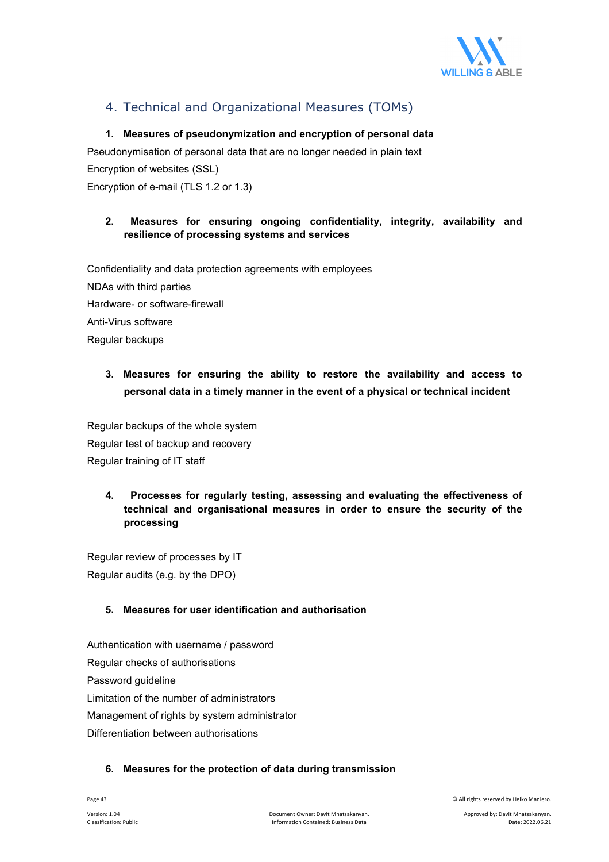

## 4. Technical and Organizational Measures (TOMs)

## **1. Measures of pseudonymization and encryption of personal data**

Pseudonymisation of personal data that are no longer needed in plain text Encryption of websites (SSL)

Encryption of e-mail (TLS 1.2 or 1.3)

## **2. Measures for ensuring ongoing confidentiality, integrity, availability and resilience of processing systems and services**

Confidentiality and data protection agreements with employees NDAs with third parties Hardware- or software-firewall Anti-Virus software Regular backups

## **3. Measures for ensuring the ability to restore the availability and access to personal data in a timely manner in the event of a physical or technical incident**

Regular backups of the whole system Regular test of backup and recovery Regular training of IT staff

## **4. Processes for regularly testing, assessing and evaluating the effectiveness of technical and organisational measures in order to ensure the security of the processing**

Regular review of processes by IT Regular audits (e.g. by the DPO)

## **5. Measures for user identification and authorisation**

Authentication with username / password Regular checks of authorisations Password guideline Limitation of the number of administrators Management of rights by system administrator Differentiation between authorisations

## **6. Measures for the protection of data during transmission**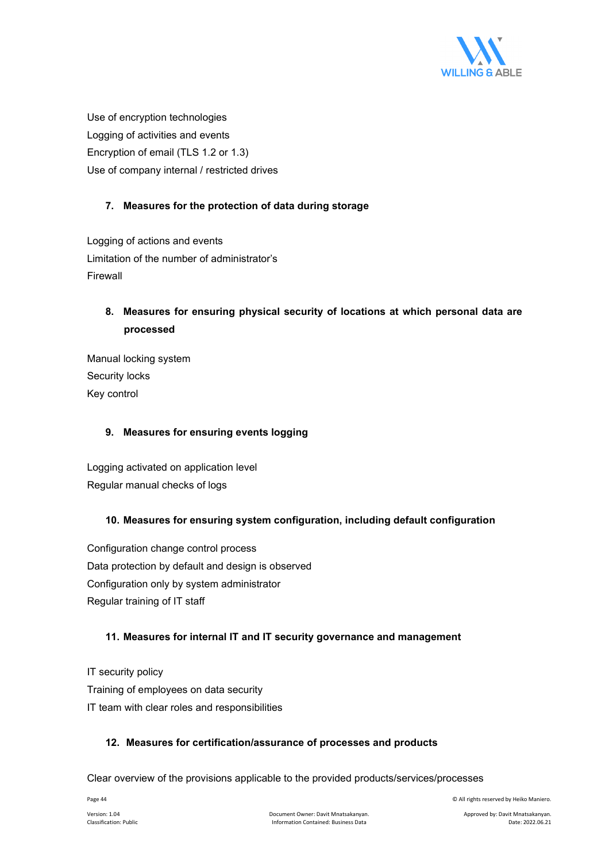

Use of encryption technologies Logging of activities and events Encryption of email (TLS 1.2 or 1.3) Use of company internal / restricted drives

## **7. Measures for the protection of data during storage**

Logging of actions and events Limitation of the number of administrator's Firewall

## **8. Measures for ensuring physical security of locations at which personal data are processed**

Manual locking system Security locks Key control

## **9. Measures for ensuring events logging**

Logging activated on application level Regular manual checks of logs

## **10. Measures for ensuring system configuration, including default configuration**

Configuration change control process Data protection by default and design is observed Configuration only by system administrator Regular training of IT staff

## **11. Measures for internal IT and IT security governance and management**

IT security policy Training of employees on data security IT team with clear roles and responsibilities

## **12. Measures for certification/assurance of processes and products**

Clear overview of the provisions applicable to the provided products/services/processes

Page 44 © All rights reserved by Heiko Maniero.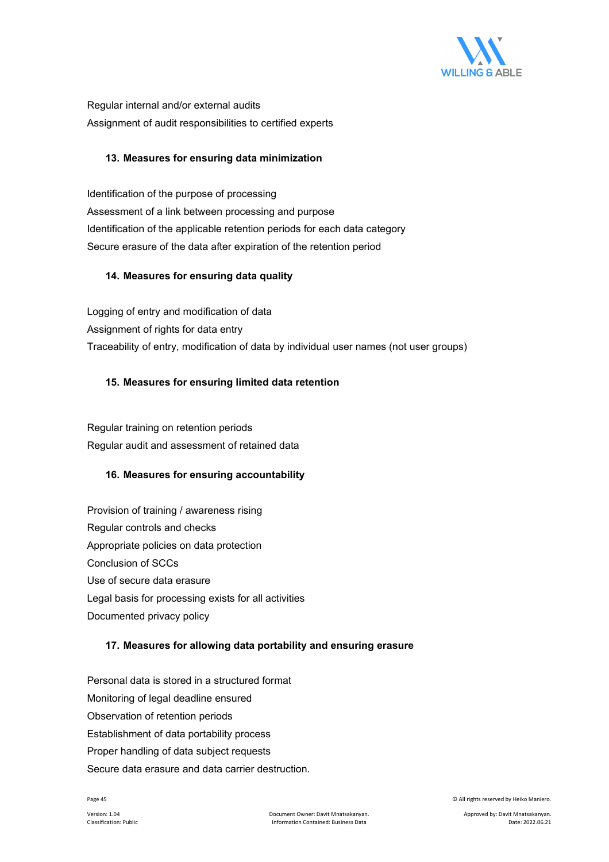

Regular internal and/or external audits Assignment of audit responsibilities to certified experts

## **13. Measures for ensuring data minimization**

Identification of the purpose of processing Assessment of a link between processing and purpose Identification of the applicable retention periods for each data category Secure erasure of the data after expiration of the retention period

## **14. Measures for ensuring data quality**

Logging of entry and modification of data Assignment of rights for data entry Traceability of entry, modification of data by individual user names (not user groups)

## **15. Measures for ensuring limited data retention**

Regular training on retention periods Regular audit and assessment of retained data

## **16. Measures for ensuring accountability**

Provision of training / awareness rising Regular controls and checks Appropriate policies on data protection Conclusion of SCCs Use of secure data erasure Legal basis for processing exists for all activities Documented privacy policy

## **17. Measures for allowing data portability and ensuring erasure**

Personal data is stored in a structured format Monitoring of legal deadline ensured Observation of retention periods Establishment of data portability process Proper handling of data subject requests Secure data erasure and data carrier destruction.

Page 45 © All rights reserved by Heiko Maniero.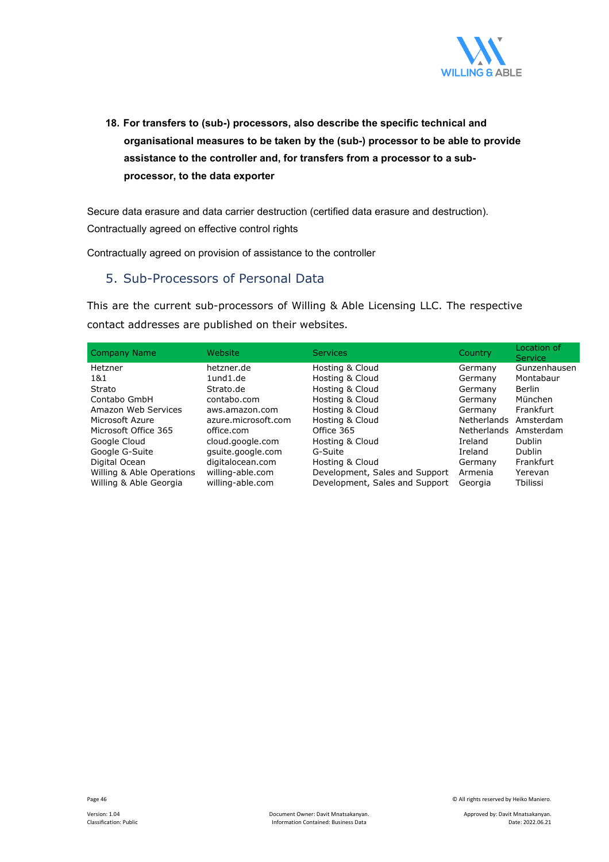

**18. For transfers to (sub-) processors, also describe the specific technical and organisational measures to be taken by the (sub-) processor to be able to provide assistance to the controller and, for transfers from a processor to a subprocessor, to the data exporter** 

Secure data erasure and data carrier destruction (certified data erasure and destruction). Contractually agreed on effective control rights

Contractually agreed on provision of assistance to the controller

## 5. Sub-Processors of Personal Data

This are the current sub-processors of Willing & Able Licensing LLC. The respective contact addresses are published on their websites.

| <b>Company Name</b>       | Website             | <b>Services</b>                | Country            | Location of<br><b>Service</b> |
|---------------------------|---------------------|--------------------------------|--------------------|-------------------------------|
| Hetzner                   | hetzner.de          | Hosting & Cloud                | Germany            | Gunzenhausen                  |
| 1&1                       | $1$ und $1$ .de     | Hosting & Cloud                | Germany            | Montabaur                     |
| Strato                    | Strato.de           | Hosting & Cloud                | Germany            | Berlin                        |
| Contabo GmbH              | contabo.com         | Hosting & Cloud                | Germany            | München                       |
| Amazon Web Services       | aws.amazon.com      | Hosting & Cloud                | Germany            | Frankfurt                     |
| Microsoft Azure           | azure.microsoft.com | Hosting & Cloud                | <b>Netherlands</b> | Amsterdam                     |
| Microsoft Office 365      | office.com          | Office 365                     | <b>Netherlands</b> | Amsterdam                     |
| Google Cloud              | cloud.google.com    | Hosting & Cloud                | Ireland            | <b>Dublin</b>                 |
| Google G-Suite            | gsuite.google.com   | G-Suite                        | Ireland            | <b>Dublin</b>                 |
| Digital Ocean             | digitalocean.com    | Hosting & Cloud                | Germany            | Frankfurt                     |
| Willing & Able Operations | willing-able.com    | Development, Sales and Support | Armenia            | Yerevan                       |
| Willing & Able Georgia    | willing-able.com    | Development, Sales and Support | Georgia            | Tbilissi                      |

Page 46 © All rights reserved by Heiko Maniero.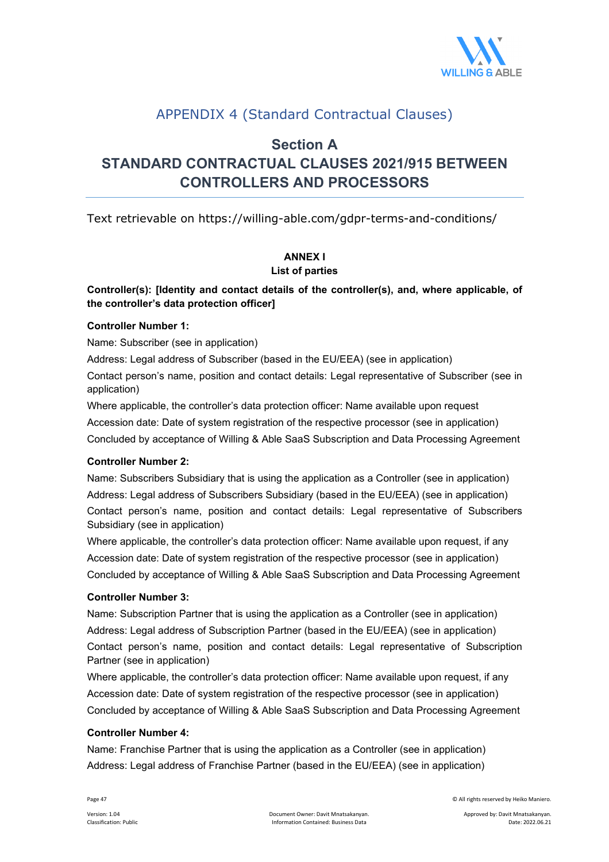

## APPENDIX 4 (Standard Contractual Clauses)

## **Section A**

## **STANDARD CONTRACTUAL CLAUSES 2021/915 BETWEEN CONTROLLERS AND PROCESSORS**

Text retrievable on https://willing-able.com/gdpr-terms-and-conditions/

## **ANNEX I**

## **List of parties**

## **Controller(s): [Identity and contact details of the controller(s), and, where applicable, of the controller's data protection officer]**

## **Controller Number 1:**

Name: Subscriber (see in application)

Address: Legal address of Subscriber (based in the EU/EEA) (see in application)

Contact person's name, position and contact details: Legal representative of Subscriber (see in application)

Where applicable, the controller's data protection officer: Name available upon request

Accession date: Date of system registration of the respective processor (see in application)

Concluded by acceptance of Willing & Able SaaS Subscription and Data Processing Agreement

## **Controller Number 2:**

Name: Subscribers Subsidiary that is using the application as a Controller (see in application) Address: Legal address of Subscribers Subsidiary (based in the EU/EEA) (see in application) Contact person's name, position and contact details: Legal representative of Subscribers Subsidiary (see in application)

Where applicable, the controller's data protection officer: Name available upon request, if any Accession date: Date of system registration of the respective processor (see in application) Concluded by acceptance of Willing & Able SaaS Subscription and Data Processing Agreement

## **Controller Number 3:**

Name: Subscription Partner that is using the application as a Controller (see in application) Address: Legal address of Subscription Partner (based in the EU/EEA) (see in application) Contact person's name, position and contact details: Legal representative of Subscription Partner (see in application)

Where applicable, the controller's data protection officer: Name available upon request, if any Accession date: Date of system registration of the respective processor (see in application) Concluded by acceptance of Willing & Able SaaS Subscription and Data Processing Agreement

## **Controller Number 4:**

Name: Franchise Partner that is using the application as a Controller (see in application) Address: Legal address of Franchise Partner (based in the EU/EEA) (see in application)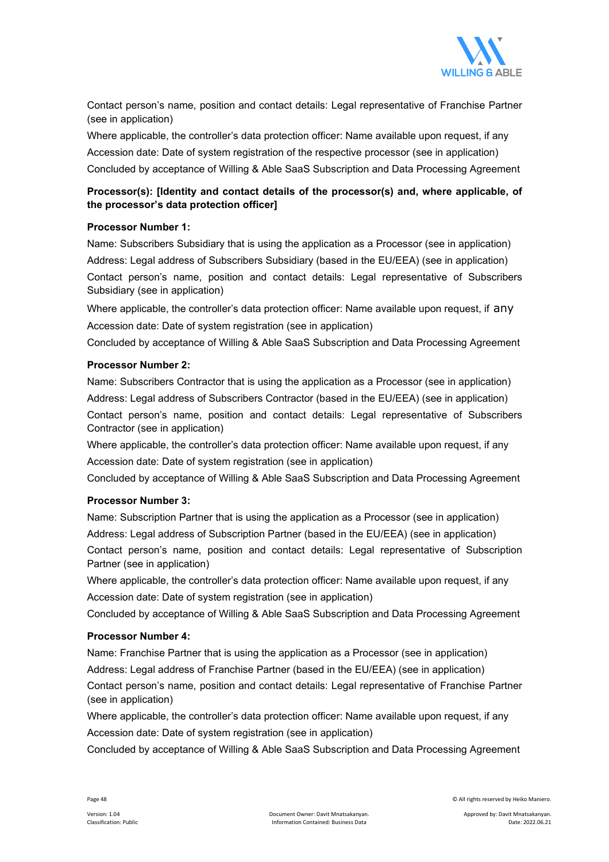

Contact person's name, position and contact details: Legal representative of Franchise Partner (see in application)

Where applicable, the controller's data protection officer: Name available upon request, if any Accession date: Date of system registration of the respective processor (see in application) Concluded by acceptance of Willing & Able SaaS Subscription and Data Processing Agreement

## **Processor(s): [Identity and contact details of the processor(s) and, where applicable, of the processor's data protection officer]**

## **Processor Number 1:**

Name: Subscribers Subsidiary that is using the application as a Processor (see in application) Address: Legal address of Subscribers Subsidiary (based in the EU/EEA) (see in application) Contact person's name, position and contact details: Legal representative of Subscribers Subsidiary (see in application)

Where applicable, the controller's data protection officer: Name available upon request, if any Accession date: Date of system registration (see in application)

Concluded by acceptance of Willing & Able SaaS Subscription and Data Processing Agreement

#### **Processor Number 2:**

Name: Subscribers Contractor that is using the application as a Processor (see in application) Address: Legal address of Subscribers Contractor (based in the EU/EEA) (see in application) Contact person's name, position and contact details: Legal representative of Subscribers Contractor (see in application)

Where applicable, the controller's data protection officer: Name available upon request, if any Accession date: Date of system registration (see in application)

Concluded by acceptance of Willing & Able SaaS Subscription and Data Processing Agreement

#### **Processor Number 3:**

Name: Subscription Partner that is using the application as a Processor (see in application) Address: Legal address of Subscription Partner (based in the EU/EEA) (see in application) Contact person's name, position and contact details: Legal representative of Subscription Partner (see in application)

Where applicable, the controller's data protection officer: Name available upon request, if any Accession date: Date of system registration (see in application)

Concluded by acceptance of Willing & Able SaaS Subscription and Data Processing Agreement

#### **Processor Number 4:**

Name: Franchise Partner that is using the application as a Processor (see in application) Address: Legal address of Franchise Partner (based in the EU/EEA) (see in application) Contact person's name, position and contact details: Legal representative of Franchise Partner (see in application)

Where applicable, the controller's data protection officer: Name available upon request, if any Accession date: Date of system registration (see in application)

Concluded by acceptance of Willing & Able SaaS Subscription and Data Processing Agreement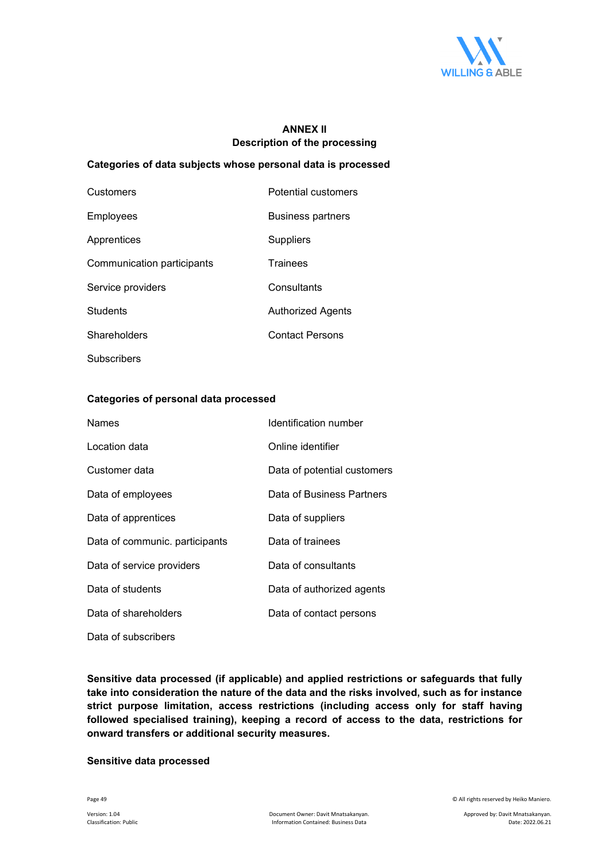

## **ANNEX II Description of the processing**

## **Categories of data subjects whose personal data is processed**

| Customers                  | Potential customers      |
|----------------------------|--------------------------|
| Employees                  | <b>Business partners</b> |
| Apprentices                | Suppliers                |
| Communication participants | <b>Trainees</b>          |
| Service providers          | Consultants              |
| <b>Students</b>            | Authorized Agents        |
| Shareholders               | <b>Contact Persons</b>   |
| <b>Subscribers</b>         |                          |

### **Categories of personal data processed**

| <b>Names</b>                   | Identification number       |
|--------------------------------|-----------------------------|
| Location data                  | Online identifier           |
| Customer data                  | Data of potential customers |
| Data of employees              | Data of Business Partners   |
| Data of apprentices            | Data of suppliers           |
| Data of communic. participants | Data of trainees            |
| Data of service providers      | Data of consultants         |
| Data of students               | Data of authorized agents   |
| Data of shareholders           | Data of contact persons     |
| Data of subscribers            |                             |

**Sensitive data processed (if applicable) and applied restrictions or safeguards that fully take into consideration the nature of the data and the risks involved, such as for instance strict purpose limitation, access restrictions (including access only for staff having followed specialised training), keeping a record of access to the data, restrictions for onward transfers or additional security measures.** 

#### **Sensitive data processed**

Page 49 © All rights reserved by Heiko Maniero.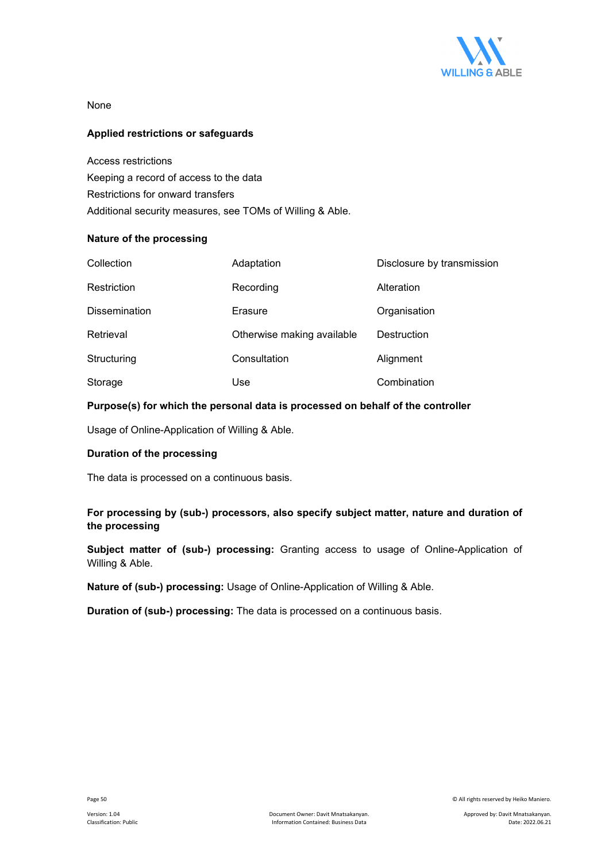

None

## **Applied restrictions or safeguards**

Access restrictions Keeping a record of access to the data Restrictions for onward transfers Additional security measures, see TOMs of Willing & Able.

#### **Nature of the processing**

| Collection           | Adaptation                 | Disclosure by transmission |
|----------------------|----------------------------|----------------------------|
| Restriction          | Recording                  | Alteration                 |
| <b>Dissemination</b> | Erasure                    | Organisation               |
| Retrieval            | Otherwise making available | Destruction                |
| Structuring          | Consultation               | Alignment                  |
| Storage              | Use                        | Combination                |

## **Purpose(s) for which the personal data is processed on behalf of the controller**

Usage of Online-Application of Willing & Able.

### **Duration of the processing**

The data is processed on a continuous basis.

## **For processing by (sub-) processors, also specify subject matter, nature and duration of the processing**

**Subject matter of (sub-) processing:** Granting access to usage of Online-Application of Willing & Able.

**Nature of (sub-) processing:** Usage of Online-Application of Willing & Able.

**Duration of (sub-) processing:** The data is processed on a continuous basis.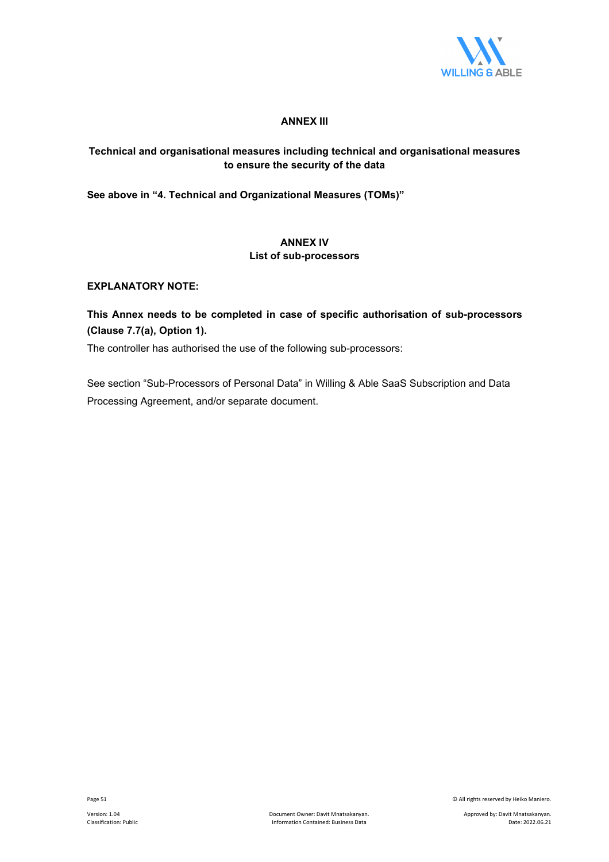

## **ANNEX III**

## **Technical and organisational measures including technical and organisational measures to ensure the security of the data**

**See above in "4. Technical and Organizational Measures (TOMs)"**

## **ANNEX IV List of sub-processors**

## **EXPLANATORY NOTE:**

## **This Annex needs to be completed in case of specific authorisation of sub-processors (Clause 7.7(a), Option 1).**

The controller has authorised the use of the following sub-processors:

See section "Sub-Processors of Personal Data" in Willing & Able SaaS Subscription and Data Processing Agreement, and/or separate document.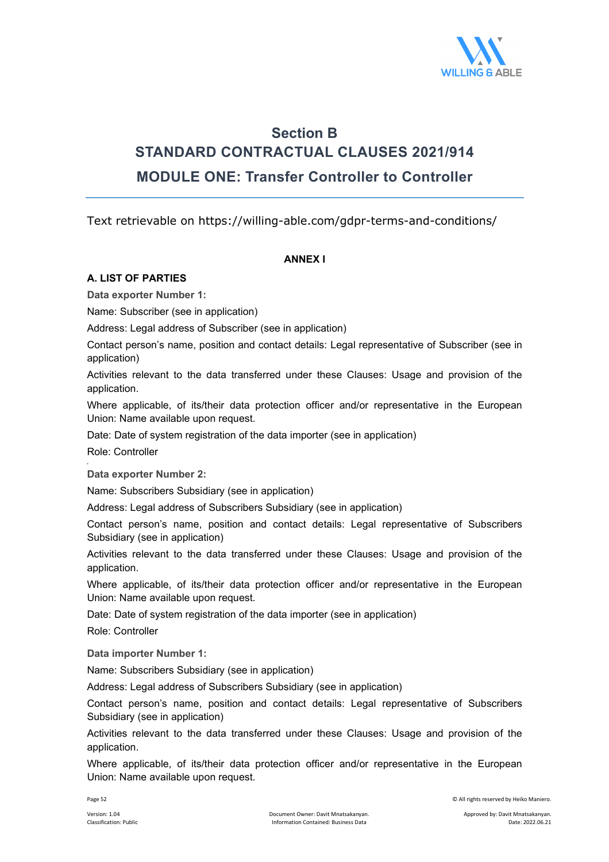

## **Section B STANDARD CONTRACTUAL CLAUSES 2021/914 MODULE ONE: Transfer Controller to Controller**

Text retrievable on https://willing-able.com/gdpr-terms-and-conditions/

## **ΑΝΝΕΧ I**

## **A. LIST OF PARTIES**

**Data exporter Number 1:** 

Name: Subscriber (see in application)

Address: Legal address of Subscriber (see in application)

Contact person's name, position and contact details: Legal representative of Subscriber (see in application)

Activities relevant to the data transferred under these Clauses: Usage and provision of the application.

Where applicable, of its/their data protection officer and/or representative in the European Union: Name available upon request.

Date: Date of system registration of the data importer (see in application)

Role: Controller

**Data exporter Number 2:** 

Name: Subscribers Subsidiary (see in application)

Address: Legal address of Subscribers Subsidiary (see in application)

Contact person's name, position and contact details: Legal representative of Subscribers Subsidiary (see in application)

Activities relevant to the data transferred under these Clauses: Usage and provision of the application.

Where applicable, of its/their data protection officer and/or representative in the European Union: Name available upon request.

Date: Date of system registration of the data importer (see in application)

Role: Controller

**Data importer Number 1:**

Name: Subscribers Subsidiary (see in application)

Address: Legal address of Subscribers Subsidiary (see in application)

Contact person's name, position and contact details: Legal representative of Subscribers Subsidiary (see in application)

Activities relevant to the data transferred under these Clauses: Usage and provision of the application.

Where applicable, of its/their data protection officer and/or representative in the European Union: Name available upon request.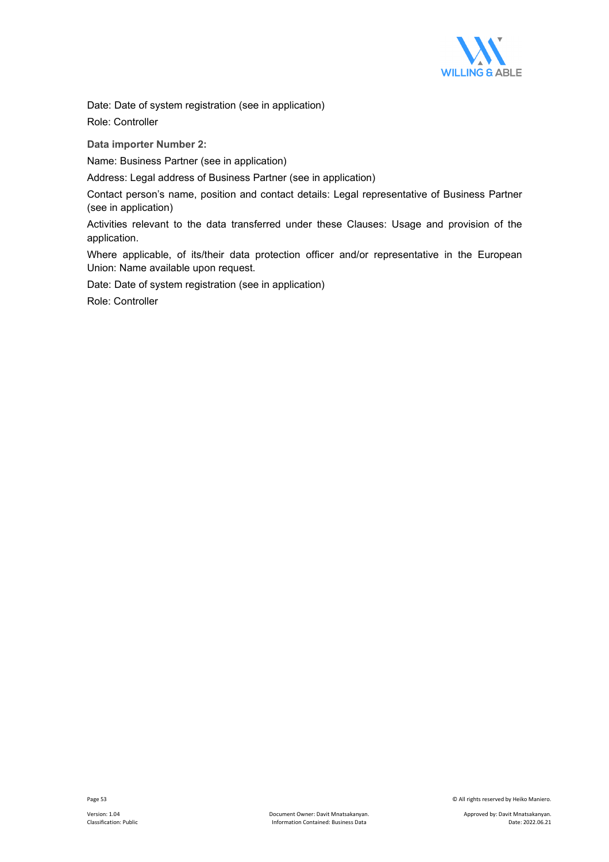

Date: Date of system registration (see in application)

Role: Controller

**Data importer Number 2:**

Name: Business Partner (see in application)

Address: Legal address of Business Partner (see in application)

Contact person's name, position and contact details: Legal representative of Business Partner (see in application)

Activities relevant to the data transferred under these Clauses: Usage and provision of the application.

Where applicable, of its/their data protection officer and/or representative in the European Union: Name available upon request.

Date: Date of system registration (see in application)

Role: Controller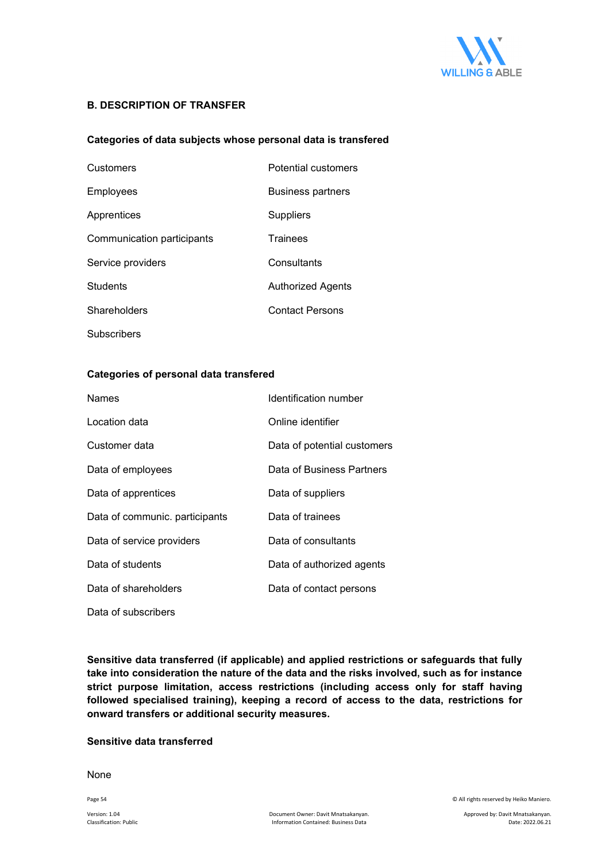

### **B. DESCRIPTION OF TRANSFER**

### **Categories of data subjects whose personal data is transfered**

| Customers                  | Potential customers      |
|----------------------------|--------------------------|
| Employees                  | <b>Business partners</b> |
| Apprentices                | Suppliers                |
| Communication participants | <b>Trainees</b>          |
| Service providers          | Consultants              |
| <b>Students</b>            | Authorized Agents        |
| Shareholders               | <b>Contact Persons</b>   |
| Subscribers                |                          |

#### **Categories of personal data transfered**

| <b>Names</b>                   | Identification number       |
|--------------------------------|-----------------------------|
| Location data                  | Online identifier           |
| Customer data                  | Data of potential customers |
| Data of employees              | Data of Business Partners   |
| Data of apprentices            | Data of suppliers           |
| Data of communic. participants | Data of trainees            |
| Data of service providers      | Data of consultants         |
| Data of students               | Data of authorized agents   |
| Data of shareholders           | Data of contact persons     |
| Data of subscribers            |                             |

**Sensitive data transferred (if applicable) and applied restrictions or safeguards that fully take into consideration the nature of the data and the risks involved, such as for instance strict purpose limitation, access restrictions (including access only for staff having followed specialised training), keeping a record of access to the data, restrictions for onward transfers or additional security measures.** 

#### **Sensitive data transferred**

None

Page 54 © All rights reserved by Heiko Maniero.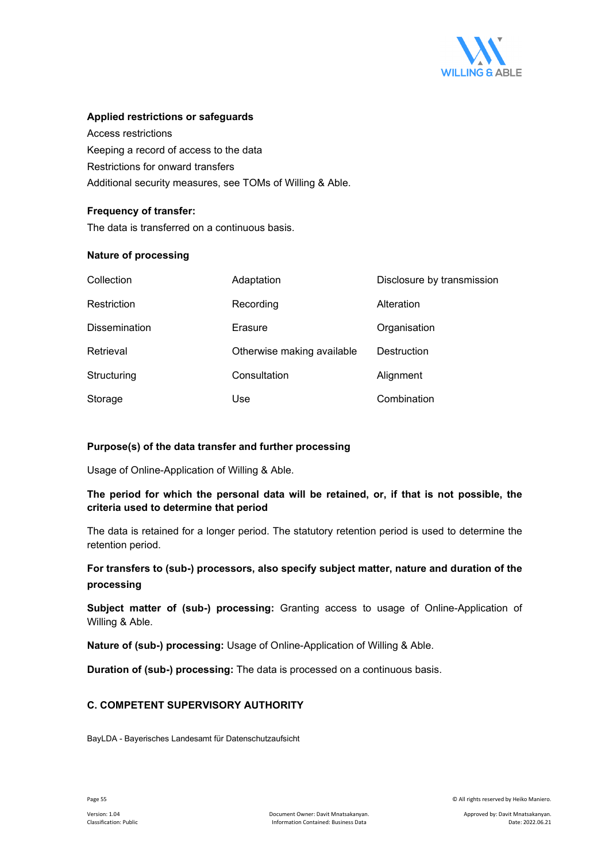

#### **Applied restrictions or safeguards**

Access restrictions Keeping a record of access to the data Restrictions for onward transfers Additional security measures, see TOMs of Willing & Able.

## **Frequency of transfer:**

The data is transferred on a continuous basis.

### **Nature of processing**

| Collection           | Adaptation                 | Disclosure by transmission |
|----------------------|----------------------------|----------------------------|
| Restriction          | Recording                  | Alteration                 |
| <b>Dissemination</b> | Erasure                    | Organisation               |
| Retrieval            | Otherwise making available | Destruction                |
| Structuring          | Consultation               | Alignment                  |
| Storage              | Use                        | Combination                |

## **Purpose(s) of the data transfer and further processing**

Usage of Online-Application of Willing & Able.

## **The period for which the personal data will be retained, or, if that is not possible, the criteria used to determine that period**

The data is retained for a longer period. The statutory retention period is used to determine the retention period.

## **For transfers to (sub-) processors, also specify subject matter, nature and duration of the processing**

**Subject matter of (sub-) processing:** Granting access to usage of Online-Application of Willing & Able.

**Nature of (sub-) processing:** Usage of Online-Application of Willing & Able.

**Duration of (sub-) processing:** The data is processed on a continuous basis.

## **C. COMPETENT SUPERVISORY AUTHORITY**

BayLDA - Bayerisches Landesamt für Datenschutzaufsicht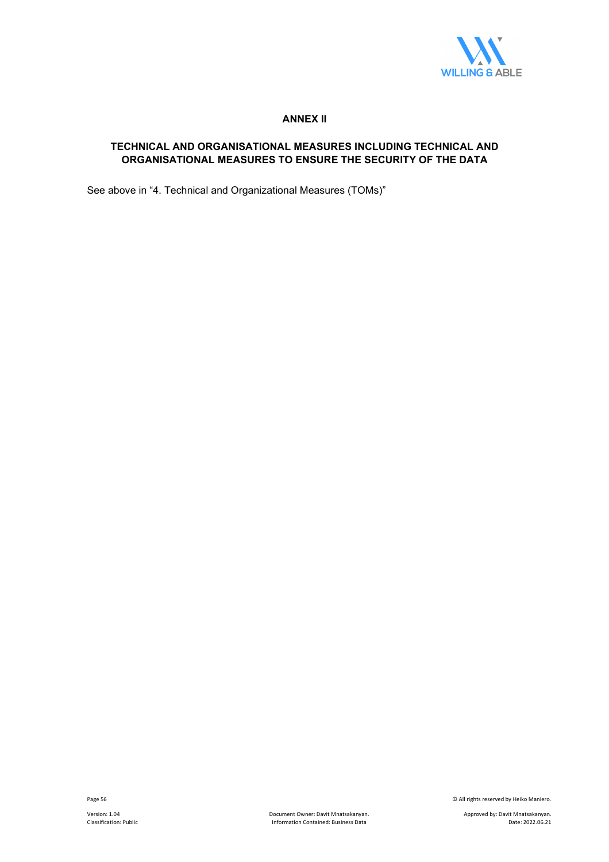

## **ANNEX II**

## **TECHNICAL AND ORGANISATIONAL MEASURES INCLUDING TECHNICAL AND ORGANISATIONAL MEASURES TO ENSURE THE SECURITY OF THE DATA**

See above in "4. Technical and Organizational Measures (TOMs)"

Page 56 © All rights reserved by Heiko Maniero.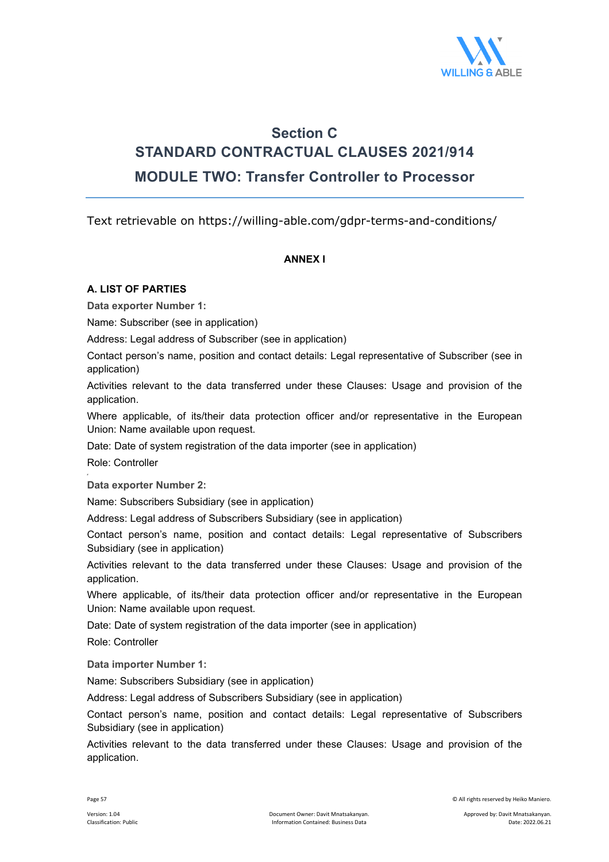

## **Section C STANDARD CONTRACTUAL CLAUSES 2021/914 MODULE TWO: Transfer Controller to Processor**

Text retrievable on https://willing-able.com/gdpr-terms-and-conditions/

## **ΑΝΝΕΧ I**

## **A. LIST OF PARTIES**

**Data exporter Number 1:** 

Name: Subscriber (see in application)

Address: Legal address of Subscriber (see in application)

Contact person's name, position and contact details: Legal representative of Subscriber (see in application)

Activities relevant to the data transferred under these Clauses: Usage and provision of the application.

Where applicable, of its/their data protection officer and/or representative in the European Union: Name available upon request.

Date: Date of system registration of the data importer (see in application)

Role: Controller

**Data exporter Number 2:** 

Name: Subscribers Subsidiary (see in application)

Address: Legal address of Subscribers Subsidiary (see in application)

Contact person's name, position and contact details: Legal representative of Subscribers Subsidiary (see in application)

Activities relevant to the data transferred under these Clauses: Usage and provision of the application.

Where applicable, of its/their data protection officer and/or representative in the European Union: Name available upon request.

Date: Date of system registration of the data importer (see in application)

Role: Controller

**Data importer Number 1:**

Name: Subscribers Subsidiary (see in application)

Address: Legal address of Subscribers Subsidiary (see in application)

Contact person's name, position and contact details: Legal representative of Subscribers Subsidiary (see in application)

Activities relevant to the data transferred under these Clauses: Usage and provision of the application.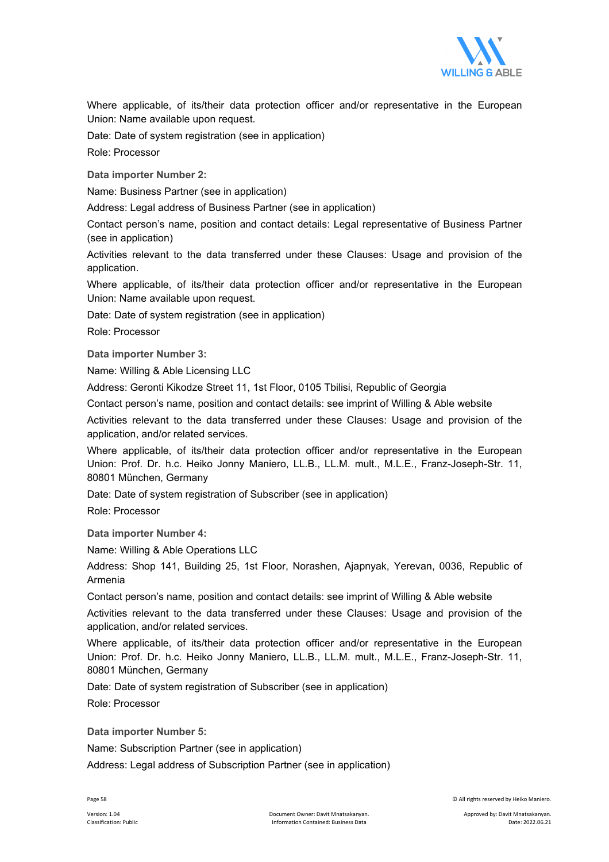

Where applicable, of its/their data protection officer and/or representative in the European Union: Name available upon request.

Date: Date of system registration (see in application)

Role: Processor

**Data importer Number 2:**

Name: Business Partner (see in application)

Address: Legal address of Business Partner (see in application)

Contact person's name, position and contact details: Legal representative of Business Partner (see in application)

Activities relevant to the data transferred under these Clauses: Usage and provision of the application.

Where applicable, of its/their data protection officer and/or representative in the European Union: Name available upon request.

Date: Date of system registration (see in application)

Role: Processor

**Data importer Number 3:**

Name: Willing & Able Licensing LLC

Address: Geronti Kikodze Street 11, 1st Floor, 0105 Tbilisi, Republic of Georgia

Contact person's name, position and contact details: see imprint of Willing & Able website

Activities relevant to the data transferred under these Clauses: Usage and provision of the application, and/or related services.

Where applicable, of its/their data protection officer and/or representative in the European Union: Prof. Dr. h.c. Heiko Jonny Maniero, LL.B., LL.M. mult., M.L.E., Franz-Joseph-Str. 11, 80801 München, Germany

Date: Date of system registration of Subscriber (see in application)

Role: Processor

**Data importer Number 4:**

Name: Willing & Able Operations LLC

Address: Shop 141, Building 25, 1st Floor, Norashen, Ajapnyak, Yerevan, 0036, Republic of Armenia

Contact person's name, position and contact details: see imprint of Willing & Able website

Activities relevant to the data transferred under these Clauses: Usage and provision of the application, and/or related services.

Where applicable, of its/their data protection officer and/or representative in the European Union: Prof. Dr. h.c. Heiko Jonny Maniero, LL.B., LL.M. mult., M.L.E., Franz-Joseph-Str. 11, 80801 München, Germany

Date: Date of system registration of Subscriber (see in application)

Role: Processor

**Data importer Number 5:**

Name: Subscription Partner (see in application)

Address: Legal address of Subscription Partner (see in application)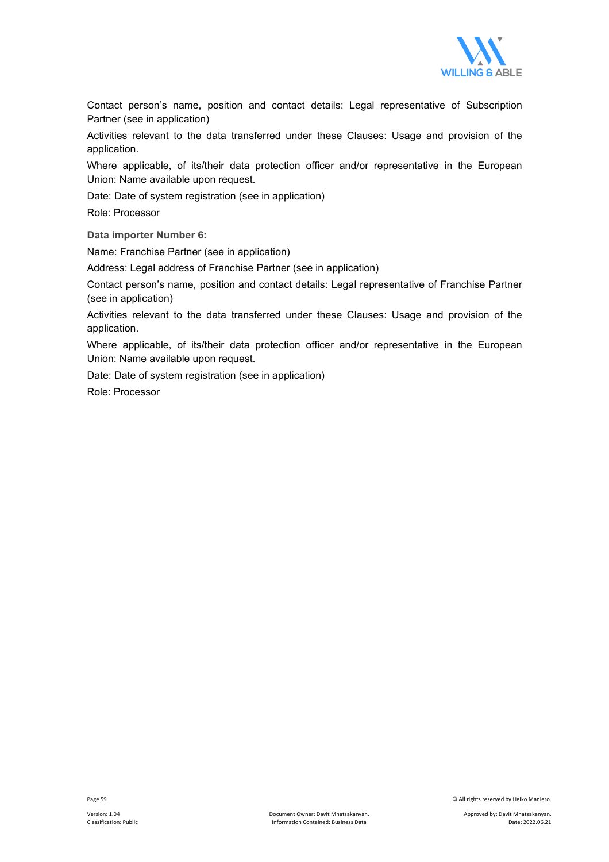

Contact person's name, position and contact details: Legal representative of Subscription Partner (see in application)

Activities relevant to the data transferred under these Clauses: Usage and provision of the application.

Where applicable, of its/their data protection officer and/or representative in the European Union: Name available upon request.

Date: Date of system registration (see in application)

Role: Processor

**Data importer Number 6:**

Name: Franchise Partner (see in application)

Address: Legal address of Franchise Partner (see in application)

Contact person's name, position and contact details: Legal representative of Franchise Partner (see in application)

Activities relevant to the data transferred under these Clauses: Usage and provision of the application.

Where applicable, of its/their data protection officer and/or representative in the European Union: Name available upon request.

Date: Date of system registration (see in application) Role: Processor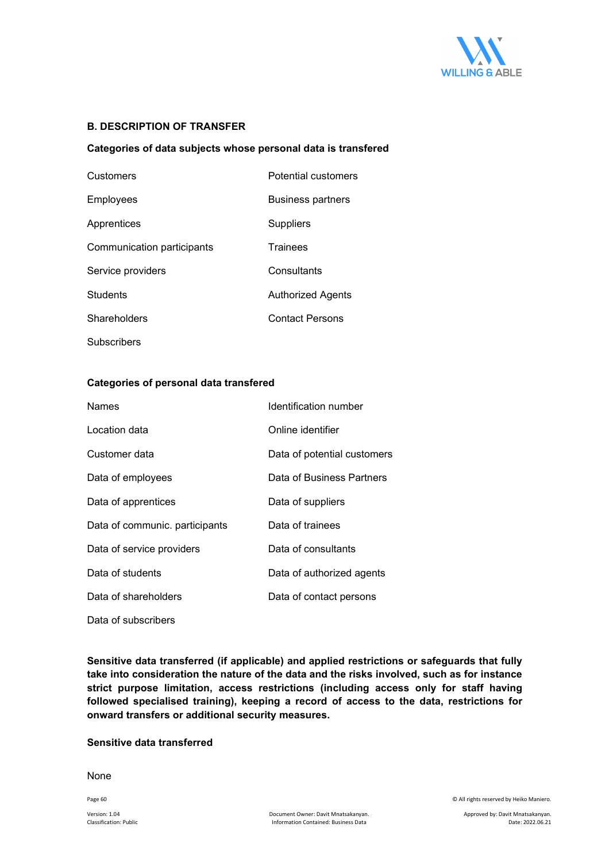

## **B. DESCRIPTION OF TRANSFER**

#### **Categories of data subjects whose personal data is transfered**

| Customers                  | Potential customers      |
|----------------------------|--------------------------|
| Employees                  | <b>Business partners</b> |
| Apprentices                | Suppliers                |
| Communication participants | Trainees                 |
| Service providers          | Consultants              |
| <b>Students</b>            | Authorized Agents        |
| Shareholders               | <b>Contact Persons</b>   |
| <b>Subscribers</b>         |                          |

#### **Categories of personal data transfered**

| <b>Names</b>                   | Identification number       |
|--------------------------------|-----------------------------|
| Location data                  | Online identifier           |
| Customer data                  | Data of potential customers |
| Data of employees              | Data of Business Partners   |
| Data of apprentices            | Data of suppliers           |
| Data of communic. participants | Data of trainees            |
| Data of service providers      | Data of consultants         |
| Data of students               | Data of authorized agents   |
| Data of shareholders           | Data of contact persons     |
| Data of subscribers            |                             |

**Sensitive data transferred (if applicable) and applied restrictions or safeguards that fully take into consideration the nature of the data and the risks involved, such as for instance strict purpose limitation, access restrictions (including access only for staff having followed specialised training), keeping a record of access to the data, restrictions for onward transfers or additional security measures.** 

### **Sensitive data transferred**

None

Page 60 © All rights reserved by Heiko Maniero.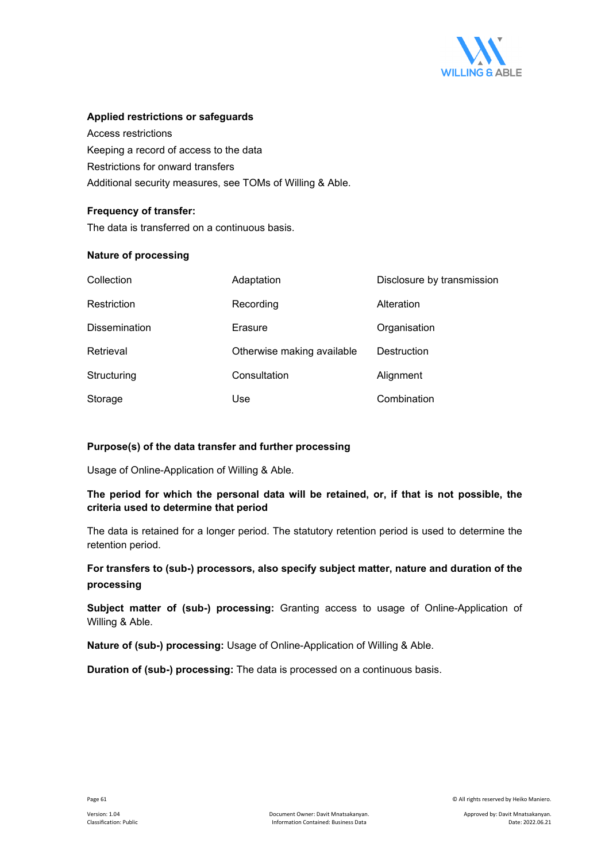

### **Applied restrictions or safeguards**

Access restrictions Keeping a record of access to the data Restrictions for onward transfers Additional security measures, see TOMs of Willing & Able.

## **Frequency of transfer:**

The data is transferred on a continuous basis.

### **Nature of processing**

| Collection           | Adaptation                 | Disclosure by transmission |
|----------------------|----------------------------|----------------------------|
| Restriction          | Recording                  | Alteration                 |
| <b>Dissemination</b> | Erasure                    | Organisation               |
| Retrieval            | Otherwise making available | Destruction                |
| Structuring          | Consultation               | Alignment                  |
| Storage              | Use                        | Combination                |

## **Purpose(s) of the data transfer and further processing**

Usage of Online-Application of Willing & Able.

## **The period for which the personal data will be retained, or, if that is not possible, the criteria used to determine that period**

The data is retained for a longer period. The statutory retention period is used to determine the retention period.

## **For transfers to (sub-) processors, also specify subject matter, nature and duration of the processing**

**Subject matter of (sub-) processing:** Granting access to usage of Online-Application of Willing & Able.

**Nature of (sub-) processing:** Usage of Online-Application of Willing & Able.

**Duration of (sub-) processing:** The data is processed on a continuous basis.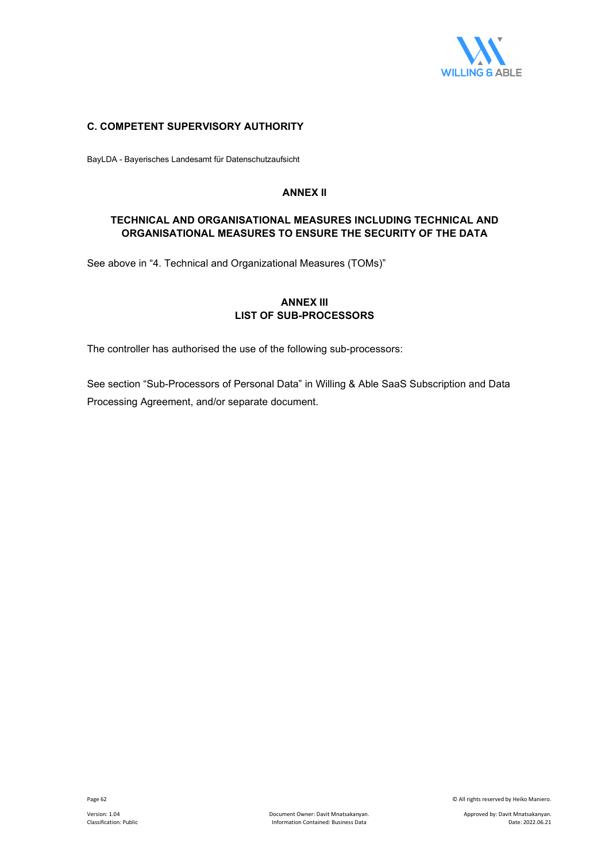

## **C. COMPETENT SUPERVISORY AUTHORITY**

BayLDA - Bayerisches Landesamt für Datenschutzaufsicht

#### **ANNEX II**

## **TECHNICAL AND ORGANISATIONAL MEASURES INCLUDING TECHNICAL AND ORGANISATIONAL MEASURES TO ENSURE THE SECURITY OF THE DATA**

See above in "4. Technical and Organizational Measures (TOMs)"

## **ANNEX III LIST OF SUB-PROCESSORS**

The controller has authorised the use of the following sub-processors:

See section "Sub-Processors of Personal Data" in Willing & Able SaaS Subscription and Data Processing Agreement, and/or separate document.

Page 62 © All rights reserved by Heiko Maniero.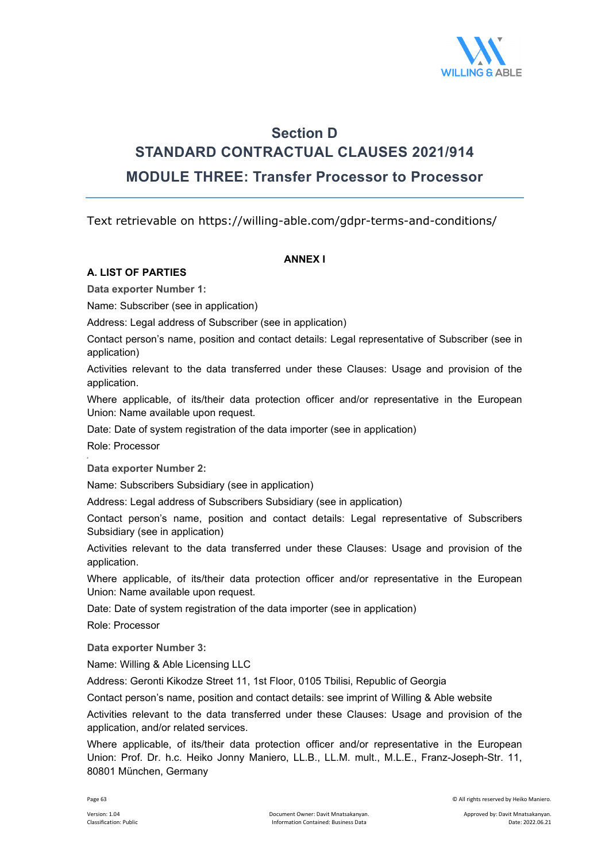

## **Section D STANDARD CONTRACTUAL CLAUSES 2021/914 MODULE THREE: Transfer Processor to Processor**

Text retrievable on https://willing-able.com/gdpr-terms-and-conditions/

## **ΑΝΝΕΧ I**

## **A. LIST OF PARTIES**

**Data exporter Number 1:** 

Name: Subscriber (see in application)

Address: Legal address of Subscriber (see in application)

Contact person's name, position and contact details: Legal representative of Subscriber (see in application)

Activities relevant to the data transferred under these Clauses: Usage and provision of the application.

Where applicable, of its/their data protection officer and/or representative in the European Union: Name available upon request.

Date: Date of system registration of the data importer (see in application)

Role: Processor

**Data exporter Number 2:** 

Name: Subscribers Subsidiary (see in application)

Address: Legal address of Subscribers Subsidiary (see in application)

Contact person's name, position and contact details: Legal representative of Subscribers Subsidiary (see in application)

Activities relevant to the data transferred under these Clauses: Usage and provision of the application.

Where applicable, of its/their data protection officer and/or representative in the European Union: Name available upon request.

Date: Date of system registration of the data importer (see in application)

Role: Processor

**Data exporter Number 3:**

Name: Willing & Able Licensing LLC

Address: Geronti Kikodze Street 11, 1st Floor, 0105 Tbilisi, Republic of Georgia

Contact person's name, position and contact details: see imprint of Willing & Able website

Activities relevant to the data transferred under these Clauses: Usage and provision of the application, and/or related services.

Where applicable, of its/their data protection officer and/or representative in the European Union: Prof. Dr. h.c. Heiko Jonny Maniero, LL.B., LL.M. mult., M.L.E., Franz-Joseph-Str. 11, 80801 München, Germany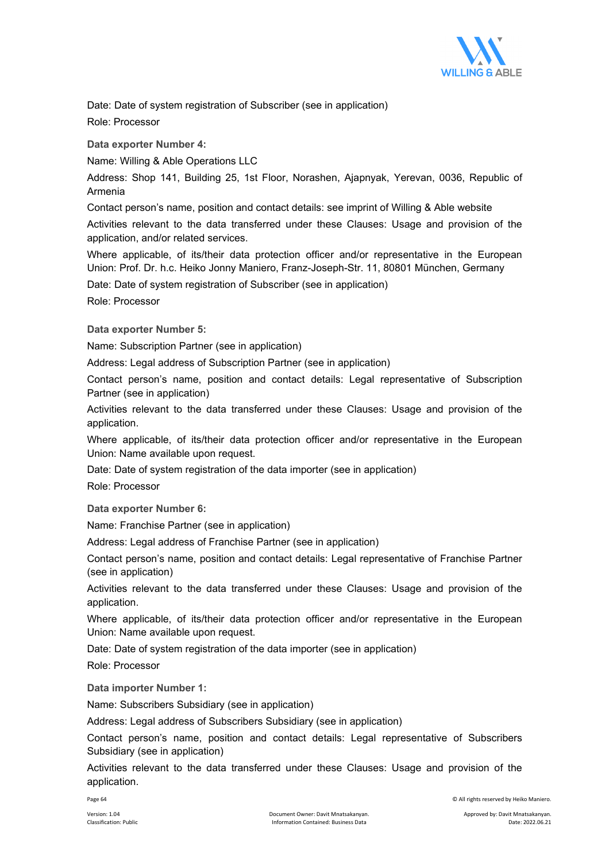

Date: Date of system registration of Subscriber (see in application)

Role: Processor

**Data exporter Number 4:**

Name: Willing & Able Operations LLC

Address: Shop 141, Building 25, 1st Floor, Norashen, Ajapnyak, Yerevan, 0036, Republic of Armenia

Contact person's name, position and contact details: see imprint of Willing & Able website

Activities relevant to the data transferred under these Clauses: Usage and provision of the application, and/or related services.

Where applicable, of its/their data protection officer and/or representative in the European Union: Prof. Dr. h.c. Heiko Jonny Maniero, Franz-Joseph-Str. 11, 80801 München, Germany

Date: Date of system registration of Subscriber (see in application)

Role: Processor

**Data exporter Number 5:** 

Name: Subscription Partner (see in application)

Address: Legal address of Subscription Partner (see in application)

Contact person's name, position and contact details: Legal representative of Subscription Partner (see in application)

Activities relevant to the data transferred under these Clauses: Usage and provision of the application.

Where applicable, of its/their data protection officer and/or representative in the European Union: Name available upon request.

Date: Date of system registration of the data importer (see in application)

Role: Processor

**Data exporter Number 6:** 

Name: Franchise Partner (see in application)

Address: Legal address of Franchise Partner (see in application)

Contact person's name, position and contact details: Legal representative of Franchise Partner (see in application)

Activities relevant to the data transferred under these Clauses: Usage and provision of the application.

Where applicable, of its/their data protection officer and/or representative in the European Union: Name available upon request.

Date: Date of system registration of the data importer (see in application)

Role: Processor

**Data importer Number 1:**

Name: Subscribers Subsidiary (see in application)

Address: Legal address of Subscribers Subsidiary (see in application)

Contact person's name, position and contact details: Legal representative of Subscribers Subsidiary (see in application)

Activities relevant to the data transferred under these Clauses: Usage and provision of the application.

Page 64 © All rights reserved by Heiko Maniero.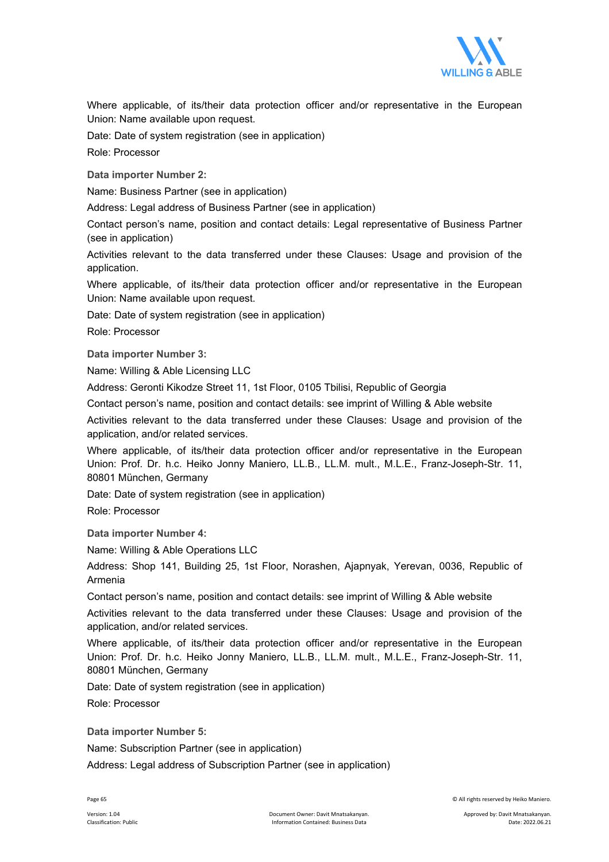

Where applicable, of its/their data protection officer and/or representative in the European Union: Name available upon request.

Date: Date of system registration (see in application)

Role: Processor

**Data importer Number 2:**

Name: Business Partner (see in application)

Address: Legal address of Business Partner (see in application)

Contact person's name, position and contact details: Legal representative of Business Partner (see in application)

Activities relevant to the data transferred under these Clauses: Usage and provision of the application.

Where applicable, of its/their data protection officer and/or representative in the European Union: Name available upon request.

Date: Date of system registration (see in application)

Role: Processor

**Data importer Number 3:**

Name: Willing & Able Licensing LLC

Address: Geronti Kikodze Street 11, 1st Floor, 0105 Tbilisi, Republic of Georgia

Contact person's name, position and contact details: see imprint of Willing & Able website

Activities relevant to the data transferred under these Clauses: Usage and provision of the application, and/or related services.

Where applicable, of its/their data protection officer and/or representative in the European Union: Prof. Dr. h.c. Heiko Jonny Maniero, LL.B., LL.M. mult., M.L.E., Franz-Joseph-Str. 11, 80801 München, Germany

Date: Date of system registration (see in application)

Role: Processor

**Data importer Number 4:**

Name: Willing & Able Operations LLC

Address: Shop 141, Building 25, 1st Floor, Norashen, Ajapnyak, Yerevan, 0036, Republic of Armenia

Contact person's name, position and contact details: see imprint of Willing & Able website

Activities relevant to the data transferred under these Clauses: Usage and provision of the application, and/or related services.

Where applicable, of its/their data protection officer and/or representative in the European Union: Prof. Dr. h.c. Heiko Jonny Maniero, LL.B., LL.M. mult., M.L.E., Franz-Joseph-Str. 11, 80801 München, Germany

Date: Date of system registration (see in application)

Role: Processor

**Data importer Number 5:** 

Name: Subscription Partner (see in application)

Address: Legal address of Subscription Partner (see in application)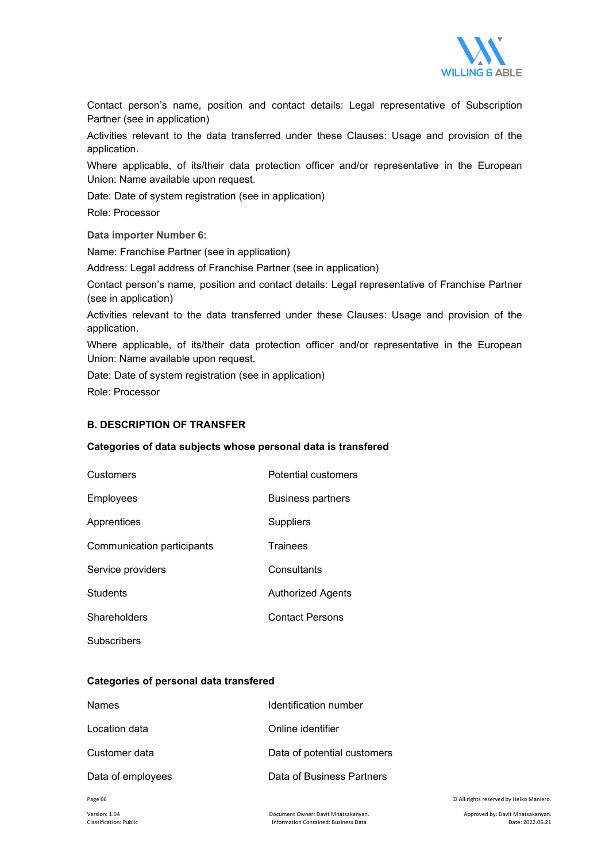

Contact person's name, position and contact details: Legal representative of Subscription Partner (see in application)

Activities relevant to the data transferred under these Clauses: Usage and provision of the application.

Where applicable, of its/their data protection officer and/or representative in the European Union: Name available upon request.

Date: Date of system registration (see in application)

Role: Processor

**Data importer Number 6:** 

Name: Franchise Partner (see in application)

Address: Legal address of Franchise Partner (see in application)

Contact person's name, position and contact details: Legal representative of Franchise Partner (see in application)

Activities relevant to the data transferred under these Clauses: Usage and provision of the application.

Where applicable, of its/their data protection officer and/or representative in the European Union: Name available upon request.

Date: Date of system registration (see in application) Role: Processor

### **B. DESCRIPTION OF TRANSFER**

#### **Categories of data subjects whose personal data is transfered**

| Customers                  | <b>Potential customers</b> |
|----------------------------|----------------------------|
| Employees                  | <b>Business partners</b>   |
| Apprentices                | Suppliers                  |
| Communication participants | <b>Trainees</b>            |
| Service providers          | Consultants                |
| Students                   | Authorized Agents          |
| Shareholders               | <b>Contact Persons</b>     |
| Subscribers                |                            |

## **Categories of personal data transfered**

| <b>Names</b>      | Identification number       |
|-------------------|-----------------------------|
| Location data     | Online identifier           |
| Customer data     | Data of potential customers |
| Data of employees | Data of Business Partners   |

Page 66 © All rights reserved by Heiko Maniero.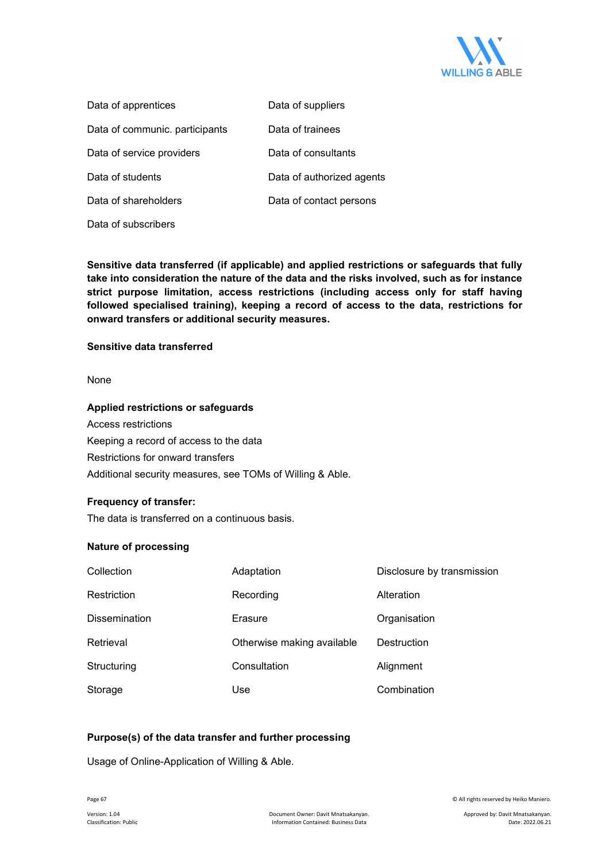

| Data of apprentices            | Data of suppliers         |
|--------------------------------|---------------------------|
| Data of communic. participants | Data of trainees          |
| Data of service providers      | Data of consultants       |
| Data of students               | Data of authorized agents |
| Data of shareholders           | Data of contact persons   |
| Data of subscribers            |                           |

**Sensitive data transferred (if applicable) and applied restrictions or safeguards that fully take into consideration the nature of the data and the risks involved, such as for instance strict purpose limitation, access restrictions (including access only for staff having followed specialised training), keeping a record of access to the data, restrictions for onward transfers or additional security measures.** 

### **Sensitive data transferred**

None

#### **Applied restrictions or safeguards**

Access restrictions Keeping a record of access to the data Restrictions for onward transfers Additional security measures, see TOMs of Willing & Able.

### **Frequency of transfer:**

The data is transferred on a continuous basis.

### **Nature of processing**

| Collection           | Adaptation                 | Disclosure by transmission |
|----------------------|----------------------------|----------------------------|
| Restriction          | Recording                  | Alteration                 |
| <b>Dissemination</b> | Erasure                    | Organisation               |
| Retrieval            | Otherwise making available | Destruction                |
| Structuring          | Consultation               | Alignment                  |
| Storage              | Use                        | Combination                |

## **Purpose(s) of the data transfer and further processing**

Usage of Online-Application of Willing & Able.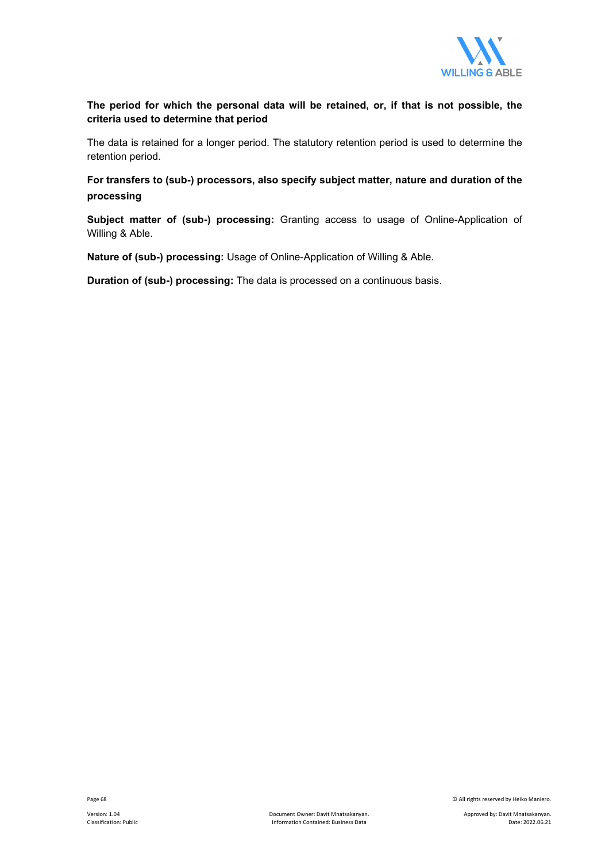

## **The period for which the personal data will be retained, or, if that is not possible, the criteria used to determine that period**

The data is retained for a longer period. The statutory retention period is used to determine the retention period.

**For transfers to (sub-) processors, also specify subject matter, nature and duration of the processing**

**Subject matter of (sub-) processing:** Granting access to usage of Online-Application of Willing & Able.

**Nature of (sub-) processing:** Usage of Online-Application of Willing & Able.

**Duration of (sub-) processing:** The data is processed on a continuous basis.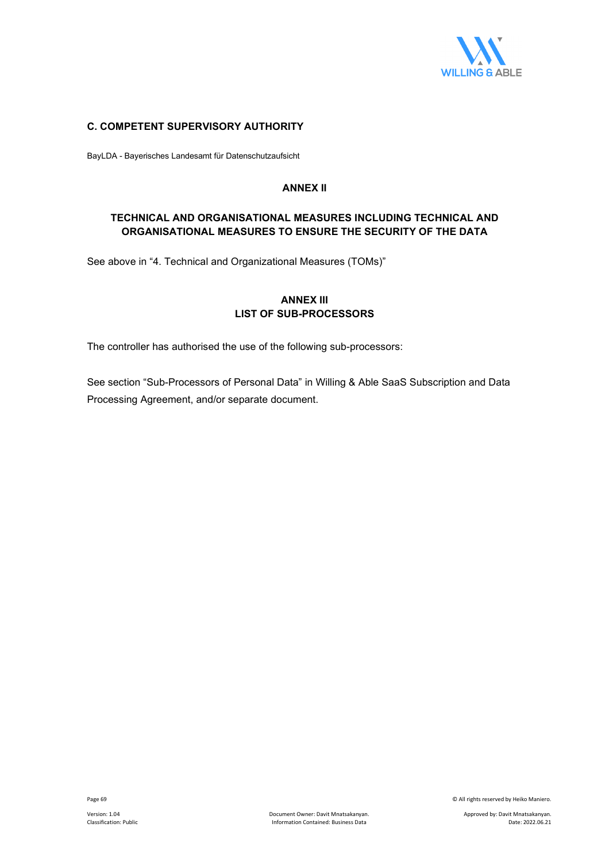

## **C. COMPETENT SUPERVISORY AUTHORITY**

BayLDA - Bayerisches Landesamt für Datenschutzaufsicht

## **ANNEX II**

## **TECHNICAL AND ORGANISATIONAL MEASURES INCLUDING TECHNICAL AND ORGANISATIONAL MEASURES TO ENSURE THE SECURITY OF THE DATA**

See above in "4. Technical and Organizational Measures (TOMs)"

## **ANNEX III LIST OF SUB-PROCESSORS**

The controller has authorised the use of the following sub-processors:

See section "Sub-Processors of Personal Data" in Willing & Able SaaS Subscription and Data Processing Agreement, and/or separate document.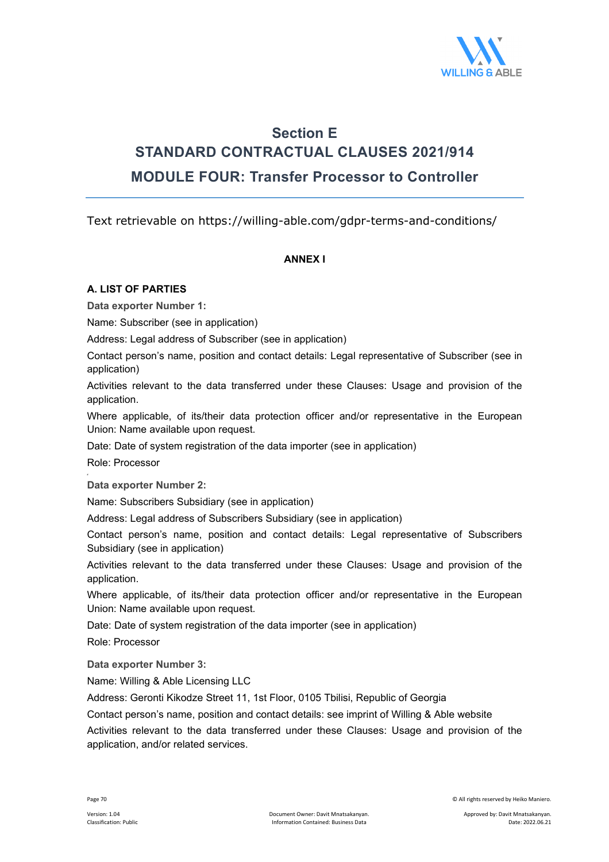

## **Section E STANDARD CONTRACTUAL CLAUSES 2021/914 MODULE FOUR: Transfer Processor to Controller**

Text retrievable on https://willing-able.com/gdpr-terms-and-conditions/

## **ΑΝΝΕΧ I**

## **A. LIST OF PARTIES**

**Data exporter Number 1:** 

Name: Subscriber (see in application)

Address: Legal address of Subscriber (see in application)

Contact person's name, position and contact details: Legal representative of Subscriber (see in application)

Activities relevant to the data transferred under these Clauses: Usage and provision of the application.

Where applicable, of its/their data protection officer and/or representative in the European Union: Name available upon request.

Date: Date of system registration of the data importer (see in application)

Role: Processor

**Data exporter Number 2:** 

Name: Subscribers Subsidiary (see in application)

Address: Legal address of Subscribers Subsidiary (see in application)

Contact person's name, position and contact details: Legal representative of Subscribers Subsidiary (see in application)

Activities relevant to the data transferred under these Clauses: Usage and provision of the application.

Where applicable, of its/their data protection officer and/or representative in the European Union: Name available upon request.

Date: Date of system registration of the data importer (see in application)

Role: Processor

**Data exporter Number 3:**

Name: Willing & Able Licensing LLC

Address: Geronti Kikodze Street 11, 1st Floor, 0105 Tbilisi, Republic of Georgia

Contact person's name, position and contact details: see imprint of Willing & Able website

Activities relevant to the data transferred under these Clauses: Usage and provision of the application, and/or related services.

Page 70 © All rights reserved by Heiko Maniero.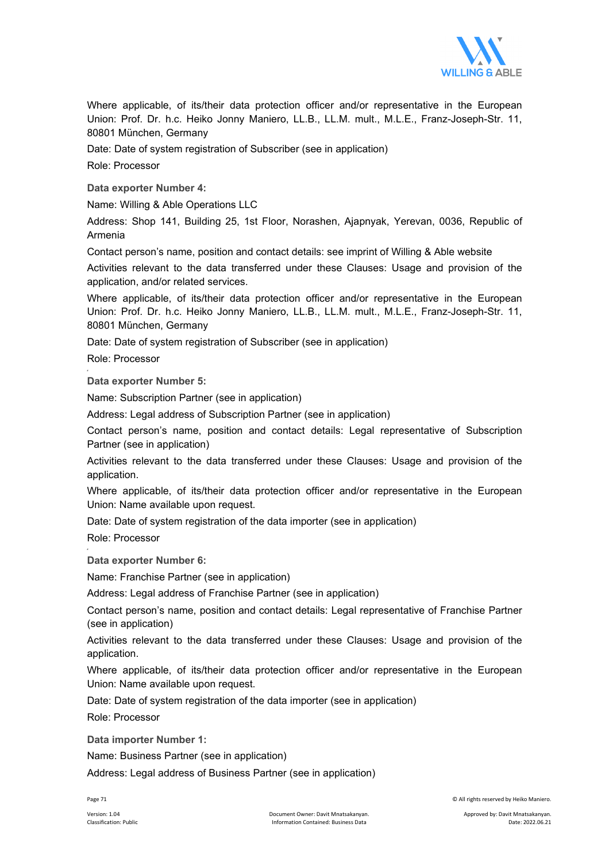

Where applicable, of its/their data protection officer and/or representative in the European Union: Prof. Dr. h.c. Heiko Jonny Maniero, LL.B., LL.M. mult., M.L.E., Franz-Joseph-Str. 11, 80801 München, Germany

Date: Date of system registration of Subscriber (see in application)

Role: Processor

**Data exporter Number 4:**

Name: Willing & Able Operations LLC

Address: Shop 141, Building 25, 1st Floor, Norashen, Ajapnyak, Yerevan, 0036, Republic of Armenia

Contact person's name, position and contact details: see imprint of Willing & Able website

Activities relevant to the data transferred under these Clauses: Usage and provision of the application, and/or related services.

Where applicable, of its/their data protection officer and/or representative in the European Union: Prof. Dr. h.c. Heiko Jonny Maniero, LL.B., LL.M. mult., M.L.E., Franz-Joseph-Str. 11, 80801 München, Germany

Date: Date of system registration of Subscriber (see in application)

Role: Processor

**Data exporter Number 5:**

Name: Subscription Partner (see in application)

Address: Legal address of Subscription Partner (see in application)

Contact person's name, position and contact details: Legal representative of Subscription Partner (see in application)

Activities relevant to the data transferred under these Clauses: Usage and provision of the application.

Where applicable, of its/their data protection officer and/or representative in the European Union: Name available upon request.

Date: Date of system registration of the data importer (see in application)

Role: Processor

**Data exporter Number 6:** 

Name: Franchise Partner (see in application)

Address: Legal address of Franchise Partner (see in application)

Contact person's name, position and contact details: Legal representative of Franchise Partner (see in application)

Activities relevant to the data transferred under these Clauses: Usage and provision of the application.

Where applicable, of its/their data protection officer and/or representative in the European Union: Name available upon request.

Date: Date of system registration of the data importer (see in application)

Role: Processor

**Data importer Number 1:**

Name: Business Partner (see in application)

Address: Legal address of Business Partner (see in application)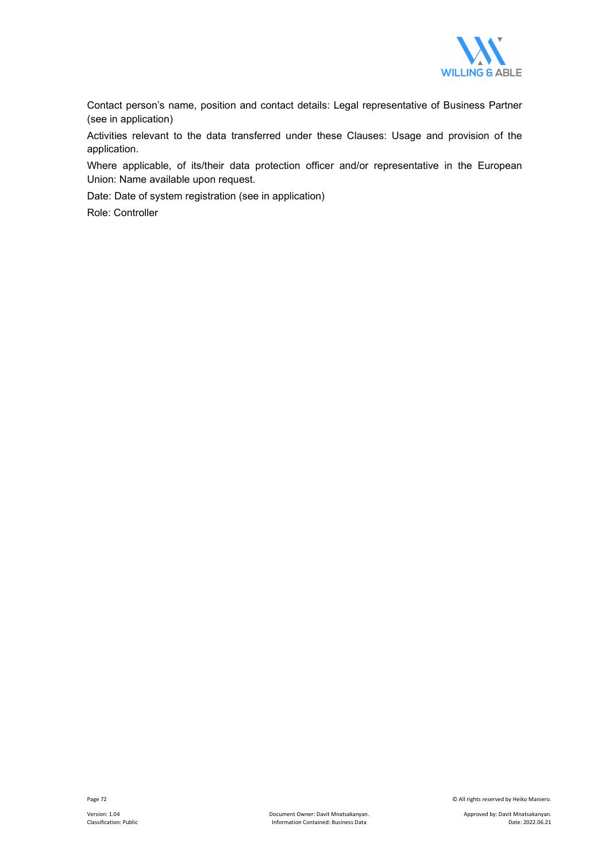

Contact person's name, position and contact details: Legal representative of Business Partner (see in application)

Activities relevant to the data transferred under these Clauses: Usage and provision of the application.

Where applicable, of its/their data protection officer and/or representative in the European Union: Name available upon request.

Date: Date of system registration (see in application)

Role: Controller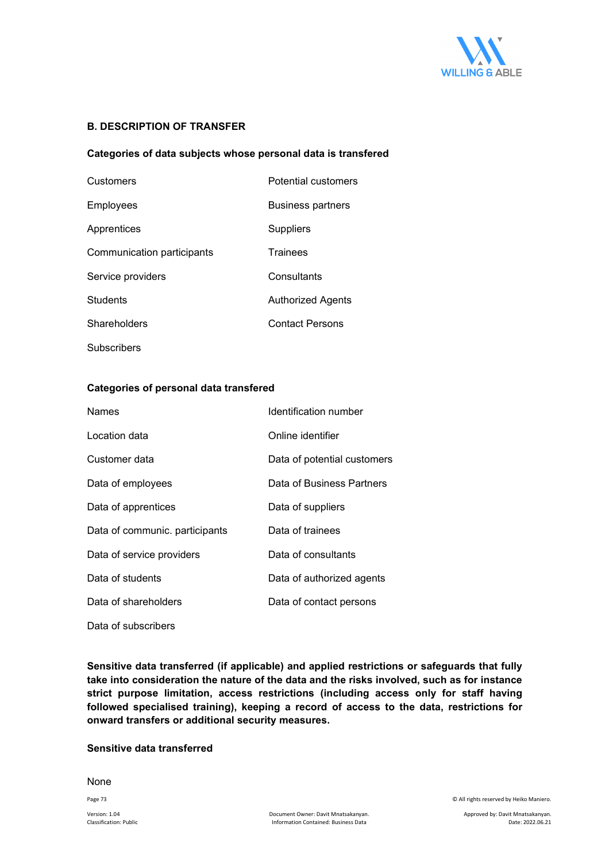

#### **B. DESCRIPTION OF TRANSFER**

#### **Categories of data subjects whose personal data is transfered**

| Customers                  | <b>Potential customers</b> |
|----------------------------|----------------------------|
| Employees                  | <b>Business partners</b>   |
| Apprentices                | Suppliers                  |
| Communication participants | <b>Trainees</b>            |
| Service providers          | Consultants                |
| <b>Students</b>            | Authorized Agents          |
| Shareholders               | <b>Contact Persons</b>     |
| Subscribers                |                            |

#### **Categories of personal data transfered**

| <b>Names</b>                   | Identification number       |  |
|--------------------------------|-----------------------------|--|
| Location data                  | Online identifier           |  |
| Customer data                  | Data of potential customers |  |
| Data of employees              | Data of Business Partners   |  |
| Data of apprentices            | Data of suppliers           |  |
| Data of communic. participants | Data of trainees            |  |
| Data of service providers      | Data of consultants         |  |
| Data of students               | Data of authorized agents   |  |
| Data of shareholders           | Data of contact persons     |  |
| Data of subscribers            |                             |  |

**Sensitive data transferred (if applicable) and applied restrictions or safeguards that fully take into consideration the nature of the data and the risks involved, such as for instance strict purpose limitation, access restrictions (including access only for staff having followed specialised training), keeping a record of access to the data, restrictions for onward transfers or additional security measures.** 

#### **Sensitive data transferred**

None

Page 73 © All rights reserved by Heiko Maniero.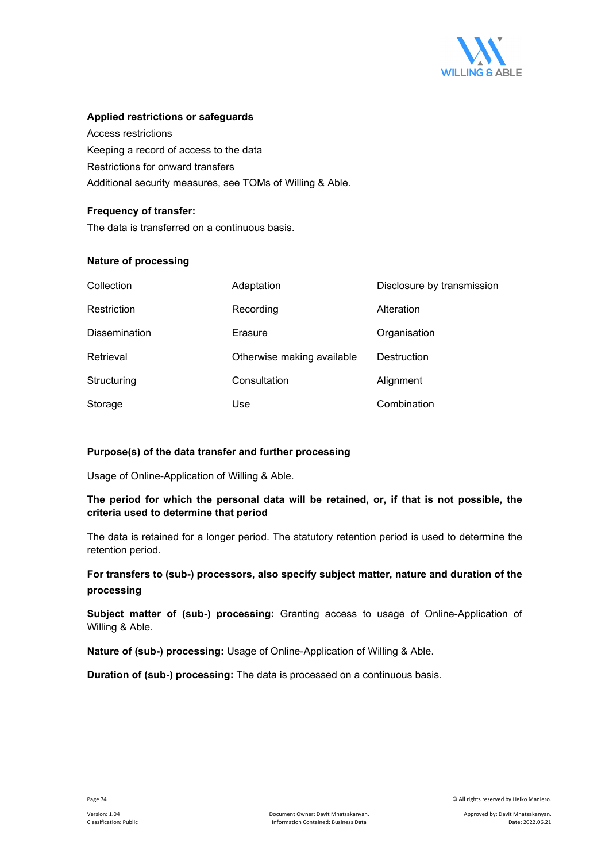

#### **Applied restrictions or safeguards**

Access restrictions Keeping a record of access to the data Restrictions for onward transfers Additional security measures, see TOMs of Willing & Able.

#### **Frequency of transfer:**

The data is transferred on a continuous basis.

#### **Nature of processing**

| Collection           | Adaptation                 | Disclosure by transmission |
|----------------------|----------------------------|----------------------------|
| Restriction          | Recording                  | Alteration                 |
| <b>Dissemination</b> | Erasure                    | Organisation               |
| Retrieval            | Otherwise making available | Destruction                |
| Structuring          | Consultation               | Alignment                  |
| Storage              | Use                        | Combination                |

#### **Purpose(s) of the data transfer and further processing**

Usage of Online-Application of Willing & Able.

#### **The period for which the personal data will be retained, or, if that is not possible, the criteria used to determine that period**

The data is retained for a longer period. The statutory retention period is used to determine the retention period.

#### **For transfers to (sub-) processors, also specify subject matter, nature and duration of the processing**

**Subject matter of (sub-) processing:** Granting access to usage of Online-Application of Willing & Able.

**Nature of (sub-) processing:** Usage of Online-Application of Willing & Able.

**Duration of (sub-) processing:** The data is processed on a continuous basis.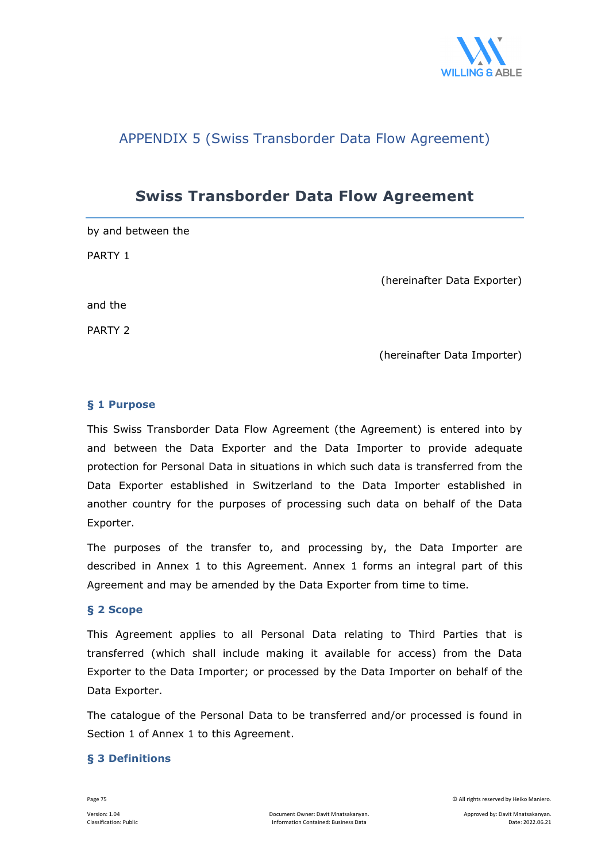

### APPENDIX 5 (Swiss Transborder Data Flow Agreement)

### **Swiss Transborder Data Flow Agreement**

by and between the PARTY 1 (hereinafter Data Exporter) and the PARTY 2 (hereinafter Data Importer)

#### **§ 1 Purpose**

This Swiss Transborder Data Flow Agreement (the Agreement) is entered into by and between the Data Exporter and the Data Importer to provide adequate protection for Personal Data in situations in which such data is transferred from the Data Exporter established in Switzerland to the Data Importer established in another country for the purposes of processing such data on behalf of the Data Exporter.

The purposes of the transfer to, and processing by, the Data Importer are described in Annex 1 to this Agreement. Annex 1 forms an integral part of this Agreement and may be amended by the Data Exporter from time to time.

#### **§ 2 Scope**

This Agreement applies to all Personal Data relating to Third Parties that is transferred (which shall include making it available for access) from the Data Exporter to the Data Importer; or processed by the Data Importer on behalf of the Data Exporter.

The catalogue of the Personal Data to be transferred and/or processed is found in Section 1 of Annex 1 to this Agreement.

#### **§ 3 Definitions**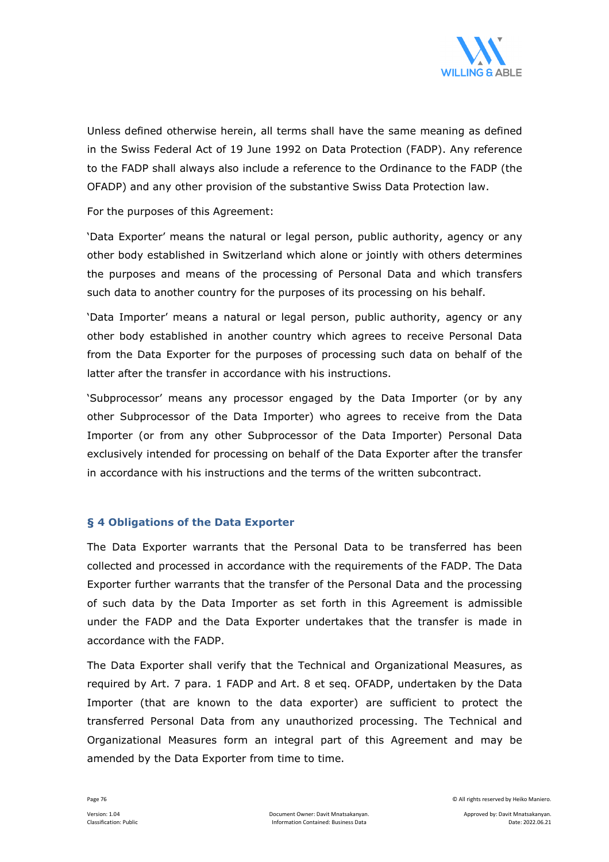

Unless defined otherwise herein, all terms shall have the same meaning as defined in the Swiss Federal Act of 19 June 1992 on Data Protection (FADP). Any reference to the FADP shall always also include a reference to the Ordinance to the FADP (the OFADP) and any other provision of the substantive Swiss Data Protection law.

For the purposes of this Agreement:

'Data Exporter' means the natural or legal person, public authority, agency or any other body established in Switzerland which alone or jointly with others determines the purposes and means of the processing of Personal Data and which transfers such data to another country for the purposes of its processing on his behalf.

'Data Importer' means a natural or legal person, public authority, agency or any other body established in another country which agrees to receive Personal Data from the Data Exporter for the purposes of processing such data on behalf of the latter after the transfer in accordance with his instructions.

'Subprocessor' means any processor engaged by the Data Importer (or by any other Subprocessor of the Data Importer) who agrees to receive from the Data Importer (or from any other Subprocessor of the Data Importer) Personal Data exclusively intended for processing on behalf of the Data Exporter after the transfer in accordance with his instructions and the terms of the written subcontract.

#### **§ 4 Obligations of the Data Exporter**

The Data Exporter warrants that the Personal Data to be transferred has been collected and processed in accordance with the requirements of the FADP. The Data Exporter further warrants that the transfer of the Personal Data and the processing of such data by the Data Importer as set forth in this Agreement is admissible under the FADP and the Data Exporter undertakes that the transfer is made in accordance with the FADP.

The Data Exporter shall verify that the Technical and Organizational Measures, as required by Art. 7 para. 1 FADP and Art. 8 et seq. OFADP, undertaken by the Data Importer (that are known to the data exporter) are sufficient to protect the transferred Personal Data from any unauthorized processing. The Technical and Organizational Measures form an integral part of this Agreement and may be amended by the Data Exporter from time to time.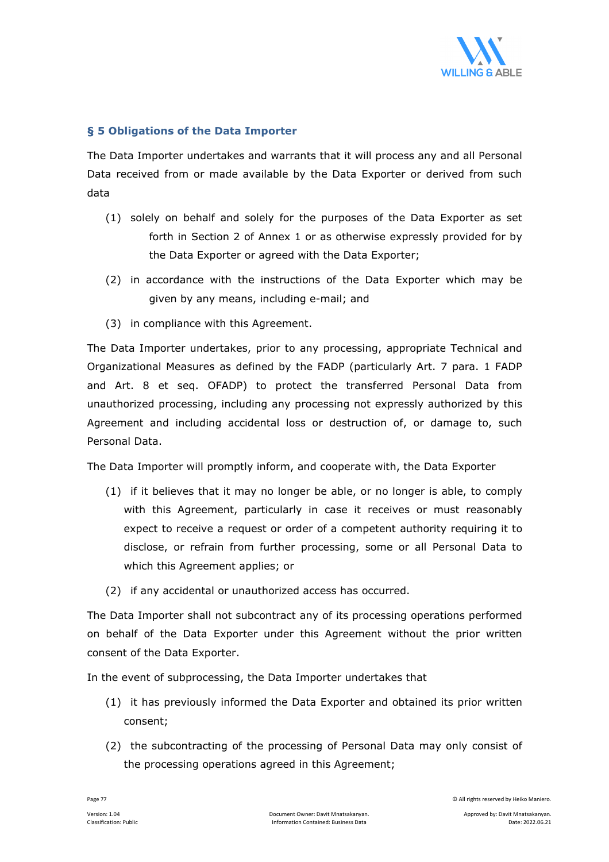

#### **§ 5 Obligations of the Data Importer**

The Data Importer undertakes and warrants that it will process any and all Personal Data received from or made available by the Data Exporter or derived from such data

- (1) solely on behalf and solely for the purposes of the Data Exporter as set forth in Section 2 of Annex 1 or as otherwise expressly provided for by the Data Exporter or agreed with the Data Exporter;
- (2) in accordance with the instructions of the Data Exporter which may be given by any means, including e-mail; and
- (3) in compliance with this Agreement.

The Data Importer undertakes, prior to any processing, appropriate Technical and Organizational Measures as defined by the FADP (particularly Art. 7 para. 1 FADP and Art. 8 et seq. OFADP) to protect the transferred Personal Data from unauthorized processing, including any processing not expressly authorized by this Agreement and including accidental loss or destruction of, or damage to, such Personal Data.

The Data Importer will promptly inform, and cooperate with, the Data Exporter

- (1) if it believes that it may no longer be able, or no longer is able, to comply with this Agreement, particularly in case it receives or must reasonably expect to receive a request or order of a competent authority requiring it to disclose, or refrain from further processing, some or all Personal Data to which this Agreement applies; or
- (2) if any accidental or unauthorized access has occurred.

The Data Importer shall not subcontract any of its processing operations performed on behalf of the Data Exporter under this Agreement without the prior written consent of the Data Exporter.

In the event of subprocessing, the Data Importer undertakes that

- (1) it has previously informed the Data Exporter and obtained its prior written consent;
- (2) the subcontracting of the processing of Personal Data may only consist of the processing operations agreed in this Agreement;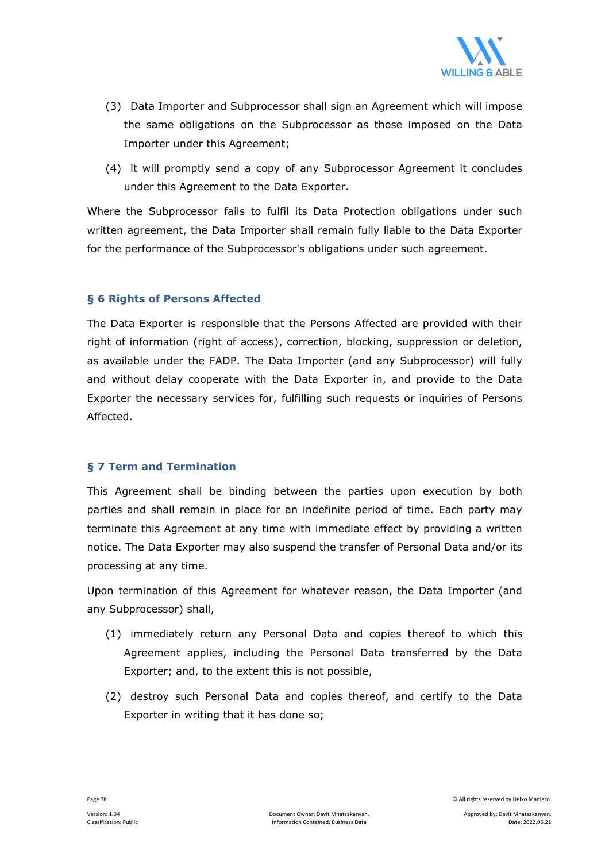

- (3) Data Importer and Subprocessor shall sign an Agreement which will impose the same obligations on the Subprocessor as those imposed on the Data Importer under this Agreement;
- (4) it will promptly send a copy of any Subprocessor Agreement it concludes under this Agreement to the Data Exporter.

Where the Subprocessor fails to fulfil its Data Protection obligations under such written agreement, the Data Importer shall remain fully liable to the Data Exporter for the performance of the Subprocessor's obligations under such agreement.

#### **§ 6 Rights of Persons Affected**

The Data Exporter is responsible that the Persons Affected are provided with their right of information (right of access), correction, blocking, suppression or deletion, as available under the FADP. The Data Importer (and any Subprocessor) will fully and without delay cooperate with the Data Exporter in, and provide to the Data Exporter the necessary services for, fulfilling such requests or inquiries of Persons Affected.

#### **§ 7 Term and Termination**

This Agreement shall be binding between the parties upon execution by both parties and shall remain in place for an indefinite period of time. Each party may terminate this Agreement at any time with immediate effect by providing a written notice. The Data Exporter may also suspend the transfer of Personal Data and/or its processing at any time.

Upon termination of this Agreement for whatever reason, the Data Importer (and any Subprocessor) shall,

- (1) immediately return any Personal Data and copies thereof to which this Agreement applies, including the Personal Data transferred by the Data Exporter; and, to the extent this is not possible,
- (2) destroy such Personal Data and copies thereof, and certify to the Data Exporter in writing that it has done so;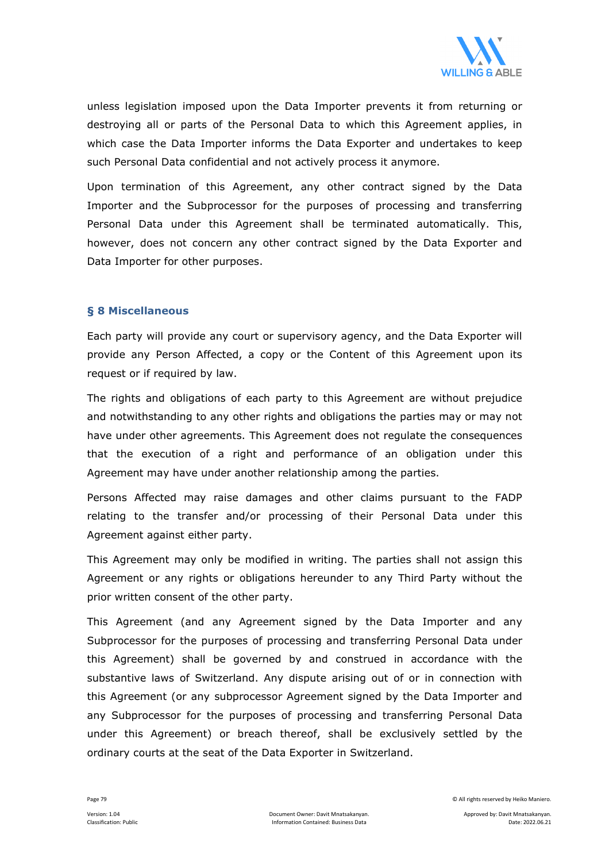

unless legislation imposed upon the Data Importer prevents it from returning or destroying all or parts of the Personal Data to which this Agreement applies, in which case the Data Importer informs the Data Exporter and undertakes to keep such Personal Data confidential and not actively process it anymore.

Upon termination of this Agreement, any other contract signed by the Data Importer and the Subprocessor for the purposes of processing and transferring Personal Data under this Agreement shall be terminated automatically. This, however, does not concern any other contract signed by the Data Exporter and Data Importer for other purposes.

#### **§ 8 Miscellaneous**

Each party will provide any court or supervisory agency, and the Data Exporter will provide any Person Affected, a copy or the Content of this Agreement upon its request or if required by law.

The rights and obligations of each party to this Agreement are without prejudice and notwithstanding to any other rights and obligations the parties may or may not have under other agreements. This Agreement does not regulate the consequences that the execution of a right and performance of an obligation under this Agreement may have under another relationship among the parties.

Persons Affected may raise damages and other claims pursuant to the FADP relating to the transfer and/or processing of their Personal Data under this Agreement against either party.

This Agreement may only be modified in writing. The parties shall not assign this Agreement or any rights or obligations hereunder to any Third Party without the prior written consent of the other party.

This Agreement (and any Agreement signed by the Data Importer and any Subprocessor for the purposes of processing and transferring Personal Data under this Agreement) shall be governed by and construed in accordance with the substantive laws of Switzerland. Any dispute arising out of or in connection with this Agreement (or any subprocessor Agreement signed by the Data Importer and any Subprocessor for the purposes of processing and transferring Personal Data under this Agreement) or breach thereof, shall be exclusively settled by the ordinary courts at the seat of the Data Exporter in Switzerland.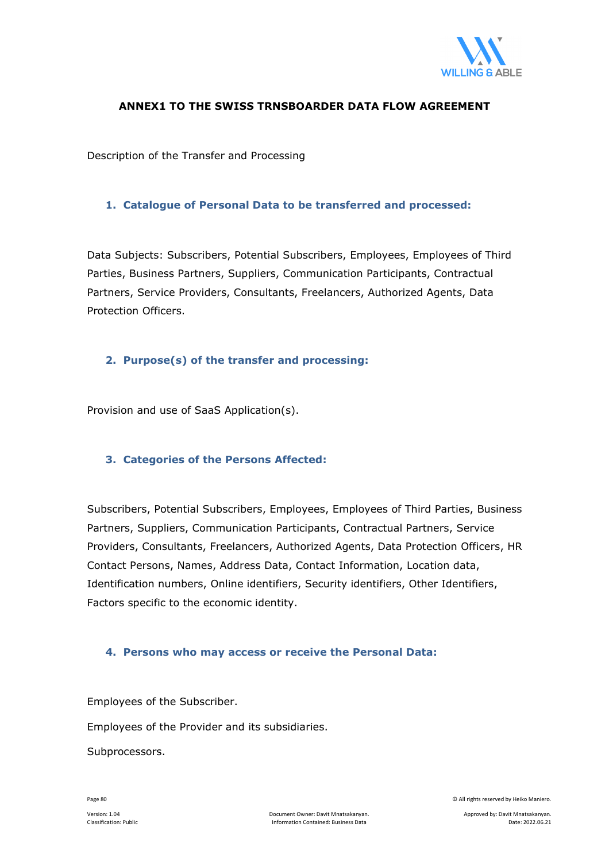

#### **ANNEX1 TO THE SWISS TRNSBOARDER DATA FLOW AGREEMENT**

Description of the Transfer and Processing

#### **1. Catalogue of Personal Data to be transferred and processed:**

Data Subjects: Subscribers, Potential Subscribers, Employees, Employees of Third Parties, Business Partners, Suppliers, Communication Participants, Contractual Partners, Service Providers, Consultants, Freelancers, Authorized Agents, Data Protection Officers.

#### **2. Purpose(s) of the transfer and processing:**

Provision and use of SaaS Application(s).

#### **3. Categories of the Persons Affected:**

Subscribers, Potential Subscribers, Employees, Employees of Third Parties, Business Partners, Suppliers, Communication Participants, Contractual Partners, Service Providers, Consultants, Freelancers, Authorized Agents, Data Protection Officers, HR Contact Persons, Names, Address Data, Contact Information, Location data, Identification numbers, Online identifiers, Security identifiers, Other Identifiers, Factors specific to the economic identity.

#### **4. Persons who may access or receive the Personal Data:**

Employees of the Subscriber.

Employees of the Provider and its subsidiaries.

Subprocessors.

Page 80 © All rights reserved by Heiko Maniero.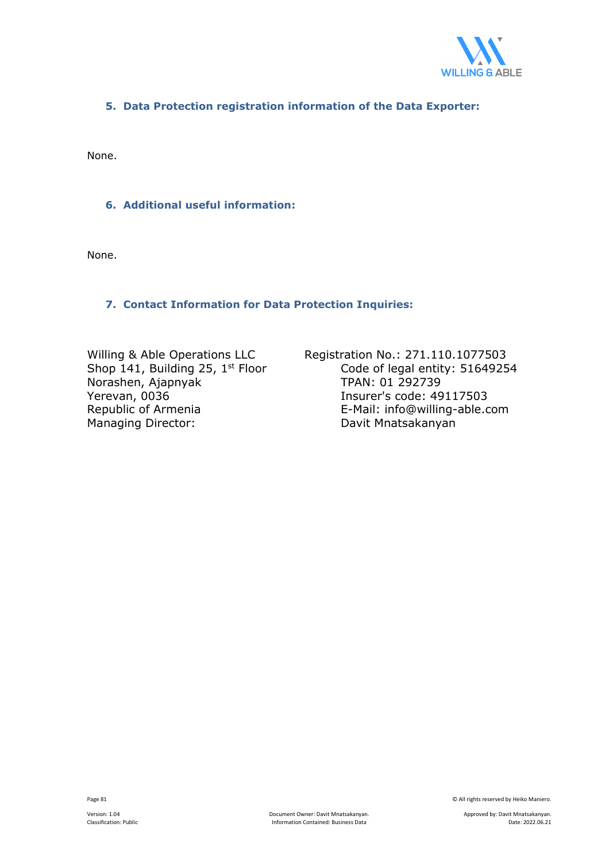

#### **5. Data Protection registration information of the Data Exporter:**

None.

#### **6. Additional useful information:**

None.

#### **7. Contact Information for Data Protection Inquiries:**

Shop 141, Building 25,  $1^{st}$  Floor Code of legal entity<br>Norashen, Ajapnyak TPAN: 01 292739 Norashen, Ajapnyak Yerevan, 0036 <br>Republic of Armenia **Insurer's code: 49117503**<br>E-Mail: info@willing-able.com Managing Director: **Davit Mnatsakanyan** 

Willing & Able Operations LLC<br>Shop 141, Building 25, 1<sup>st</sup> Floor Code of legal entity: 51649254 E-Mail: info@willing-able.com

Page 81 © All rights reserved by Heiko Maniero.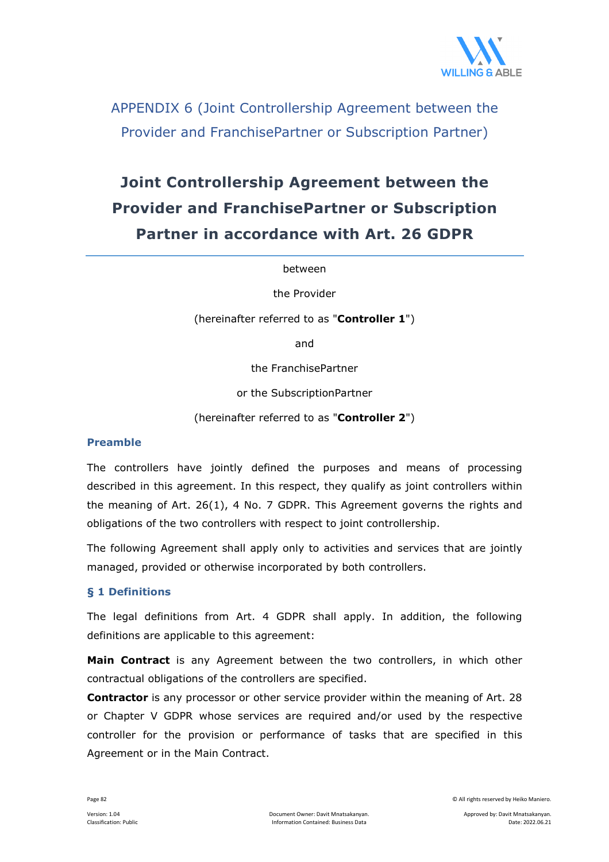

APPENDIX 6 (Joint Controllership Agreement between the Provider and FranchisePartner or Subscription Partner)

# **Joint Controllership Agreement between the Provider and FranchisePartner or Subscription Partner in accordance with Art. 26 GDPR**

between

the Provider

(hereinafter referred to as "**Controller 1**")

and

the FranchisePartner

or the SubscriptionPartner

(hereinafter referred to as "**Controller 2**")

#### **Preamble**

The controllers have jointly defined the purposes and means of processing described in this agreement. In this respect, they qualify as joint controllers within the meaning of Art. 26(1), 4 No. 7 GDPR. This Agreement governs the rights and obligations of the two controllers with respect to joint controllership.

The following Agreement shall apply only to activities and services that are jointly managed, provided or otherwise incorporated by both controllers.

#### **§ 1 Definitions**

The legal definitions from Art. 4 GDPR shall apply. In addition, the following definitions are applicable to this agreement:

**Main Contract** is any Agreement between the two controllers, in which other contractual obligations of the controllers are specified.

**Contractor** is any processor or other service provider within the meaning of Art. 28 or Chapter V GDPR whose services are required and/or used by the respective controller for the provision or performance of tasks that are specified in this Agreement or in the Main Contract.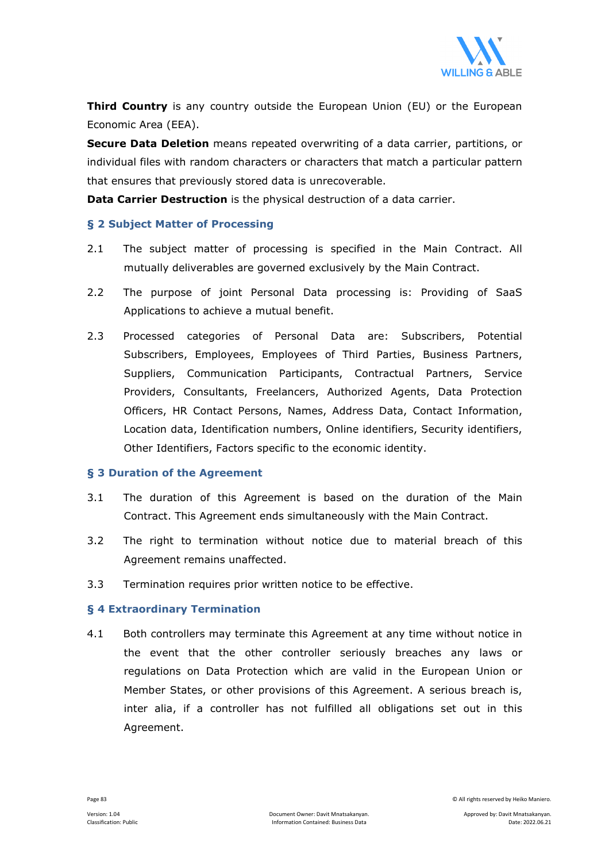

**Third Country** is any country outside the European Union (EU) or the European Economic Area (EEA).

**Secure Data Deletion** means repeated overwriting of a data carrier, partitions, or individual files with random characters or characters that match a particular pattern that ensures that previously stored data is unrecoverable.

**Data Carrier Destruction** is the physical destruction of a data carrier.

#### **§ 2 Subject Matter of Processing**

- 2.1 The subject matter of processing is specified in the Main Contract. All mutually deliverables are governed exclusively by the Main Contract.
- 2.2 The purpose of joint Personal Data processing is: Providing of SaaS Applications to achieve a mutual benefit.
- 2.3 Processed categories of Personal Data are: Subscribers, Potential Subscribers, Employees, Employees of Third Parties, Business Partners, Suppliers, Communication Participants, Contractual Partners, Service Providers, Consultants, Freelancers, Authorized Agents, Data Protection Officers, HR Contact Persons, Names, Address Data, Contact Information, Location data, Identification numbers, Online identifiers, Security identifiers, Other Identifiers, Factors specific to the economic identity.

#### **§ 3 Duration of the Agreement**

- 3.1 The duration of this Agreement is based on the duration of the Main Contract. This Agreement ends simultaneously with the Main Contract.
- 3.2 The right to termination without notice due to material breach of this Agreement remains unaffected.
- 3.3 Termination requires prior written notice to be effective.

#### **§ 4 Extraordinary Termination**

4.1 Both controllers may terminate this Agreement at any time without notice in the event that the other controller seriously breaches any laws or regulations on Data Protection which are valid in the European Union or Member States, or other provisions of this Agreement. A serious breach is, inter alia, if a controller has not fulfilled all obligations set out in this Agreement.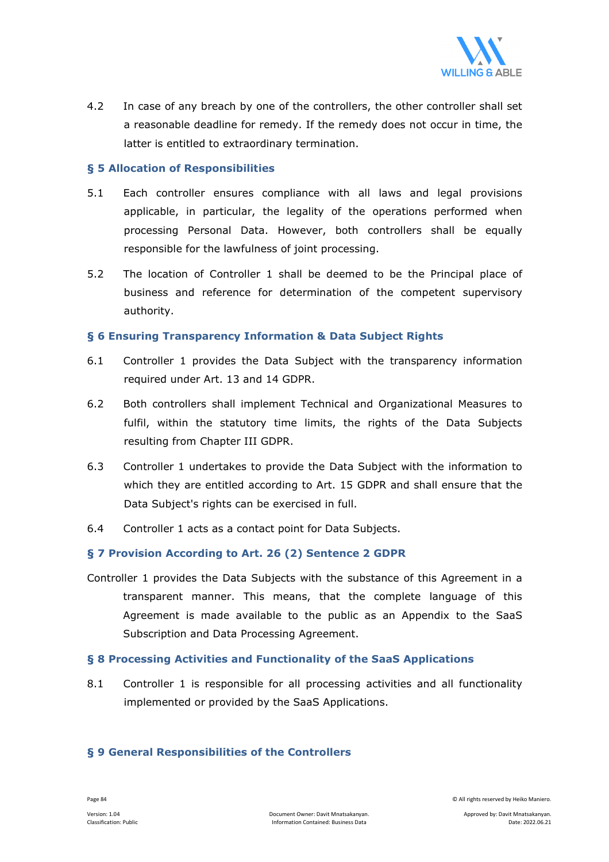

4.2 In case of any breach by one of the controllers, the other controller shall set a reasonable deadline for remedy. If the remedy does not occur in time, the latter is entitled to extraordinary termination.

#### **§ 5 Allocation of Responsibilities**

- 5.1 Each controller ensures compliance with all laws and legal provisions applicable, in particular, the legality of the operations performed when processing Personal Data. However, both controllers shall be equally responsible for the lawfulness of joint processing.
- 5.2 The location of Controller 1 shall be deemed to be the Principal place of business and reference for determination of the competent supervisory authority.

#### **§ 6 Ensuring Transparency Information & Data Subject Rights**

- 6.1 Controller 1 provides the Data Subject with the transparency information required under Art. 13 and 14 GDPR.
- 6.2 Both controllers shall implement Technical and Organizational Measures to fulfil, within the statutory time limits, the rights of the Data Subjects resulting from Chapter III GDPR.
- 6.3 Controller 1 undertakes to provide the Data Subject with the information to which they are entitled according to Art. 15 GDPR and shall ensure that the Data Subject's rights can be exercised in full.
- 6.4 Controller 1 acts as a contact point for Data Subjects.

#### **§ 7 Provision According to Art. 26 (2) Sentence 2 GDPR**

Controller 1 provides the Data Subjects with the substance of this Agreement in a transparent manner. This means, that the complete language of this Agreement is made available to the public as an Appendix to the SaaS Subscription and Data Processing Agreement.

#### **§ 8 Processing Activities and Functionality of the SaaS Applications**

8.1 Controller 1 is responsible for all processing activities and all functionality implemented or provided by the SaaS Applications.

#### **§ 9 General Responsibilities of the Controllers**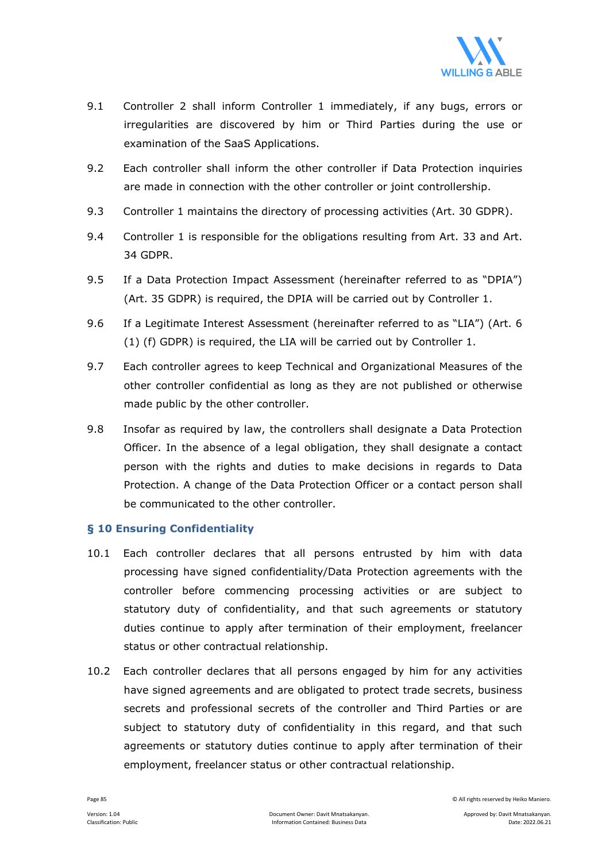

- 9.1 Controller 2 shall inform Controller 1 immediately, if any bugs, errors or irregularities are discovered by him or Third Parties during the use or examination of the SaaS Applications.
- 9.2 Each controller shall inform the other controller if Data Protection inquiries are made in connection with the other controller or joint controllership.
- 9.3 Controller 1 maintains the directory of processing activities (Art. 30 GDPR).
- 9.4 Controller 1 is responsible for the obligations resulting from Art. 33 and Art. 34 GDPR.
- 9.5 If a Data Protection Impact Assessment (hereinafter referred to as "DPIA") (Art. 35 GDPR) is required, the DPIA will be carried out by Controller 1.
- 9.6 If a Legitimate Interest Assessment (hereinafter referred to as "LIA") (Art. 6 (1) (f) GDPR) is required, the LIA will be carried out by Controller 1.
- 9.7 Each controller agrees to keep Technical and Organizational Measures of the other controller confidential as long as they are not published or otherwise made public by the other controller.
- 9.8 Insofar as required by law, the controllers shall designate a Data Protection Officer. In the absence of a legal obligation, they shall designate a contact person with the rights and duties to make decisions in regards to Data Protection. A change of the Data Protection Officer or a contact person shall be communicated to the other controller.

#### **§ 10 Ensuring Confidentiality**

- 10.1 Each controller declares that all persons entrusted by him with data processing have signed confidentiality/Data Protection agreements with the controller before commencing processing activities or are subject to statutory duty of confidentiality, and that such agreements or statutory duties continue to apply after termination of their employment, freelancer status or other contractual relationship.
- 10.2 Each controller declares that all persons engaged by him for any activities have signed agreements and are obligated to protect trade secrets, business secrets and professional secrets of the controller and Third Parties or are subject to statutory duty of confidentiality in this regard, and that such agreements or statutory duties continue to apply after termination of their employment, freelancer status or other contractual relationship.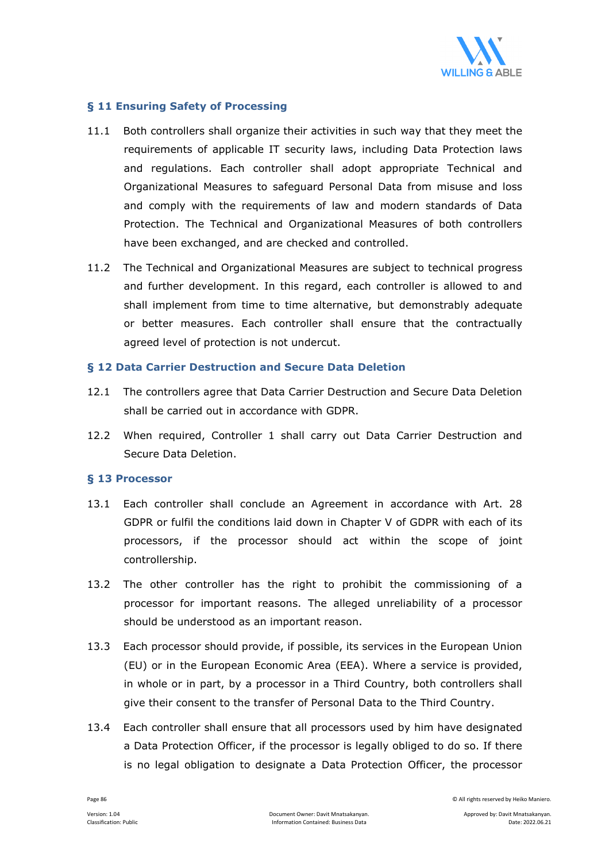

#### **§ 11 Ensuring Safety of Processing**

- 11.1 Both controllers shall organize their activities in such way that they meet the requirements of applicable IT security laws, including Data Protection laws and regulations. Each controller shall adopt appropriate Technical and Organizational Measures to safeguard Personal Data from misuse and loss and comply with the requirements of law and modern standards of Data Protection. The Technical and Organizational Measures of both controllers have been exchanged, and are checked and controlled.
- 11.2 The Technical and Organizational Measures are subject to technical progress and further development. In this regard, each controller is allowed to and shall implement from time to time alternative, but demonstrably adequate or better measures. Each controller shall ensure that the contractually agreed level of protection is not undercut.

#### **§ 12 Data Carrier Destruction and Secure Data Deletion**

- 12.1 The controllers agree that Data Carrier Destruction and Secure Data Deletion shall be carried out in accordance with GDPR.
- 12.2 When required, Controller 1 shall carry out Data Carrier Destruction and Secure Data Deletion.

#### **§ 13 Processor**

- 13.1 Each controller shall conclude an Agreement in accordance with Art. 28 GDPR or fulfil the conditions laid down in Chapter V of GDPR with each of its processors, if the processor should act within the scope of joint controllership.
- 13.2 The other controller has the right to prohibit the commissioning of a processor for important reasons. The alleged unreliability of a processor should be understood as an important reason.
- 13.3 Each processor should provide, if possible, its services in the European Union (EU) or in the European Economic Area (EEA). Where a service is provided, in whole or in part, by a processor in a Third Country, both controllers shall give their consent to the transfer of Personal Data to the Third Country.
- 13.4 Each controller shall ensure that all processors used by him have designated a Data Protection Officer, if the processor is legally obliged to do so. If there is no legal obligation to designate a Data Protection Officer, the processor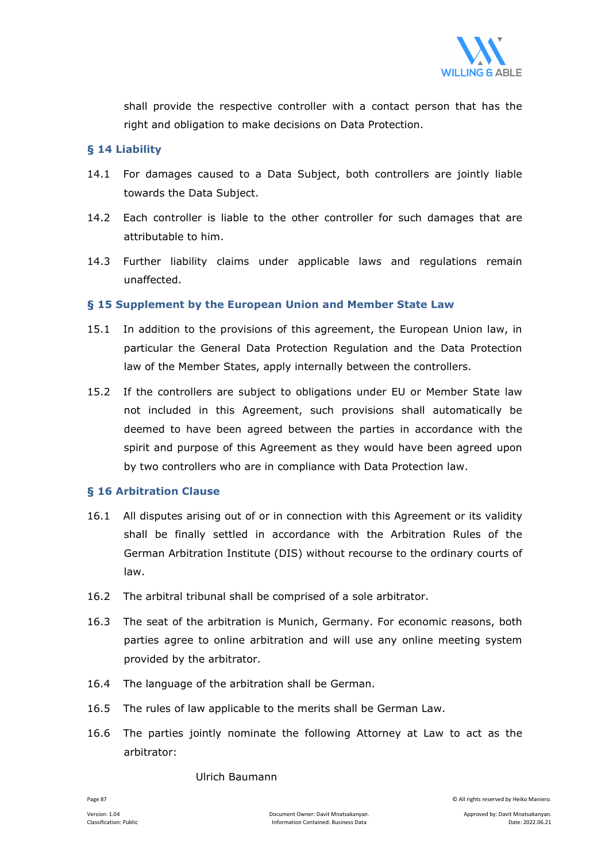

shall provide the respective controller with a contact person that has the right and obligation to make decisions on Data Protection.

#### **§ 14 Liability**

- 14.1 For damages caused to a Data Subject, both controllers are jointly liable towards the Data Subject.
- 14.2 Each controller is liable to the other controller for such damages that are attributable to him.
- 14.3 Further liability claims under applicable laws and regulations remain unaffected.

#### **§ 15 Supplement by the European Union and Member State Law**

- 15.1 In addition to the provisions of this agreement, the European Union law, in particular the General Data Protection Regulation and the Data Protection law of the Member States, apply internally between the controllers.
- 15.2 If the controllers are subject to obligations under EU or Member State law not included in this Agreement, such provisions shall automatically be deemed to have been agreed between the parties in accordance with the spirit and purpose of this Agreement as they would have been agreed upon by two controllers who are in compliance with Data Protection law.

#### **§ 16 Arbitration Clause**

- 16.1 All disputes arising out of or in connection with this Agreement or its validity shall be finally settled in accordance with the Arbitration Rules of the German Arbitration Institute (DIS) without recourse to the ordinary courts of law.
- 16.2 The arbitral tribunal shall be comprised of a sole arbitrator.
- 16.3 The seat of the arbitration is Munich, Germany. For economic reasons, both parties agree to online arbitration and will use any online meeting system provided by the arbitrator.
- 16.4 The language of the arbitration shall be German.
- 16.5 The rules of law applicable to the merits shall be German Law.
- 16.6 The parties jointly nominate the following Attorney at Law to act as the arbitrator:

#### Ulrich Baumann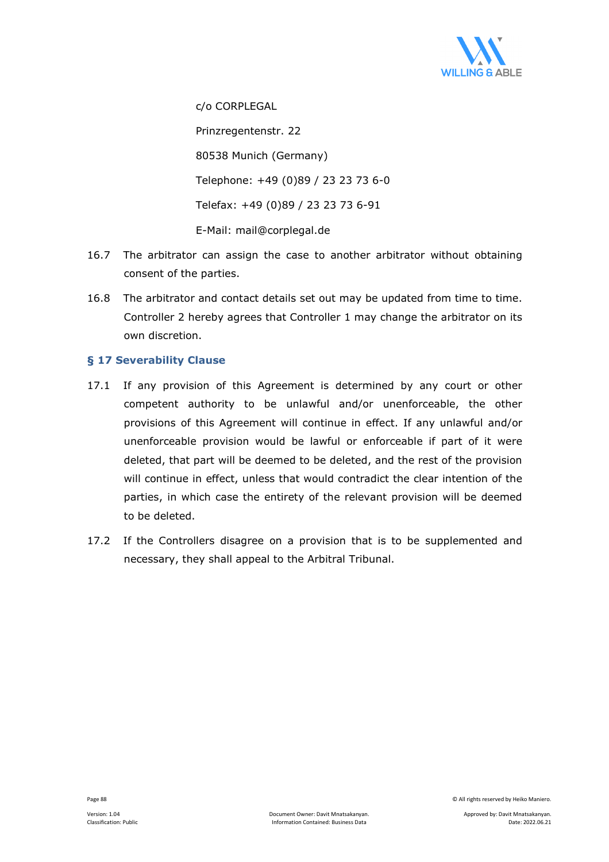

c/o CORPLEGAL Prinzregentenstr. 22 80538 Munich (Germany) Telephone: +49 (0)89 / 23 23 73 6-0 Telefax: +49 (0)89 / 23 23 73 6-91 E-Mail: mail@corplegal.de

- 16.7 The arbitrator can assign the case to another arbitrator without obtaining consent of the parties.
- 16.8 The arbitrator and contact details set out may be updated from time to time. Controller 2 hereby agrees that Controller 1 may change the arbitrator on its own discretion.

#### **§ 17 Severability Clause**

- 17.1 If any provision of this Agreement is determined by any court or other competent authority to be unlawful and/or unenforceable, the other provisions of this Agreement will continue in effect. If any unlawful and/or unenforceable provision would be lawful or enforceable if part of it were deleted, that part will be deemed to be deleted, and the rest of the provision will continue in effect, unless that would contradict the clear intention of the parties, in which case the entirety of the relevant provision will be deemed to be deleted.
- 17.2 If the Controllers disagree on a provision that is to be supplemented and necessary, they shall appeal to the Arbitral Tribunal.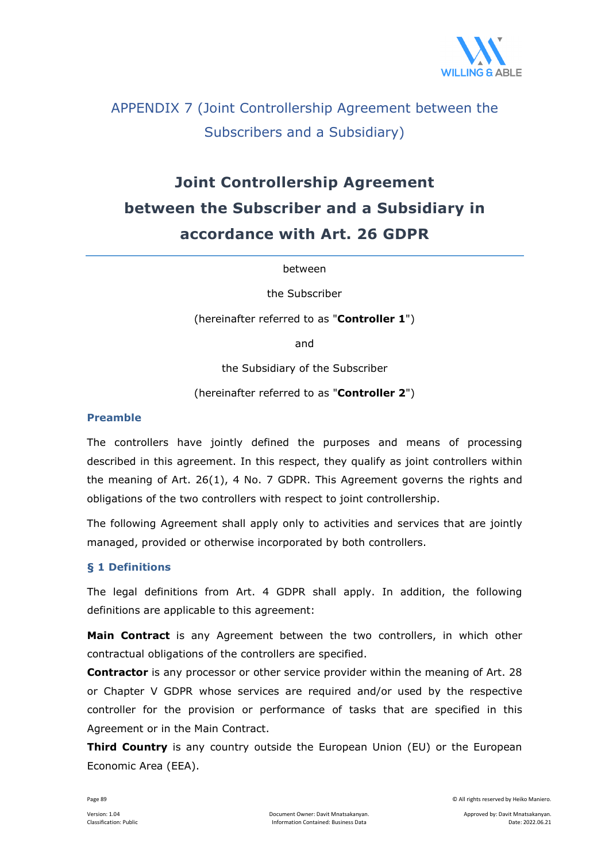

## APPENDIX 7 (Joint Controllership Agreement between the Subscribers and a Subsidiary)

# **Joint Controllership Agreement between the Subscriber and a Subsidiary in accordance with Art. 26 GDPR**

between

the Subscriber

(hereinafter referred to as "**Controller 1**")

and

the Subsidiary of the Subscriber

(hereinafter referred to as "**Controller 2**")

#### **Preamble**

The controllers have jointly defined the purposes and means of processing described in this agreement. In this respect, they qualify as joint controllers within the meaning of Art. 26(1), 4 No. 7 GDPR. This Agreement governs the rights and obligations of the two controllers with respect to joint controllership.

The following Agreement shall apply only to activities and services that are jointly managed, provided or otherwise incorporated by both controllers.

#### **§ 1 Definitions**

The legal definitions from Art. 4 GDPR shall apply. In addition, the following definitions are applicable to this agreement:

**Main Contract** is any Agreement between the two controllers, in which other contractual obligations of the controllers are specified.

**Contractor** is any processor or other service provider within the meaning of Art. 28 or Chapter V GDPR whose services are required and/or used by the respective controller for the provision or performance of tasks that are specified in this Agreement or in the Main Contract.

**Third Country** is any country outside the European Union (EU) or the European Economic Area (EEA).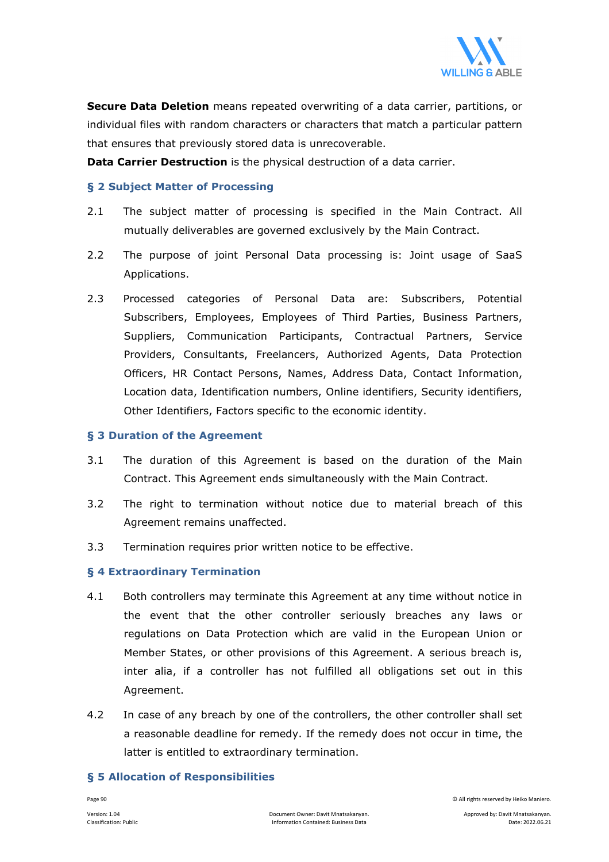

**Secure Data Deletion** means repeated overwriting of a data carrier, partitions, or individual files with random characters or characters that match a particular pattern that ensures that previously stored data is unrecoverable.

**Data Carrier Destruction** is the physical destruction of a data carrier.

#### **§ 2 Subject Matter of Processing**

- 2.1 The subject matter of processing is specified in the Main Contract. All mutually deliverables are governed exclusively by the Main Contract.
- 2.2 The purpose of joint Personal Data processing is: Joint usage of SaaS Applications.
- 2.3 Processed categories of Personal Data are: Subscribers, Potential Subscribers, Employees, Employees of Third Parties, Business Partners, Suppliers, Communication Participants, Contractual Partners, Service Providers, Consultants, Freelancers, Authorized Agents, Data Protection Officers, HR Contact Persons, Names, Address Data, Contact Information, Location data, Identification numbers, Online identifiers, Security identifiers, Other Identifiers, Factors specific to the economic identity.

#### **§ 3 Duration of the Agreement**

- 3.1 The duration of this Agreement is based on the duration of the Main Contract. This Agreement ends simultaneously with the Main Contract.
- 3.2 The right to termination without notice due to material breach of this Agreement remains unaffected.
- 3.3 Termination requires prior written notice to be effective.

#### **§ 4 Extraordinary Termination**

- 4.1 Both controllers may terminate this Agreement at any time without notice in the event that the other controller seriously breaches any laws or regulations on Data Protection which are valid in the European Union or Member States, or other provisions of this Agreement. A serious breach is, inter alia, if a controller has not fulfilled all obligations set out in this Agreement.
- 4.2 In case of any breach by one of the controllers, the other controller shall set a reasonable deadline for remedy. If the remedy does not occur in time, the latter is entitled to extraordinary termination.

#### **§ 5 Allocation of Responsibilities**

Page 90 © All rights reserved by Heiko Maniero.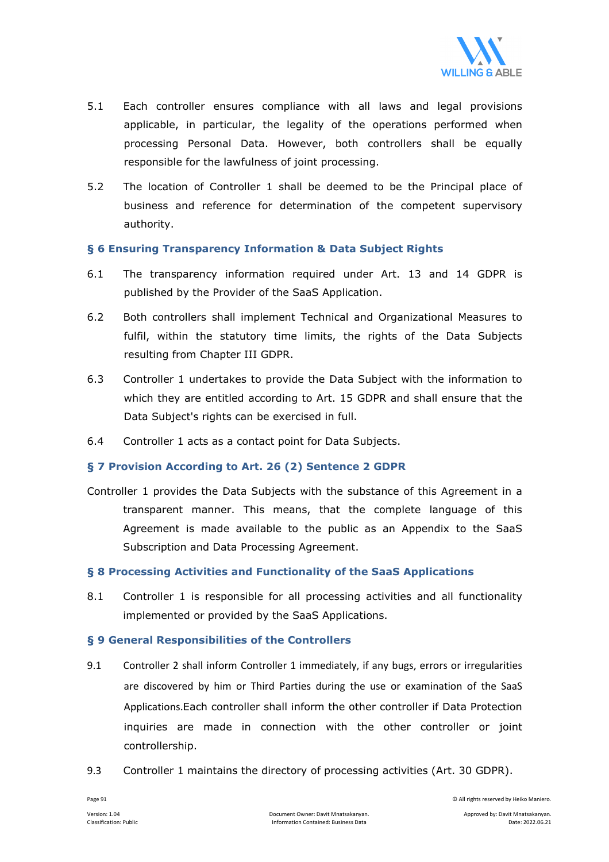

- 5.1 Each controller ensures compliance with all laws and legal provisions applicable, in particular, the legality of the operations performed when processing Personal Data. However, both controllers shall be equally responsible for the lawfulness of joint processing.
- 5.2 The location of Controller 1 shall be deemed to be the Principal place of business and reference for determination of the competent supervisory authority.

#### **§ 6 Ensuring Transparency Information & Data Subject Rights**

- 6.1 The transparency information required under Art. 13 and 14 GDPR is published by the Provider of the SaaS Application.
- 6.2 Both controllers shall implement Technical and Organizational Measures to fulfil, within the statutory time limits, the rights of the Data Subjects resulting from Chapter III GDPR.
- 6.3 Controller 1 undertakes to provide the Data Subject with the information to which they are entitled according to Art. 15 GDPR and shall ensure that the Data Subject's rights can be exercised in full.
- 6.4 Controller 1 acts as a contact point for Data Subjects.

#### **§ 7 Provision According to Art. 26 (2) Sentence 2 GDPR**

Controller 1 provides the Data Subjects with the substance of this Agreement in a transparent manner. This means, that the complete language of this Agreement is made available to the public as an Appendix to the SaaS Subscription and Data Processing Agreement.

#### **§ 8 Processing Activities and Functionality of the SaaS Applications**

8.1 Controller 1 is responsible for all processing activities and all functionality implemented or provided by the SaaS Applications.

#### **§ 9 General Responsibilities of the Controllers**

- 9.1 Controller 2 shall inform Controller 1 immediately, if any bugs, errors or irregularities are discovered by him or Third Parties during the use or examination of the SaaS Applications.Each controller shall inform the other controller if Data Protection inquiries are made in connection with the other controller or joint controllership.
- 9.3 Controller 1 maintains the directory of processing activities (Art. 30 GDPR).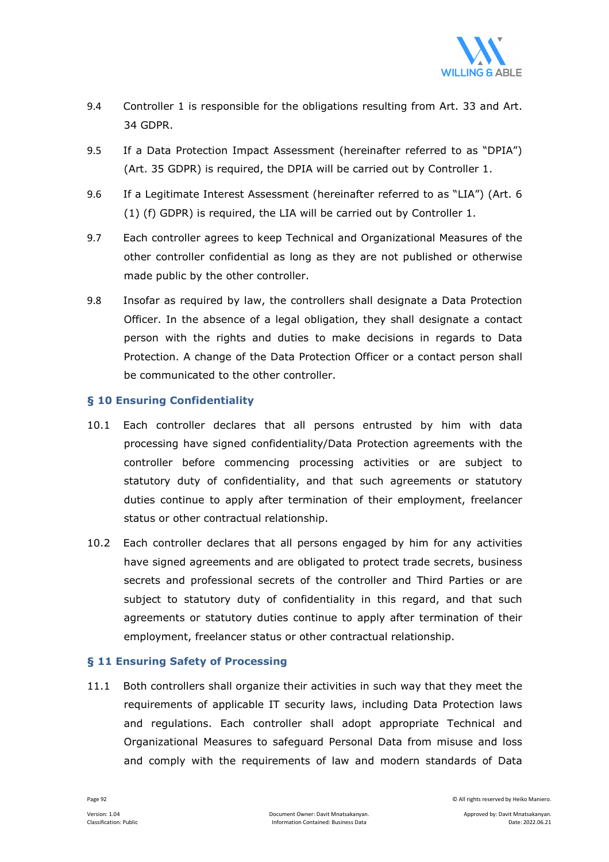

- 9.4 Controller 1 is responsible for the obligations resulting from Art. 33 and Art. 34 GDPR.
- 9.5 If a Data Protection Impact Assessment (hereinafter referred to as "DPIA") (Art. 35 GDPR) is required, the DPIA will be carried out by Controller 1.
- 9.6 If a Legitimate Interest Assessment (hereinafter referred to as "LIA") (Art. 6 (1) (f) GDPR) is required, the LIA will be carried out by Controller 1.
- 9.7 Each controller agrees to keep Technical and Organizational Measures of the other controller confidential as long as they are not published or otherwise made public by the other controller.
- 9.8 Insofar as required by law, the controllers shall designate a Data Protection Officer. In the absence of a legal obligation, they shall designate a contact person with the rights and duties to make decisions in regards to Data Protection. A change of the Data Protection Officer or a contact person shall be communicated to the other controller.

#### **§ 10 Ensuring Confidentiality**

- 10.1 Each controller declares that all persons entrusted by him with data processing have signed confidentiality/Data Protection agreements with the controller before commencing processing activities or are subject to statutory duty of confidentiality, and that such agreements or statutory duties continue to apply after termination of their employment, freelancer status or other contractual relationship.
- 10.2 Each controller declares that all persons engaged by him for any activities have signed agreements and are obligated to protect trade secrets, business secrets and professional secrets of the controller and Third Parties or are subject to statutory duty of confidentiality in this regard, and that such agreements or statutory duties continue to apply after termination of their employment, freelancer status or other contractual relationship.

#### **§ 11 Ensuring Safety of Processing**

11.1 Both controllers shall organize their activities in such way that they meet the requirements of applicable IT security laws, including Data Protection laws and regulations. Each controller shall adopt appropriate Technical and Organizational Measures to safeguard Personal Data from misuse and loss and comply with the requirements of law and modern standards of Data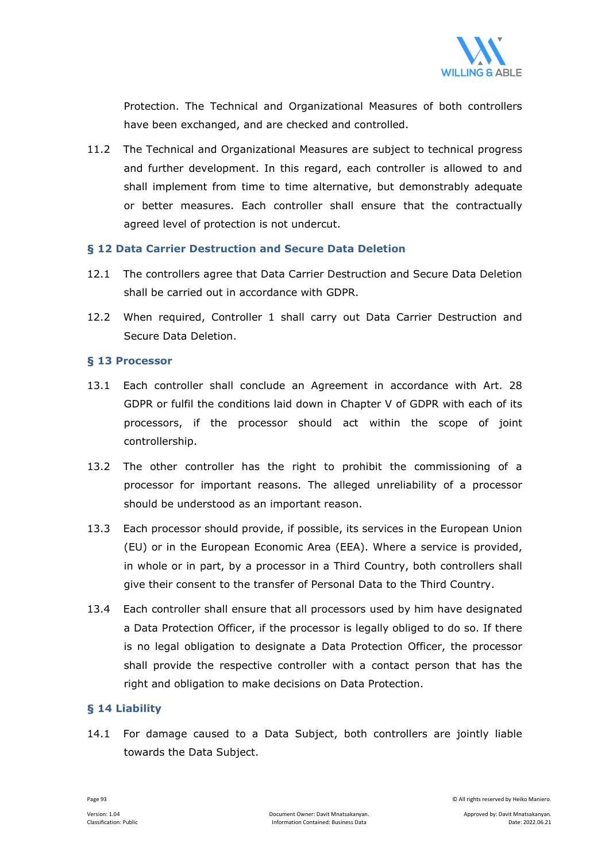

Protection. The Technical and Organizational Measures of both controllers have been exchanged, and are checked and controlled.

11.2 The Technical and Organizational Measures are subject to technical progress and further development. In this regard, each controller is allowed to and shall implement from time to time alternative, but demonstrably adequate or better measures. Each controller shall ensure that the contractually agreed level of protection is not undercut.

#### **§ 12 Data Carrier Destruction and Secure Data Deletion**

- 12.1 The controllers agree that Data Carrier Destruction and Secure Data Deletion shall be carried out in accordance with GDPR.
- 12.2 When required, Controller 1 shall carry out Data Carrier Destruction and Secure Data Deletion.

#### **§ 13 Processor**

- 13.1 Each controller shall conclude an Agreement in accordance with Art. 28 GDPR or fulfil the conditions laid down in Chapter V of GDPR with each of its processors, if the processor should act within the scope of joint controllership.
- 13.2 The other controller has the right to prohibit the commissioning of a processor for important reasons. The alleged unreliability of a processor should be understood as an important reason.
- 13.3 Each processor should provide, if possible, its services in the European Union (EU) or in the European Economic Area (EEA). Where a service is provided, in whole or in part, by a processor in a Third Country, both controllers shall give their consent to the transfer of Personal Data to the Third Country.
- 13.4 Each controller shall ensure that all processors used by him have designated a Data Protection Officer, if the processor is legally obliged to do so. If there is no legal obligation to designate a Data Protection Officer, the processor shall provide the respective controller with a contact person that has the right and obligation to make decisions on Data Protection.

#### **§ 14 Liability**

14.1 For damage caused to a Data Subject, both controllers are jointly liable towards the Data Subject.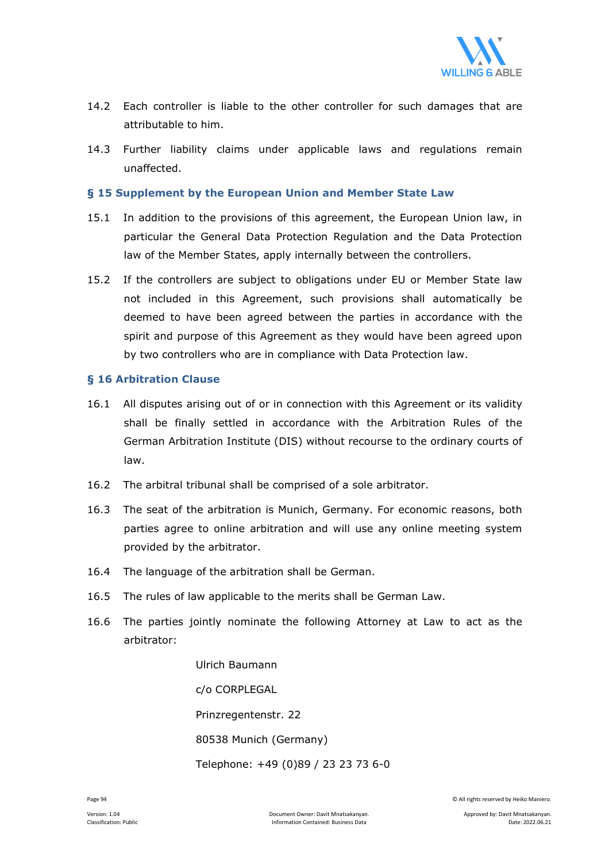

- 14.2 Each controller is liable to the other controller for such damages that are attributable to him.
- 14.3 Further liability claims under applicable laws and regulations remain unaffected.

#### **§ 15 Supplement by the European Union and Member State Law**

- 15.1 In addition to the provisions of this agreement, the European Union law, in particular the General Data Protection Regulation and the Data Protection law of the Member States, apply internally between the controllers.
- 15.2 If the controllers are subject to obligations under EU or Member State law not included in this Agreement, such provisions shall automatically be deemed to have been agreed between the parties in accordance with the spirit and purpose of this Agreement as they would have been agreed upon by two controllers who are in compliance with Data Protection law.

#### **§ 16 Arbitration Clause**

- 16.1 All disputes arising out of or in connection with this Agreement or its validity shall be finally settled in accordance with the Arbitration Rules of the German Arbitration Institute (DIS) without recourse to the ordinary courts of law.
- 16.2 The arbitral tribunal shall be comprised of a sole arbitrator.
- 16.3 The seat of the arbitration is Munich, Germany. For economic reasons, both parties agree to online arbitration and will use any online meeting system provided by the arbitrator.
- 16.4 The language of the arbitration shall be German.
- 16.5 The rules of law applicable to the merits shall be German Law.
- 16.6 The parties jointly nominate the following Attorney at Law to act as the arbitrator:

 Ulrich Baumann c/o CORPLEGAL Prinzregentenstr. 22 80538 Munich (Germany) Telephone: +49 (0)89 / 23 23 73 6-0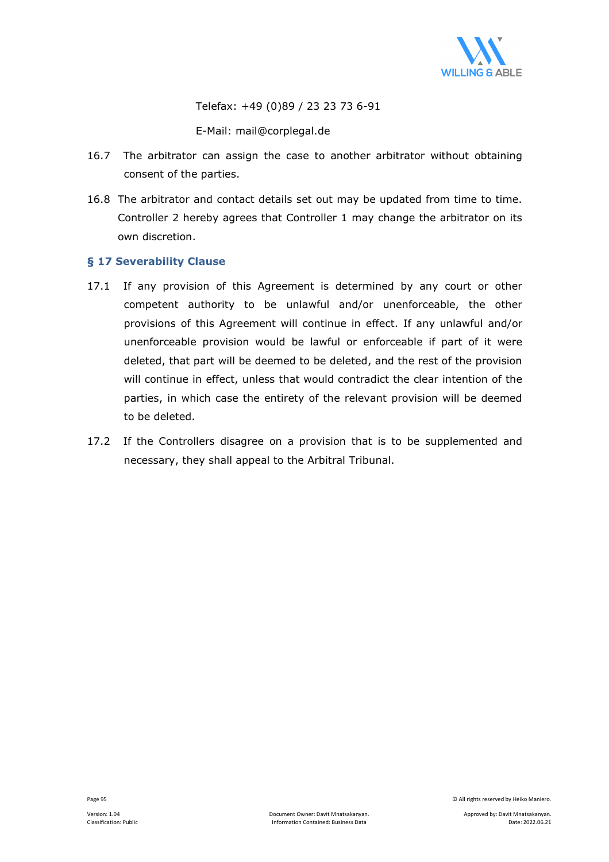

Telefax: +49 (0)89 / 23 23 73 6-91

E-Mail: mail@corplegal.de

- 16.7 The arbitrator can assign the case to another arbitrator without obtaining consent of the parties.
- 16.8 The arbitrator and contact details set out may be updated from time to time. Controller 2 hereby agrees that Controller 1 may change the arbitrator on its own discretion.

#### **§ 17 Severability Clause**

- 17.1 If any provision of this Agreement is determined by any court or other competent authority to be unlawful and/or unenforceable, the other provisions of this Agreement will continue in effect. If any unlawful and/or unenforceable provision would be lawful or enforceable if part of it were deleted, that part will be deemed to be deleted, and the rest of the provision will continue in effect, unless that would contradict the clear intention of the parties, in which case the entirety of the relevant provision will be deemed to be deleted.
- 17.2 If the Controllers disagree on a provision that is to be supplemented and necessary, they shall appeal to the Arbitral Tribunal.